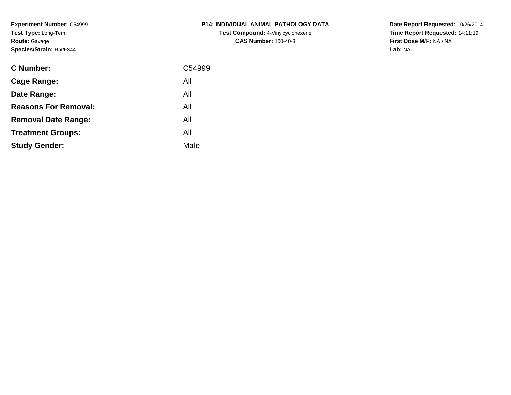**Experiment Number:** C54999**Test Type:** Long-Term**Route:** Gavage**Species/Strain:** Rat/F344

| C Number:                   | C54999 |
|-----------------------------|--------|
| <b>Cage Range:</b>          | All    |
| Date Range:                 | All    |
| <b>Reasons For Removal:</b> | All    |
| <b>Removal Date Range:</b>  | All    |
| <b>Treatment Groups:</b>    | All    |
| <b>Study Gender:</b>        | Male   |
|                             |        |

# **P14: INDIVIDUAL ANIMAL PATHOLOGY DATATest Compound:** 4-Vinylcyclohexene**CAS Number:** 100-40-3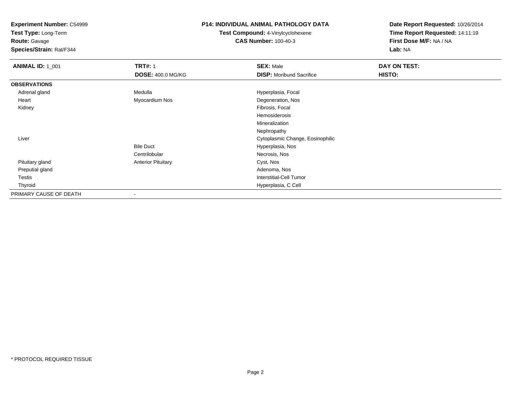**Test Type:** Long-Term

**Route:** Gavage

**Species/Strain:** Rat/F344

#### **P14: INDIVIDUAL ANIMAL PATHOLOGY DATA**

**Test Compound:** 4-Vinylcyclohexene**CAS Number:** 100-40-3

| <b>ANIMAL ID: 1_001</b> | <b>TRT#: 1</b>            | <b>SEX: Male</b>                 | DAY ON TEST: |  |
|-------------------------|---------------------------|----------------------------------|--------------|--|
|                         | <b>DOSE: 400.0 MG/KG</b>  | <b>DISP: Moribund Sacrifice</b>  | HISTO:       |  |
| <b>OBSERVATIONS</b>     |                           |                                  |              |  |
| Adrenal gland           | Medulla                   | Hyperplasia, Focal               |              |  |
| Heart                   | Myocardium Nos            | Degeneration, Nos                |              |  |
| Kidney                  |                           | Fibrosis, Focal                  |              |  |
|                         |                           | Hemosiderosis                    |              |  |
|                         |                           | Mineralization                   |              |  |
|                         |                           | Nephropathy                      |              |  |
| Liver                   |                           | Cytoplasmic Change, Eosinophilic |              |  |
|                         | <b>Bile Duct</b>          | Hyperplasia, Nos                 |              |  |
|                         | Centrilobular             | Necrosis, Nos                    |              |  |
| Pituitary gland         | <b>Anterior Pituitary</b> | Cyst, Nos                        |              |  |
| Preputial gland         |                           | Adenoma, Nos                     |              |  |
| Testis                  |                           | <b>Interstitial-Cell Tumor</b>   |              |  |
| Thyroid                 |                           | Hyperplasia, C Cell              |              |  |
| PRIMARY CAUSE OF DEATH  |                           |                                  |              |  |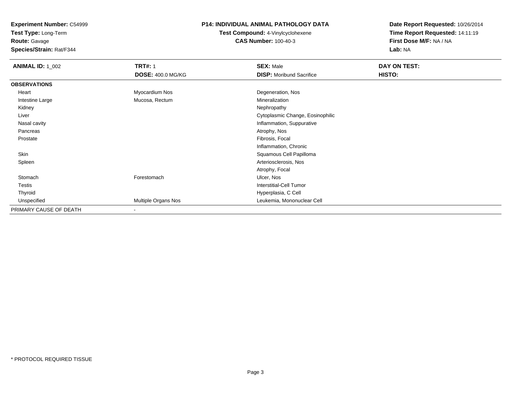**Test Type:** Long-Term

# **Route:** Gavage

**Species/Strain:** Rat/F344

### **P14: INDIVIDUAL ANIMAL PATHOLOGY DATA**

# **Test Compound:** 4-Vinylcyclohexene**CAS Number:** 100-40-3

| <b>ANIMAL ID: 1_002</b> | <b>TRT#: 1</b>           | <b>SEX: Male</b>                 | DAY ON TEST: |  |
|-------------------------|--------------------------|----------------------------------|--------------|--|
|                         | <b>DOSE: 400.0 MG/KG</b> | <b>DISP:</b> Moribund Sacrifice  | HISTO:       |  |
| <b>OBSERVATIONS</b>     |                          |                                  |              |  |
| Heart                   | Myocardium Nos           | Degeneration, Nos                |              |  |
| Intestine Large         | Mucosa, Rectum           | Mineralization                   |              |  |
| Kidney                  |                          | Nephropathy                      |              |  |
| Liver                   |                          | Cytoplasmic Change, Eosinophilic |              |  |
| Nasal cavity            |                          | Inflammation, Suppurative        |              |  |
| Pancreas                |                          | Atrophy, Nos                     |              |  |
| Prostate                |                          | Fibrosis, Focal                  |              |  |
|                         |                          | Inflammation, Chronic            |              |  |
| Skin                    |                          | Squamous Cell Papilloma          |              |  |
| Spleen                  |                          | Arteriosclerosis, Nos            |              |  |
|                         |                          | Atrophy, Focal                   |              |  |
| Stomach                 | Forestomach              | Ulcer, Nos                       |              |  |
| Testis                  |                          | Interstitial-Cell Tumor          |              |  |
| Thyroid                 |                          | Hyperplasia, C Cell              |              |  |
| Unspecified             | Multiple Organs Nos      | Leukemia, Mononuclear Cell       |              |  |
| PRIMARY CAUSE OF DEATH  |                          |                                  |              |  |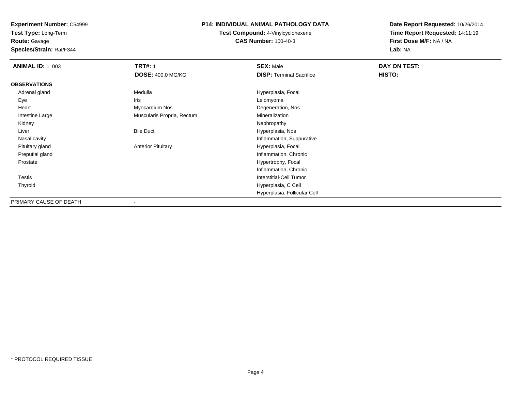**Test Type:** Long-Term

**Route:** Gavage

**Species/Strain:** Rat/F344

### **P14: INDIVIDUAL ANIMAL PATHOLOGY DATA**

**Test Compound:** 4-Vinylcyclohexene**CAS Number:** 100-40-3

| <b>ANIMAL ID: 1_003</b> | <b>TRT#: 1</b>             | <b>SEX: Male</b>                | DAY ON TEST: |
|-------------------------|----------------------------|---------------------------------|--------------|
|                         | <b>DOSE: 400.0 MG/KG</b>   | <b>DISP: Terminal Sacrifice</b> | HISTO:       |
| <b>OBSERVATIONS</b>     |                            |                                 |              |
| Adrenal gland           | Medulla                    | Hyperplasia, Focal              |              |
| Eye                     | Iris                       | Leiomyoma                       |              |
| Heart                   | Myocardium Nos             | Degeneration, Nos               |              |
| Intestine Large         | Muscularis Propria, Rectum | Mineralization                  |              |
| Kidney                  |                            | Nephropathy                     |              |
| Liver                   | <b>Bile Duct</b>           | Hyperplasia, Nos                |              |
| Nasal cavity            |                            | Inflammation, Suppurative       |              |
| Pituitary gland         | <b>Anterior Pituitary</b>  | Hyperplasia, Focal              |              |
| Preputial gland         |                            | Inflammation, Chronic           |              |
| Prostate                |                            | Hypertrophy, Focal              |              |
|                         |                            | Inflammation, Chronic           |              |
| <b>Testis</b>           |                            | <b>Interstitial-Cell Tumor</b>  |              |
| Thyroid                 |                            | Hyperplasia, C Cell             |              |
|                         |                            | Hyperplasia, Follicular Cell    |              |
| PRIMARY CAUSE OF DEATH  | $\blacksquare$             |                                 |              |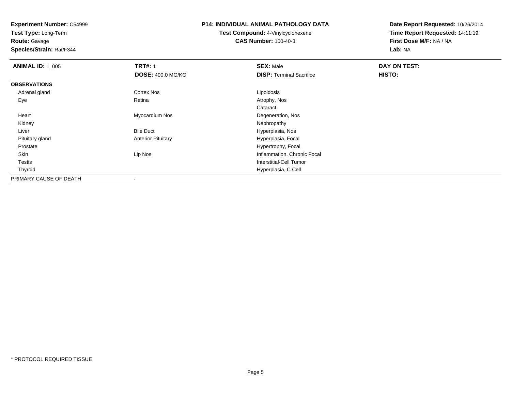**Test Type:** Long-Term

**Route:** Gavage

**Species/Strain:** Rat/F344

# **P14: INDIVIDUAL ANIMAL PATHOLOGY DATA**

**Test Compound:** 4-Vinylcyclohexene**CAS Number:** 100-40-3

| <b>ANIMAL ID: 1_005</b> | <b>TRT#: 1</b>            | <b>SEX: Male</b>                | DAY ON TEST: |  |
|-------------------------|---------------------------|---------------------------------|--------------|--|
|                         | <b>DOSE: 400.0 MG/KG</b>  | <b>DISP: Terminal Sacrifice</b> | HISTO:       |  |
| <b>OBSERVATIONS</b>     |                           |                                 |              |  |
| Adrenal gland           | Cortex Nos                | Lipoidosis                      |              |  |
| Eye                     | Retina                    | Atrophy, Nos                    |              |  |
|                         |                           | Cataract                        |              |  |
| Heart                   | Myocardium Nos            | Degeneration, Nos               |              |  |
| Kidney                  |                           | Nephropathy                     |              |  |
| Liver                   | <b>Bile Duct</b>          | Hyperplasia, Nos                |              |  |
| Pituitary gland         | <b>Anterior Pituitary</b> | Hyperplasia, Focal              |              |  |
| Prostate                |                           | Hypertrophy, Focal              |              |  |
| Skin                    | Lip Nos                   | Inflammation, Chronic Focal     |              |  |
| <b>Testis</b>           |                           | Interstitial-Cell Tumor         |              |  |
| Thyroid                 |                           | Hyperplasia, C Cell             |              |  |
| PRIMARY CAUSE OF DEATH  | $\blacksquare$            |                                 |              |  |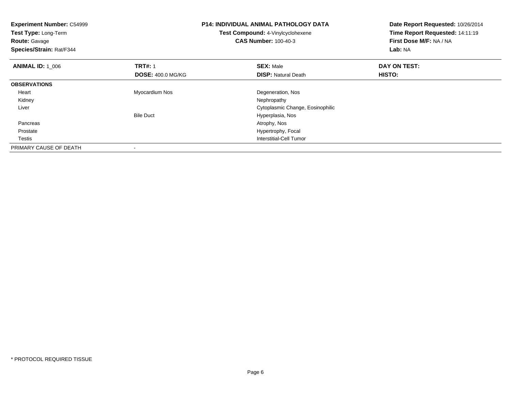| <b>Experiment Number: C54999</b><br>Test Type: Long-Term<br><b>Route: Gavage</b><br>Species/Strain: Rat/F344 |                          | <b>P14: INDIVIDUAL ANIMAL PATHOLOGY DATA</b><br>Test Compound: 4-Vinylcyclohexene<br><b>CAS Number: 100-40-3</b> | Date Report Requested: 10/26/2014<br>Time Report Requested: 14:11:19<br>First Dose M/F: NA / NA<br>Lab: NA |
|--------------------------------------------------------------------------------------------------------------|--------------------------|------------------------------------------------------------------------------------------------------------------|------------------------------------------------------------------------------------------------------------|
| <b>ANIMAL ID: 1 006</b>                                                                                      | <b>TRT#: 1</b>           | <b>SEX: Male</b>                                                                                                 | DAY ON TEST:                                                                                               |
|                                                                                                              | <b>DOSE: 400.0 MG/KG</b> | <b>DISP:</b> Natural Death                                                                                       | HISTO:                                                                                                     |
| <b>OBSERVATIONS</b>                                                                                          |                          |                                                                                                                  |                                                                                                            |
| Heart                                                                                                        | Myocardium Nos           | Degeneration, Nos                                                                                                |                                                                                                            |
| Kidney                                                                                                       |                          | Nephropathy                                                                                                      |                                                                                                            |
| Liver                                                                                                        |                          | Cytoplasmic Change, Eosinophilic                                                                                 |                                                                                                            |
|                                                                                                              | <b>Bile Duct</b>         | Hyperplasia, Nos                                                                                                 |                                                                                                            |
| Pancreas                                                                                                     |                          | Atrophy, Nos                                                                                                     |                                                                                                            |
| Prostate                                                                                                     |                          | Hypertrophy, Focal                                                                                               |                                                                                                            |
| Testis                                                                                                       |                          | Interstitial-Cell Tumor                                                                                          |                                                                                                            |
| PRIMARY CAUSE OF DEATH                                                                                       | $\,$                     |                                                                                                                  |                                                                                                            |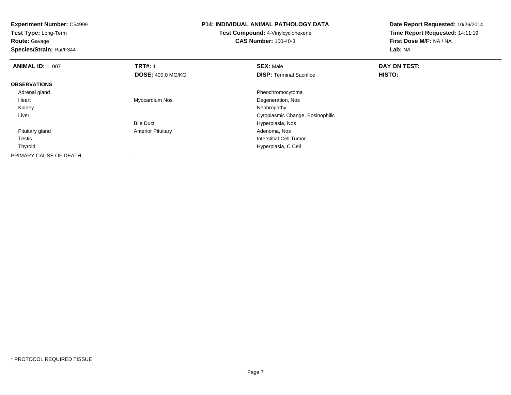| <b>Experiment Number: C54999</b><br>Test Type: Long-Term<br><b>Route: Gavage</b><br>Species/Strain: Rat/F344 |                           | <b>P14: INDIVIDUAL ANIMAL PATHOLOGY DATA</b><br><b>Test Compound: 4-Vinylcyclohexene</b><br><b>CAS Number: 100-40-3</b> | Date Report Requested: 10/26/2014<br>Time Report Requested: 14:11:19<br>First Dose M/F: NA / NA<br>Lab: NA |  |
|--------------------------------------------------------------------------------------------------------------|---------------------------|-------------------------------------------------------------------------------------------------------------------------|------------------------------------------------------------------------------------------------------------|--|
| <b>ANIMAL ID: 1 007</b>                                                                                      | <b>TRT#: 1</b>            | <b>SEX: Male</b>                                                                                                        | DAY ON TEST:                                                                                               |  |
|                                                                                                              | <b>DOSE: 400.0 MG/KG</b>  | <b>DISP:</b> Terminal Sacrifice                                                                                         | HISTO:                                                                                                     |  |
| <b>OBSERVATIONS</b>                                                                                          |                           |                                                                                                                         |                                                                                                            |  |
| Adrenal gland                                                                                                |                           | Pheochromocytoma                                                                                                        |                                                                                                            |  |
| Heart                                                                                                        | Myocardium Nos            | Degeneration, Nos                                                                                                       |                                                                                                            |  |
| Kidney                                                                                                       |                           | Nephropathy                                                                                                             |                                                                                                            |  |
| Liver                                                                                                        |                           | Cytoplasmic Change, Eosinophilic                                                                                        |                                                                                                            |  |
|                                                                                                              | <b>Bile Duct</b>          | Hyperplasia, Nos                                                                                                        |                                                                                                            |  |
| Pituitary gland                                                                                              | <b>Anterior Pituitary</b> | Adenoma, Nos                                                                                                            |                                                                                                            |  |
| Testis                                                                                                       |                           | Interstitial-Cell Tumor                                                                                                 |                                                                                                            |  |
| Thyroid                                                                                                      |                           | Hyperplasia, C Cell                                                                                                     |                                                                                                            |  |
| PRIMARY CAUSE OF DEATH                                                                                       |                           |                                                                                                                         |                                                                                                            |  |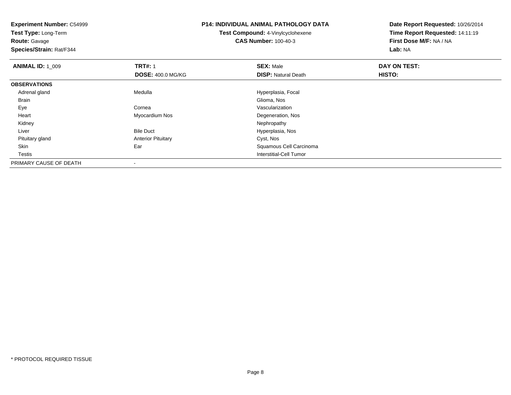**Experiment Number:** C54999**Test Type:** Long-Term**Route:** Gavage **Species/Strain:** Rat/F344**P14: INDIVIDUAL ANIMAL PATHOLOGY DATATest Compound:** 4-Vinylcyclohexene**CAS Number:** 100-40-3**Date Report Requested:** 10/26/2014**Time Report Requested:** 14:11:19**First Dose M/F:** NA / NA**Lab:** NA**ANIMAL ID: 1\_009 9 TRT#:** 1 **SEX:** Male **SEX:** Male **DAY ON TEST: DOSE:** 400.0 MG/KG**DISP:** Natural Death **HISTO: OBSERVATIONS** Adrenal glandMedulla **Medulla** Hyperplasia, Focal Hyperplasia, Focal Glioma, Nos Brainn and the contract of the contract of the contract of the contract of the contract of Glioma, Nos Eyee entry the cornea community cornea and the contract of the contract of the contract of the contract of the contract of the contract of the contract of the contract of the contract of the contract of the contract of the co Heart Myocardium NosDegeneration, Nos<br>Nephropathy Kidneyy the control of the control of the control of the control of the control of the control of the control of the control of the control of the control of the control of the control of the control of the control of the contro LiverBile Duct **Hyperplasia**, Nos Pituitary glandAnterior Pituitary **Cyst, Nos**<br>Ear Cyst, Nos SkinSquamous Cell Carcinoma Testis Interstitial-Cell Tumor PRIMARY CAUSE OF DEATH-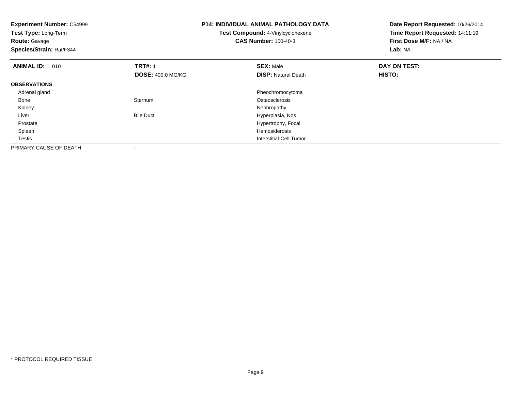| <b>Experiment Number: C54999</b><br>Test Type: Long-Term<br><b>Route: Gavage</b><br>Species/Strain: Rat/F344 |                          | <b>P14: INDIVIDUAL ANIMAL PATHOLOGY DATA</b><br>Test Compound: 4-Vinylcyclohexene<br><b>CAS Number: 100-40-3</b> | Date Report Requested: 10/26/2014<br>Time Report Requested: 14:11:19<br>First Dose M/F: NA / NA<br>Lab: NA |
|--------------------------------------------------------------------------------------------------------------|--------------------------|------------------------------------------------------------------------------------------------------------------|------------------------------------------------------------------------------------------------------------|
| <b>ANIMAL ID: 1 010</b>                                                                                      | <b>TRT#: 1</b>           | <b>SEX: Male</b><br><b>DISP: Natural Death</b>                                                                   | DAY ON TEST:<br>HISTO:                                                                                     |
|                                                                                                              | <b>DOSE: 400.0 MG/KG</b> |                                                                                                                  |                                                                                                            |
| <b>OBSERVATIONS</b>                                                                                          |                          |                                                                                                                  |                                                                                                            |
| Adrenal gland                                                                                                |                          | Pheochromocytoma                                                                                                 |                                                                                                            |
| Bone                                                                                                         | Sternum                  | Osteosclerosis                                                                                                   |                                                                                                            |
| Kidney                                                                                                       |                          | Nephropathy                                                                                                      |                                                                                                            |
| Liver                                                                                                        | <b>Bile Duct</b>         | Hyperplasia, Nos                                                                                                 |                                                                                                            |
| Prostate                                                                                                     |                          | Hypertrophy, Focal                                                                                               |                                                                                                            |
| Spleen                                                                                                       |                          | Hemosiderosis                                                                                                    |                                                                                                            |
| Testis                                                                                                       |                          | Interstitial-Cell Tumor                                                                                          |                                                                                                            |
| PRIMARY CAUSE OF DEATH                                                                                       |                          |                                                                                                                  |                                                                                                            |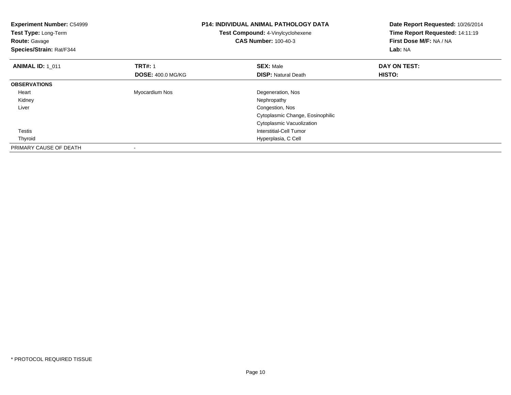| <b>Experiment Number: C54999</b><br>Test Type: Long-Term<br><b>Route: Gavage</b><br>Species/Strain: Rat/F344 |                                            | <b>P14: INDIVIDUAL ANIMAL PATHOLOGY DATA</b><br>Test Compound: 4-Vinylcyclohexene<br><b>CAS Number: 100-40-3</b>                                | Date Report Requested: 10/26/2014<br>Time Report Requested: 14:11:19<br>First Dose M/F: NA / NA<br>Lab: NA |
|--------------------------------------------------------------------------------------------------------------|--------------------------------------------|-------------------------------------------------------------------------------------------------------------------------------------------------|------------------------------------------------------------------------------------------------------------|
| <b>ANIMAL ID: 1 011</b>                                                                                      | <b>TRT#: 1</b><br><b>DOSE: 400.0 MG/KG</b> | <b>SEX: Male</b><br><b>DISP: Natural Death</b>                                                                                                  | DAY ON TEST:<br>HISTO:                                                                                     |
| <b>OBSERVATIONS</b>                                                                                          |                                            |                                                                                                                                                 |                                                                                                            |
| Heart<br>Kidney<br>Liver<br>Testis                                                                           | Myocardium Nos                             | Degeneration, Nos<br>Nephropathy<br>Congestion, Nos<br>Cytoplasmic Change, Eosinophilic<br>Cytoplasmic Vacuolization<br>Interstitial-Cell Tumor |                                                                                                            |
| Thyroid                                                                                                      |                                            | Hyperplasia, C Cell                                                                                                                             |                                                                                                            |
| PRIMARY CAUSE OF DEATH                                                                                       |                                            |                                                                                                                                                 |                                                                                                            |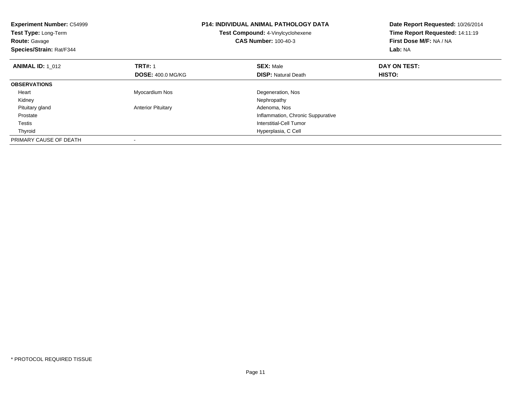| <b>Experiment Number: C54999</b><br>Test Type: Long-Term<br><b>Route: Gavage</b><br>Species/Strain: Rat/F344 |                           | <b>P14: INDIVIDUAL ANIMAL PATHOLOGY DATA</b><br>Test Compound: 4-Vinylcyclohexene<br><b>CAS Number: 100-40-3</b> | Date Report Requested: 10/26/2014<br>Time Report Requested: 14:11:19<br>First Dose M/F: NA / NA<br>Lab: NA |
|--------------------------------------------------------------------------------------------------------------|---------------------------|------------------------------------------------------------------------------------------------------------------|------------------------------------------------------------------------------------------------------------|
| <b>ANIMAL ID: 1 012</b>                                                                                      | <b>TRT#: 1</b>            | <b>SEX: Male</b>                                                                                                 | DAY ON TEST:                                                                                               |
|                                                                                                              | <b>DOSE: 400.0 MG/KG</b>  | <b>DISP: Natural Death</b>                                                                                       | <b>HISTO:</b>                                                                                              |
| <b>OBSERVATIONS</b>                                                                                          |                           |                                                                                                                  |                                                                                                            |
| Heart                                                                                                        | Myocardium Nos            | Degeneration, Nos                                                                                                |                                                                                                            |
| Kidney                                                                                                       |                           | Nephropathy                                                                                                      |                                                                                                            |
| Pituitary gland                                                                                              | <b>Anterior Pituitary</b> | Adenoma, Nos                                                                                                     |                                                                                                            |
| Prostate                                                                                                     |                           | Inflammation, Chronic Suppurative                                                                                |                                                                                                            |
| Testis                                                                                                       |                           | Interstitial-Cell Tumor                                                                                          |                                                                                                            |
| Thyroid                                                                                                      |                           | Hyperplasia, C Cell                                                                                              |                                                                                                            |
| PRIMARY CAUSE OF DEATH                                                                                       |                           |                                                                                                                  |                                                                                                            |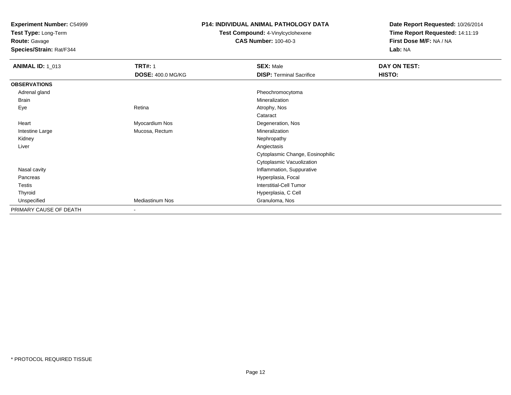**Test Type:** Long-Term

**Route:** Gavage

**Species/Strain:** Rat/F344

### **P14: INDIVIDUAL ANIMAL PATHOLOGY DATA**

**Test Compound:** 4-Vinylcyclohexene**CAS Number:** 100-40-3

| <b>ANIMAL ID: 1_013</b> | <b>TRT#: 1</b>           | <b>SEX: Male</b>                 | DAY ON TEST: |  |
|-------------------------|--------------------------|----------------------------------|--------------|--|
|                         | <b>DOSE: 400.0 MG/KG</b> | <b>DISP: Terminal Sacrifice</b>  | HISTO:       |  |
| <b>OBSERVATIONS</b>     |                          |                                  |              |  |
| Adrenal gland           |                          | Pheochromocytoma                 |              |  |
| Brain                   |                          | Mineralization                   |              |  |
| Eye                     | Retina                   | Atrophy, Nos                     |              |  |
|                         |                          | Cataract                         |              |  |
| Heart                   | Myocardium Nos           | Degeneration, Nos                |              |  |
| Intestine Large         | Mucosa, Rectum           | Mineralization                   |              |  |
| Kidney                  |                          | Nephropathy                      |              |  |
| Liver                   |                          | Angiectasis                      |              |  |
|                         |                          | Cytoplasmic Change, Eosinophilic |              |  |
|                         |                          | Cytoplasmic Vacuolization        |              |  |
| Nasal cavity            |                          | Inflammation, Suppurative        |              |  |
| Pancreas                |                          | Hyperplasia, Focal               |              |  |
| Testis                  |                          | Interstitial-Cell Tumor          |              |  |
| Thyroid                 |                          | Hyperplasia, C Cell              |              |  |
| Unspecified             | Mediastinum Nos          | Granuloma, Nos                   |              |  |
| PRIMARY CAUSE OF DEATH  | $\overline{\phantom{a}}$ |                                  |              |  |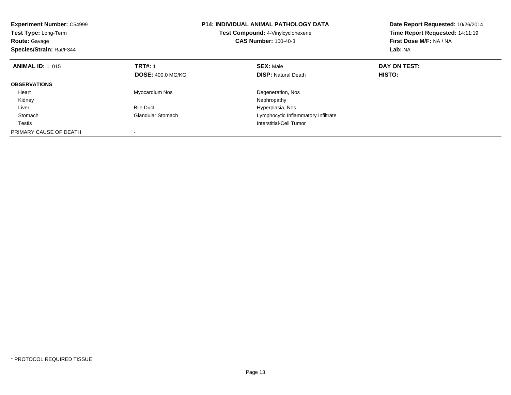| <b>Experiment Number: C54999</b><br><b>Test Type: Long-Term</b><br><b>Route: Gavage</b><br>Species/Strain: Rat/F344 |                          | <b>P14: INDIVIDUAL ANIMAL PATHOLOGY DATA</b><br>Test Compound: 4-Vinylcyclohexene<br><b>CAS Number: 100-40-3</b> | Date Report Requested: 10/26/2014<br>Time Report Requested: 14:11:19<br>First Dose M/F: NA / NA<br>Lab: NA |
|---------------------------------------------------------------------------------------------------------------------|--------------------------|------------------------------------------------------------------------------------------------------------------|------------------------------------------------------------------------------------------------------------|
| <b>ANIMAL ID: 1 015</b>                                                                                             | <b>TRT#: 1</b>           | <b>SEX: Male</b>                                                                                                 | DAY ON TEST:                                                                                               |
|                                                                                                                     | <b>DOSE: 400.0 MG/KG</b> | <b>DISP:</b> Natural Death                                                                                       | HISTO:                                                                                                     |
| <b>OBSERVATIONS</b>                                                                                                 |                          |                                                                                                                  |                                                                                                            |
| Heart                                                                                                               | Myocardium Nos           | Degeneration, Nos                                                                                                |                                                                                                            |
| Kidney                                                                                                              |                          | Nephropathy                                                                                                      |                                                                                                            |
| Liver                                                                                                               | <b>Bile Duct</b>         | Hyperplasia, Nos                                                                                                 |                                                                                                            |
| Stomach                                                                                                             | <b>Glandular Stomach</b> | Lymphocytic Inflammatory Infiltrate                                                                              |                                                                                                            |
| Testis                                                                                                              |                          | Interstitial-Cell Tumor                                                                                          |                                                                                                            |
| PRIMARY CAUSE OF DEATH                                                                                              |                          |                                                                                                                  |                                                                                                            |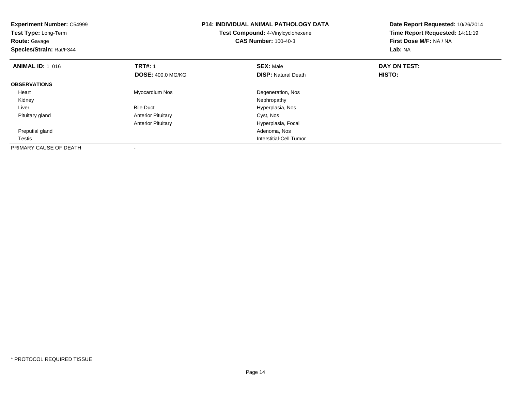| <b>Experiment Number: C54999</b><br>Test Type: Long-Term<br><b>Route: Gavage</b><br>Species/Strain: Rat/F344 | <b>P14: INDIVIDUAL ANIMAL PATHOLOGY DATA</b><br>Test Compound: 4-Vinylcyclohexene<br><b>CAS Number: 100-40-3</b> |                            | Date Report Requested: 10/26/2014<br>Time Report Requested: 14:11:19<br>First Dose M/F: NA / NA<br>Lab: NA |
|--------------------------------------------------------------------------------------------------------------|------------------------------------------------------------------------------------------------------------------|----------------------------|------------------------------------------------------------------------------------------------------------|
| <b>ANIMAL ID: 1_016</b>                                                                                      | <b>TRT#: 1</b>                                                                                                   | <b>SEX: Male</b>           | DAY ON TEST:                                                                                               |
|                                                                                                              | <b>DOSE: 400.0 MG/KG</b>                                                                                         | <b>DISP:</b> Natural Death | HISTO:                                                                                                     |
| <b>OBSERVATIONS</b>                                                                                          |                                                                                                                  |                            |                                                                                                            |
| Heart                                                                                                        | Myocardium Nos                                                                                                   | Degeneration, Nos          |                                                                                                            |
| Kidney                                                                                                       |                                                                                                                  | Nephropathy                |                                                                                                            |
| Liver                                                                                                        | <b>Bile Duct</b>                                                                                                 | Hyperplasia, Nos           |                                                                                                            |
| Pituitary gland                                                                                              | <b>Anterior Pituitary</b>                                                                                        | Cyst, Nos                  |                                                                                                            |
|                                                                                                              | <b>Anterior Pituitary</b>                                                                                        | Hyperplasia, Focal         |                                                                                                            |
| Preputial gland                                                                                              |                                                                                                                  | Adenoma, Nos               |                                                                                                            |
| Testis                                                                                                       |                                                                                                                  | Interstitial-Cell Tumor    |                                                                                                            |
| PRIMARY CAUSE OF DEATH                                                                                       |                                                                                                                  |                            |                                                                                                            |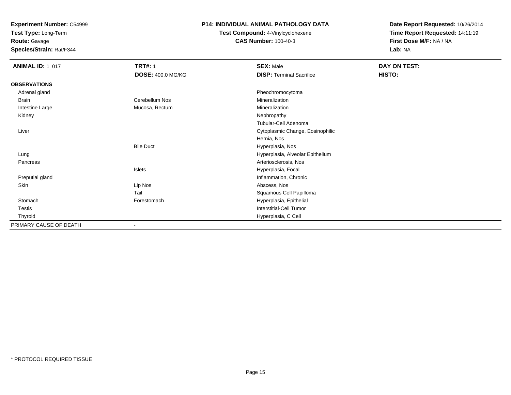**Test Type:** Long-Term

**Route:** Gavage

**Species/Strain:** Rat/F344

### **P14: INDIVIDUAL ANIMAL PATHOLOGY DATA**

# **Test Compound:** 4-Vinylcyclohexene**CAS Number:** 100-40-3

| <b>ANIMAL ID: 1_017</b> | <b>TRT#: 1</b><br><b>DOSE: 400.0 MG/KG</b> | <b>SEX: Male</b><br><b>DISP: Terminal Sacrifice</b> | DAY ON TEST:<br>HISTO: |
|-------------------------|--------------------------------------------|-----------------------------------------------------|------------------------|
|                         |                                            |                                                     |                        |
| <b>OBSERVATIONS</b>     |                                            |                                                     |                        |
| Adrenal gland           |                                            | Pheochromocytoma                                    |                        |
| Brain                   | Cerebellum Nos                             | Mineralization                                      |                        |
| Intestine Large         | Mucosa, Rectum                             | Mineralization                                      |                        |
| Kidney                  |                                            | Nephropathy                                         |                        |
|                         |                                            | Tubular-Cell Adenoma                                |                        |
| Liver                   |                                            | Cytoplasmic Change, Eosinophilic                    |                        |
|                         |                                            | Hernia, Nos                                         |                        |
|                         | <b>Bile Duct</b>                           | Hyperplasia, Nos                                    |                        |
| Lung                    |                                            | Hyperplasia, Alveolar Epithelium                    |                        |
| Pancreas                |                                            | Arteriosclerosis, Nos                               |                        |
|                         | Islets                                     | Hyperplasia, Focal                                  |                        |
| Preputial gland         |                                            | Inflammation, Chronic                               |                        |
| Skin                    | Lip Nos                                    | Abscess, Nos                                        |                        |
|                         | Tail                                       | Squamous Cell Papilloma                             |                        |
| Stomach                 | Forestomach                                | Hyperplasia, Epithelial                             |                        |
| Testis                  |                                            | <b>Interstitial-Cell Tumor</b>                      |                        |
| Thyroid                 |                                            | Hyperplasia, C Cell                                 |                        |
| PRIMARY CAUSE OF DEATH  | $\blacksquare$                             |                                                     |                        |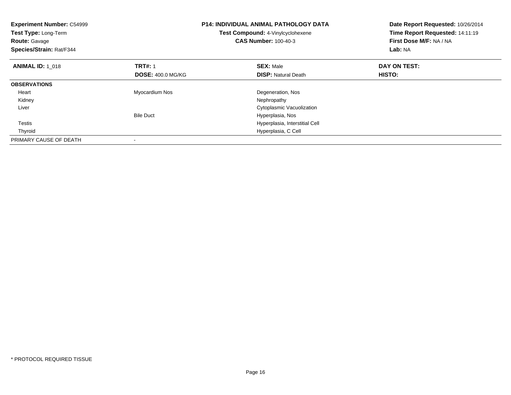| <b>Experiment Number: C54999</b><br>Test Type: Long-Term<br><b>Route: Gavage</b><br>Species/Strain: Rat/F344 |                          | <b>P14: INDIVIDUAL ANIMAL PATHOLOGY DATA</b><br>Test Compound: 4-Vinylcyclohexene<br><b>CAS Number: 100-40-3</b> | Date Report Requested: 10/26/2014<br>Time Report Requested: 14:11:19<br>First Dose M/F: NA / NA<br>Lab: NA |
|--------------------------------------------------------------------------------------------------------------|--------------------------|------------------------------------------------------------------------------------------------------------------|------------------------------------------------------------------------------------------------------------|
| <b>ANIMAL ID: 1_018</b>                                                                                      | <b>TRT#: 1</b>           | <b>SEX: Male</b>                                                                                                 | DAY ON TEST:                                                                                               |
|                                                                                                              | <b>DOSE: 400.0 MG/KG</b> | <b>DISP:</b> Natural Death                                                                                       | <b>HISTO:</b>                                                                                              |
| <b>OBSERVATIONS</b>                                                                                          |                          |                                                                                                                  |                                                                                                            |
| Heart                                                                                                        | Myocardium Nos           | Degeneration, Nos                                                                                                |                                                                                                            |
| Kidney                                                                                                       |                          | Nephropathy                                                                                                      |                                                                                                            |
| Liver                                                                                                        |                          | Cytoplasmic Vacuolization                                                                                        |                                                                                                            |
|                                                                                                              | <b>Bile Duct</b>         | Hyperplasia, Nos                                                                                                 |                                                                                                            |
| Testis                                                                                                       |                          | Hyperplasia, Interstitial Cell                                                                                   |                                                                                                            |
| Thyroid                                                                                                      |                          | Hyperplasia, C Cell                                                                                              |                                                                                                            |
| PRIMARY CAUSE OF DEATH                                                                                       |                          |                                                                                                                  |                                                                                                            |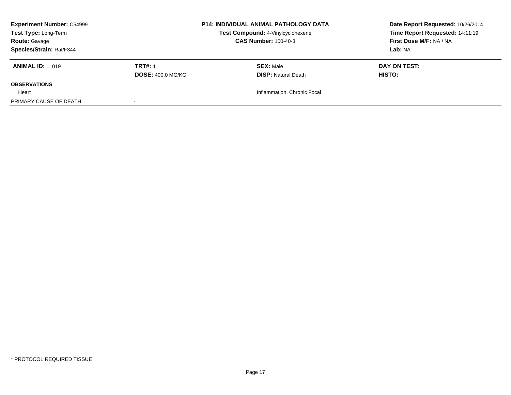| <b>Experiment Number: C54999</b><br>Test Type: Long-Term |                          | <b>P14: INDIVIDUAL ANIMAL PATHOLOGY DATA</b> | Date Report Requested: 10/26/2014 |
|----------------------------------------------------------|--------------------------|----------------------------------------------|-----------------------------------|
|                                                          |                          | Test Compound: 4-Vinylcyclohexene            | Time Report Requested: 14:11:19   |
| <b>Route: Gavage</b>                                     |                          | <b>CAS Number: 100-40-3</b>                  | First Dose M/F: NA / NA           |
| Species/Strain: Rat/F344                                 |                          |                                              | Lab: NA                           |
| <b>ANIMAL ID: 1 019</b>                                  | <b>TRT#: 1</b>           | <b>SEX: Male</b>                             | DAY ON TEST:                      |
|                                                          | <b>DOSE: 400.0 MG/KG</b> | <b>DISP: Natural Death</b>                   | <b>HISTO:</b>                     |
| <b>OBSERVATIONS</b>                                      |                          |                                              |                                   |
| Heart                                                    |                          | Inflammation, Chronic Focal                  |                                   |
| PRIMARY CAUSE OF DEATH                                   |                          |                                              |                                   |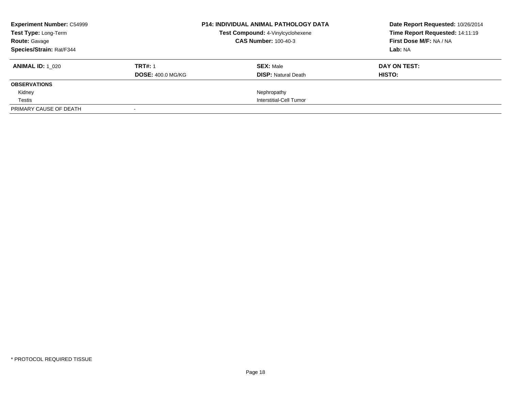| <b>Experiment Number: C54999</b><br>Test Type: Long-Term<br><b>Route: Gavage</b> | <b>P14: INDIVIDUAL ANIMAL PATHOLOGY DATA</b><br>Test Compound: 4-Vinylcyclohexene<br><b>CAS Number: 100-40-3</b> |  | Date Report Requested: 10/26/2014<br>Time Report Requested: 14:11:19<br>First Dose M/F: NA / NA |              |
|----------------------------------------------------------------------------------|------------------------------------------------------------------------------------------------------------------|--|-------------------------------------------------------------------------------------------------|--------------|
| Species/Strain: Rat/F344                                                         |                                                                                                                  |  |                                                                                                 | Lab: NA      |
| <b>ANIMAL ID: 1 020</b>                                                          | <b>TRT#: 1</b>                                                                                                   |  | <b>SEX: Male</b>                                                                                | DAY ON TEST: |
|                                                                                  | <b>DOSE: 400.0 MG/KG</b>                                                                                         |  | <b>DISP:</b> Natural Death                                                                      | HISTO:       |
| <b>OBSERVATIONS</b>                                                              |                                                                                                                  |  |                                                                                                 |              |
| Kidney                                                                           |                                                                                                                  |  | Nephropathy                                                                                     |              |
| Testis                                                                           |                                                                                                                  |  | Interstitial-Cell Tumor                                                                         |              |
| PRIMARY CAUSE OF DEATH                                                           |                                                                                                                  |  |                                                                                                 |              |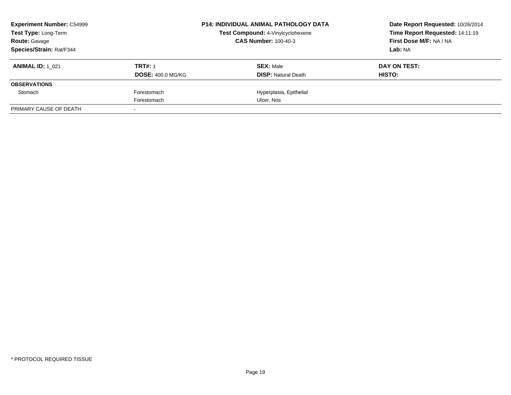| <b>Experiment Number: C54999</b> |                          | <b>P14: INDIVIDUAL ANIMAL PATHOLOGY DATA</b> | Date Report Requested: 10/26/2014 |
|----------------------------------|--------------------------|----------------------------------------------|-----------------------------------|
| Test Type: Long-Term             |                          | Test Compound: 4-Vinylcyclohexene            | Time Report Requested: 14:11:19   |
| <b>Route: Gavage</b>             |                          | <b>CAS Number: 100-40-3</b>                  | First Dose M/F: NA / NA           |
| <b>Species/Strain: Rat/F344</b>  |                          |                                              | Lab: NA                           |
| <b>ANIMAL ID:</b> 1 021          | <b>TRT#: 1</b>           | <b>SEX: Male</b>                             | DAY ON TEST:                      |
|                                  | <b>DOSE: 400.0 MG/KG</b> | <b>DISP:</b> Natural Death                   | HISTO:                            |
| <b>OBSERVATIONS</b>              |                          |                                              |                                   |
| Stomach                          | Forestomach              | Hyperplasia, Epithelial                      |                                   |
|                                  | Forestomach              | Ulcer, Nos                                   |                                   |
| PRIMARY CAUSE OF DEATH           |                          |                                              |                                   |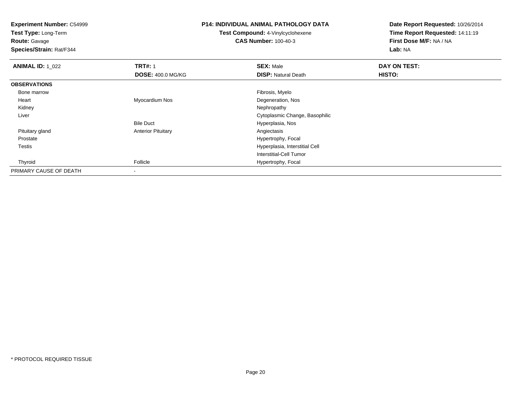**Test Type:** Long-Term

# **Route:** Gavage

**Species/Strain:** Rat/F344

### **P14: INDIVIDUAL ANIMAL PATHOLOGY DATA**

# **Test Compound:** 4-Vinylcyclohexene**CAS Number:** 100-40-3

| <b>ANIMAL ID: 1_022</b> | <b>TRT#: 1</b>            | <b>SEX: Male</b>               | DAY ON TEST: |  |
|-------------------------|---------------------------|--------------------------------|--------------|--|
|                         | <b>DOSE: 400.0 MG/KG</b>  | <b>DISP: Natural Death</b>     | HISTO:       |  |
| <b>OBSERVATIONS</b>     |                           |                                |              |  |
| Bone marrow             |                           | Fibrosis, Myelo                |              |  |
| Heart                   | Myocardium Nos            | Degeneration, Nos              |              |  |
| Kidney                  |                           | Nephropathy                    |              |  |
| Liver                   |                           | Cytoplasmic Change, Basophilic |              |  |
|                         | <b>Bile Duct</b>          | Hyperplasia, Nos               |              |  |
| Pituitary gland         | <b>Anterior Pituitary</b> | Angiectasis                    |              |  |
| Prostate                |                           | Hypertrophy, Focal             |              |  |
| Testis                  |                           | Hyperplasia, Interstitial Cell |              |  |
|                         |                           | Interstitial-Cell Tumor        |              |  |
| Thyroid                 | Follicle                  | Hypertrophy, Focal             |              |  |
| PRIMARY CAUSE OF DEATH  | $\overline{\phantom{a}}$  |                                |              |  |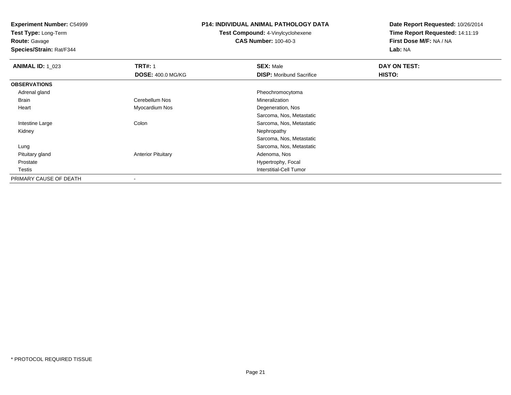**Test Type:** Long-Term

# **Route:** Gavage

**Species/Strain:** Rat/F344

# **P14: INDIVIDUAL ANIMAL PATHOLOGY DATA**

# **Test Compound:** 4-Vinylcyclohexene**CAS Number:** 100-40-3

| <b>ANIMAL ID: 1_023</b> | <b>TRT#: 1</b>            | <b>SEX: Male</b>                | DAY ON TEST: |  |
|-------------------------|---------------------------|---------------------------------|--------------|--|
|                         | <b>DOSE: 400.0 MG/KG</b>  | <b>DISP:</b> Moribund Sacrifice | HISTO:       |  |
| <b>OBSERVATIONS</b>     |                           |                                 |              |  |
| Adrenal gland           |                           | Pheochromocytoma                |              |  |
| Brain                   | Cerebellum Nos            | Mineralization                  |              |  |
| Heart                   | Myocardium Nos            | Degeneration, Nos               |              |  |
|                         |                           | Sarcoma, Nos, Metastatic        |              |  |
| Intestine Large         | Colon                     | Sarcoma, Nos, Metastatic        |              |  |
| Kidney                  |                           | Nephropathy                     |              |  |
|                         |                           | Sarcoma, Nos, Metastatic        |              |  |
| Lung                    |                           | Sarcoma, Nos, Metastatic        |              |  |
| Pituitary gland         | <b>Anterior Pituitary</b> | Adenoma, Nos                    |              |  |
| Prostate                |                           | Hypertrophy, Focal              |              |  |
| Testis                  |                           | <b>Interstitial-Cell Tumor</b>  |              |  |
| PRIMARY CAUSE OF DEATH  |                           |                                 |              |  |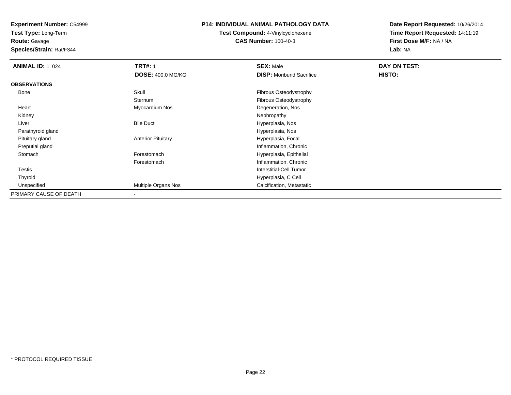**Test Type:** Long-Term

**Route:** Gavage

**Species/Strain:** Rat/F344

### **P14: INDIVIDUAL ANIMAL PATHOLOGY DATA**

**Test Compound:** 4-Vinylcyclohexene**CAS Number:** 100-40-3

| <b>ANIMAL ID: 1_024</b> | <b>TRT#: 1</b>            | <b>SEX: Male</b>                | DAY ON TEST: |  |
|-------------------------|---------------------------|---------------------------------|--------------|--|
|                         | <b>DOSE: 400.0 MG/KG</b>  | <b>DISP:</b> Moribund Sacrifice | HISTO:       |  |
| <b>OBSERVATIONS</b>     |                           |                                 |              |  |
| Bone                    | Skull                     | Fibrous Osteodystrophy          |              |  |
|                         | Sternum                   | Fibrous Osteodystrophy          |              |  |
| Heart                   | Myocardium Nos            | Degeneration, Nos               |              |  |
| Kidney                  |                           | Nephropathy                     |              |  |
| Liver                   | <b>Bile Duct</b>          | Hyperplasia, Nos                |              |  |
| Parathyroid gland       |                           | Hyperplasia, Nos                |              |  |
| Pituitary gland         | <b>Anterior Pituitary</b> | Hyperplasia, Focal              |              |  |
| Preputial gland         |                           | Inflammation, Chronic           |              |  |
| Stomach                 | Forestomach               | Hyperplasia, Epithelial         |              |  |
|                         | Forestomach               | Inflammation, Chronic           |              |  |
| <b>Testis</b>           |                           | Interstitial-Cell Tumor         |              |  |
| Thyroid                 |                           | Hyperplasia, C Cell             |              |  |
| Unspecified             | Multiple Organs Nos       | Calcification, Metastatic       |              |  |
| PRIMARY CAUSE OF DEATH  | $\overline{\phantom{a}}$  |                                 |              |  |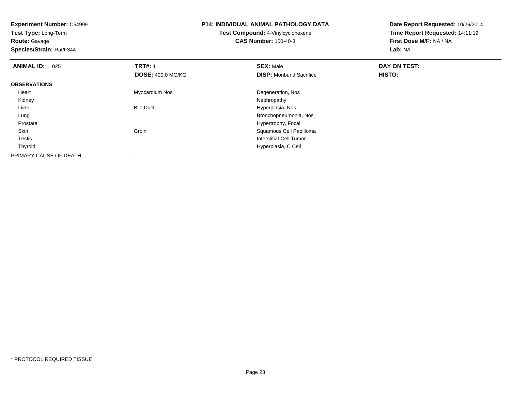**Experiment Number:** C54999**Test Type:** Long-Term**Route:** Gavage **Species/Strain:** Rat/F344**P14: INDIVIDUAL ANIMAL PATHOLOGY DATATest Compound:** 4-Vinylcyclohexene**CAS Number:** 100-40-3**Date Report Requested:** 10/26/2014**Time Report Requested:** 14:11:19**First Dose M/F:** NA / NA**Lab:** NA**ANIMAL ID:** 1\_025 **TRT#:** <sup>1</sup> **SEX:** Male **DAY ON TEST: DOSE:** 400.0 MG/KG**DISP:** Moribund Sacrifice **HISTO: OBSERVATIONS** Heart Myocardium Nos Degeneration, Nos Kidneyy the control of the control of the control of the control of the control of the control of the control of the control of the control of the control of the control of the control of the control of the control of the contro LiverBile Duct **Hyperplasia**, Nos Bronchopneumonia, Nos Lung ProstateHypertrophy, Focal<br>Groin Groin Communication of the Squamous Cell Pap SkinSquamous Cell Papilloma Testis Interstitial-Cell Tumor Thyroid Hyperplasia, C Cell PRIMARY CAUSE OF DEATH-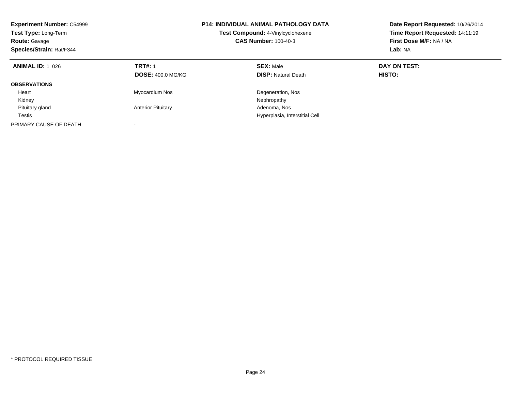| <b>Experiment Number: C54999</b><br>Test Compound: 4-Vinylcyclohexene<br>Test Type: Long-Term<br><b>CAS Number: 100-40-3</b><br><b>Route: Gavage</b><br>Species/Strain: Rat/F344 |                                            | <b>P14: INDIVIDUAL ANIMAL PATHOLOGY DATA</b>   | Date Report Requested: 10/26/2014<br>Time Report Requested: 14:11:19<br>First Dose M/F: NA / NA<br>Lab: NA |
|----------------------------------------------------------------------------------------------------------------------------------------------------------------------------------|--------------------------------------------|------------------------------------------------|------------------------------------------------------------------------------------------------------------|
| <b>ANIMAL ID: 1 026</b>                                                                                                                                                          | <b>TRT#: 1</b><br><b>DOSE: 400.0 MG/KG</b> | <b>SEX: Male</b><br><b>DISP:</b> Natural Death | DAY ON TEST:<br>HISTO:                                                                                     |
| <b>OBSERVATIONS</b>                                                                                                                                                              |                                            |                                                |                                                                                                            |
| Heart                                                                                                                                                                            | Myocardium Nos                             | Degeneration, Nos                              |                                                                                                            |
| Kidney                                                                                                                                                                           |                                            | Nephropathy                                    |                                                                                                            |
| Pituitary gland                                                                                                                                                                  | <b>Anterior Pituitary</b>                  | Adenoma, Nos                                   |                                                                                                            |
| Testis                                                                                                                                                                           |                                            | Hyperplasia, Interstitial Cell                 |                                                                                                            |
| PRIMARY CAUSE OF DEATH                                                                                                                                                           |                                            |                                                |                                                                                                            |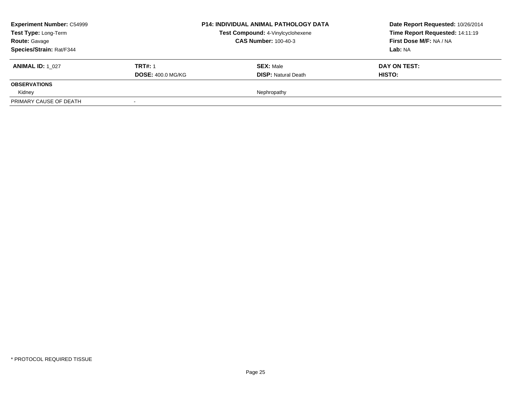| <b>Experiment Number: C54999</b><br>Test Type: Long-Term |                          | <b>P14: INDIVIDUAL ANIMAL PATHOLOGY DATA</b> | Date Report Requested: 10/26/2014 |
|----------------------------------------------------------|--------------------------|----------------------------------------------|-----------------------------------|
|                                                          |                          | Test Compound: 4-Vinylcyclohexene            | Time Report Requested: 14:11:19   |
| <b>Route: Gavage</b>                                     |                          | <b>CAS Number: 100-40-3</b>                  | First Dose M/F: NA / NA           |
| Species/Strain: Rat/F344                                 |                          |                                              | Lab: NA                           |
| <b>ANIMAL ID: 1 027</b>                                  | <b>TRT#: 1</b>           | <b>SEX: Male</b>                             | DAY ON TEST:                      |
|                                                          | <b>DOSE: 400.0 MG/KG</b> | <b>DISP:</b> Natural Death                   | <b>HISTO:</b>                     |
| <b>OBSERVATIONS</b>                                      |                          |                                              |                                   |
| Kidney                                                   |                          | Nephropathy                                  |                                   |
| PRIMARY CAUSE OF DEATH                                   |                          |                                              |                                   |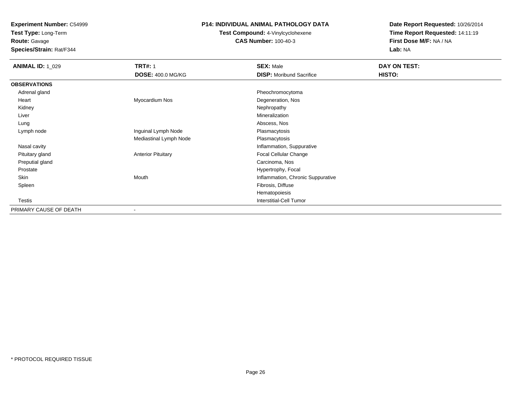**Test Type:** Long-Term

**Route:** Gavage

**Species/Strain:** Rat/F344

### **P14: INDIVIDUAL ANIMAL PATHOLOGY DATA**

**Test Compound:** 4-Vinylcyclohexene**CAS Number:** 100-40-3

| <b>ANIMAL ID: 1_029</b> | <b>TRT#: 1</b>            | <b>SEX: Male</b>                  | DAY ON TEST: |
|-------------------------|---------------------------|-----------------------------------|--------------|
|                         | DOSE: 400.0 MG/KG         | <b>DISP: Moribund Sacrifice</b>   | HISTO:       |
| <b>OBSERVATIONS</b>     |                           |                                   |              |
| Adrenal gland           |                           | Pheochromocytoma                  |              |
| Heart                   | Myocardium Nos            | Degeneration, Nos                 |              |
| Kidney                  |                           | Nephropathy                       |              |
| Liver                   |                           | Mineralization                    |              |
| Lung                    |                           | Abscess, Nos                      |              |
| Lymph node              | Inguinal Lymph Node       | Plasmacytosis                     |              |
|                         | Mediastinal Lymph Node    | Plasmacytosis                     |              |
| Nasal cavity            |                           | Inflammation, Suppurative         |              |
| Pituitary gland         | <b>Anterior Pituitary</b> | Focal Cellular Change             |              |
| Preputial gland         |                           | Carcinoma, Nos                    |              |
| Prostate                |                           | Hypertrophy, Focal                |              |
| Skin                    | Mouth                     | Inflammation, Chronic Suppurative |              |
| Spleen                  |                           | Fibrosis, Diffuse                 |              |
|                         |                           | Hematopoiesis                     |              |
| <b>Testis</b>           |                           | Interstitial-Cell Tumor           |              |
| PRIMARY CAUSE OF DEATH  | $\blacksquare$            |                                   |              |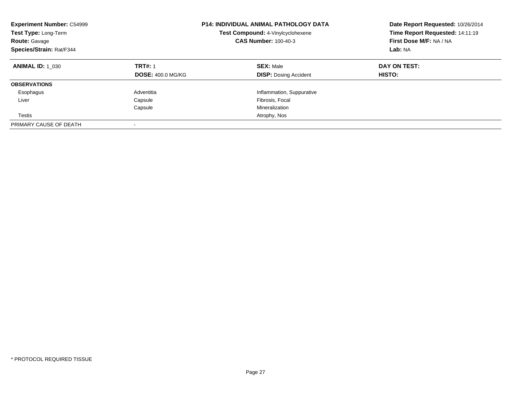| <b>Experiment Number: C54999</b><br><b>Test Type: Long-Term</b><br><b>Route: Gavage</b><br>Species/Strain: Rat/F344 |                                            | <b>P14: INDIVIDUAL ANIMAL PATHOLOGY DATA</b><br>Test Compound: 4-Vinylcyclohexene<br><b>CAS Number: 100-40-3</b> | Date Report Requested: 10/26/2014<br>Time Report Requested: 14:11:19<br>First Dose M/F: NA / NA<br>Lab: NA |  |
|---------------------------------------------------------------------------------------------------------------------|--------------------------------------------|------------------------------------------------------------------------------------------------------------------|------------------------------------------------------------------------------------------------------------|--|
| <b>ANIMAL ID: 1 030</b>                                                                                             | <b>TRT#: 1</b><br><b>DOSE: 400.0 MG/KG</b> | <b>SEX: Male</b><br><b>DISP:</b> Dosing Accident                                                                 | DAY ON TEST:<br>HISTO:                                                                                     |  |
| <b>OBSERVATIONS</b>                                                                                                 |                                            |                                                                                                                  |                                                                                                            |  |
| Esophagus                                                                                                           | Adventitia                                 | Inflammation, Suppurative                                                                                        |                                                                                                            |  |
| Liver                                                                                                               | Capsule                                    | Fibrosis, Focal                                                                                                  |                                                                                                            |  |
|                                                                                                                     | Capsule                                    | Mineralization                                                                                                   |                                                                                                            |  |
| Testis                                                                                                              |                                            | Atrophy, Nos                                                                                                     |                                                                                                            |  |
| PRIMARY CAUSE OF DEATH                                                                                              |                                            |                                                                                                                  |                                                                                                            |  |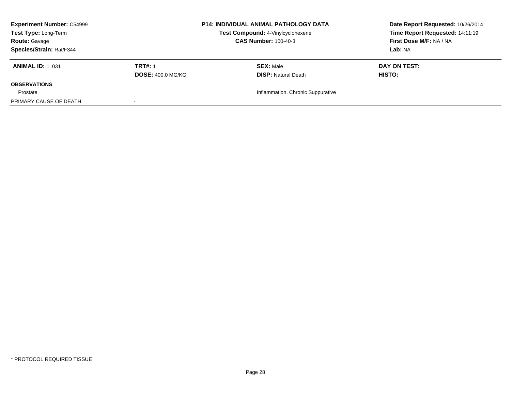| <b>Experiment Number: C54999</b><br>Test Type: Long-Term<br><b>Route: Gavage</b><br>Species/Strain: Rat/F344 |                          | <b>P14: INDIVIDUAL ANIMAL PATHOLOGY DATA</b> | Date Report Requested: 10/26/2014<br>Time Report Requested: 14:11:19 |  |
|--------------------------------------------------------------------------------------------------------------|--------------------------|----------------------------------------------|----------------------------------------------------------------------|--|
|                                                                                                              |                          | Test Compound: 4-Vinylcyclohexene            |                                                                      |  |
|                                                                                                              |                          | <b>CAS Number: 100-40-3</b>                  | First Dose M/F: NA / NA                                              |  |
|                                                                                                              |                          |                                              | Lab: NA                                                              |  |
| <b>ANIMAL ID: 1 031</b>                                                                                      | <b>TRT#: 1</b>           | <b>SEX: Male</b>                             | DAY ON TEST:                                                         |  |
|                                                                                                              | <b>DOSE: 400.0 MG/KG</b> | <b>DISP:</b> Natural Death                   | <b>HISTO:</b>                                                        |  |
| <b>OBSERVATIONS</b>                                                                                          |                          |                                              |                                                                      |  |
| Prostate                                                                                                     |                          | Inflammation, Chronic Suppurative            |                                                                      |  |
| PRIMARY CAUSE OF DEATH                                                                                       |                          |                                              |                                                                      |  |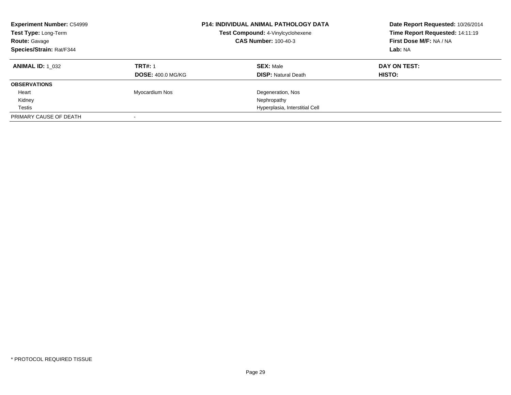| <b>Experiment Number: C54999</b><br>Test Type: Long-Term<br><b>Route: Gavage</b><br>Species/Strain: Rat/F344 |                          | <b>P14: INDIVIDUAL ANIMAL PATHOLOGY DATA</b><br>Test Compound: 4-Vinylcyclohexene<br><b>CAS Number: 100-40-3</b> | Date Report Requested: 10/26/2014<br>Time Report Requested: 14:11:19<br>First Dose M/F: NA / NA<br>Lab: NA |  |
|--------------------------------------------------------------------------------------------------------------|--------------------------|------------------------------------------------------------------------------------------------------------------|------------------------------------------------------------------------------------------------------------|--|
| <b>ANIMAL ID: 1 032</b>                                                                                      | <b>TRT#: 1</b>           | <b>SEX: Male</b>                                                                                                 | DAY ON TEST:                                                                                               |  |
|                                                                                                              | <b>DOSE: 400.0 MG/KG</b> | <b>DISP:</b> Natural Death                                                                                       | <b>HISTO:</b>                                                                                              |  |
| <b>OBSERVATIONS</b>                                                                                          |                          |                                                                                                                  |                                                                                                            |  |
| Heart                                                                                                        | Myocardium Nos           | Degeneration, Nos                                                                                                |                                                                                                            |  |
| Kidney                                                                                                       |                          | Nephropathy                                                                                                      |                                                                                                            |  |
| Testis                                                                                                       |                          | Hyperplasia, Interstitial Cell                                                                                   |                                                                                                            |  |
| PRIMARY CAUSE OF DEATH                                                                                       |                          |                                                                                                                  |                                                                                                            |  |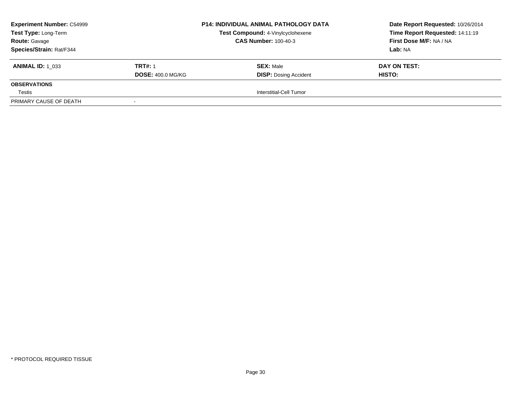| <b>Experiment Number: C54999</b><br>Test Type: Long-Term<br><b>Route: Gavage</b> |                          | <b>P14: INDIVIDUAL ANIMAL PATHOLOGY DATA</b> | Date Report Requested: 10/26/2014<br>Time Report Requested: 14:11:19 |  |
|----------------------------------------------------------------------------------|--------------------------|----------------------------------------------|----------------------------------------------------------------------|--|
|                                                                                  |                          | Test Compound: 4-Vinylcyclohexene            |                                                                      |  |
|                                                                                  |                          | <b>CAS Number: 100-40-3</b>                  | First Dose M/F: NA / NA                                              |  |
| Species/Strain: Rat/F344                                                         |                          |                                              | Lab: NA                                                              |  |
| <b>ANIMAL ID:</b> 1 033                                                          | <b>TRT#: 1</b>           | <b>SEX: Male</b>                             | DAY ON TEST:                                                         |  |
|                                                                                  | <b>DOSE: 400.0 MG/KG</b> | <b>DISP: Dosing Accident</b>                 | <b>HISTO:</b>                                                        |  |
| <b>OBSERVATIONS</b>                                                              |                          |                                              |                                                                      |  |
| Testis                                                                           |                          | Interstitial-Cell Tumor                      |                                                                      |  |
| PRIMARY CAUSE OF DEATH                                                           |                          |                                              |                                                                      |  |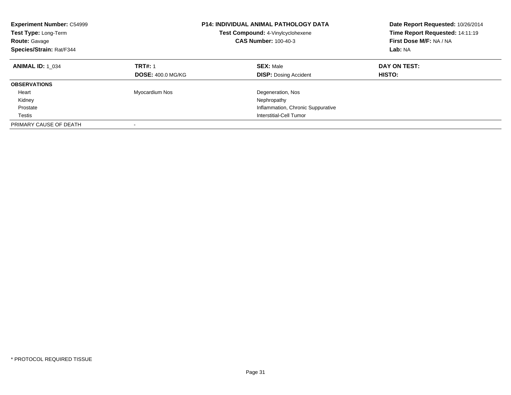| <b>Experiment Number: C54999</b><br>Test Type: Long-Term<br><b>Route: Gavage</b><br>Species/Strain: Rat/F344 |                                            | <b>P14: INDIVIDUAL ANIMAL PATHOLOGY DATA</b><br>Test Compound: 4-Vinylcyclohexene<br><b>CAS Number: 100-40-3</b> | Date Report Requested: 10/26/2014<br>Time Report Requested: 14:11:19<br>First Dose M/F: NA / NA<br>Lab: NA |  |
|--------------------------------------------------------------------------------------------------------------|--------------------------------------------|------------------------------------------------------------------------------------------------------------------|------------------------------------------------------------------------------------------------------------|--|
| <b>ANIMAL ID: 1 034</b>                                                                                      | <b>TRT#: 1</b><br><b>DOSE: 400.0 MG/KG</b> | <b>SEX: Male</b><br><b>DISP:</b> Dosing Accident                                                                 | DAY ON TEST:<br>HISTO:                                                                                     |  |
| <b>OBSERVATIONS</b>                                                                                          |                                            |                                                                                                                  |                                                                                                            |  |
| Heart                                                                                                        | Myocardium Nos                             | Degeneration, Nos                                                                                                |                                                                                                            |  |
| Kidney                                                                                                       |                                            | Nephropathy                                                                                                      |                                                                                                            |  |
| Prostate                                                                                                     |                                            | Inflammation, Chronic Suppurative                                                                                |                                                                                                            |  |
| Testis                                                                                                       |                                            | Interstitial-Cell Tumor                                                                                          |                                                                                                            |  |
| PRIMARY CAUSE OF DEATH                                                                                       |                                            |                                                                                                                  |                                                                                                            |  |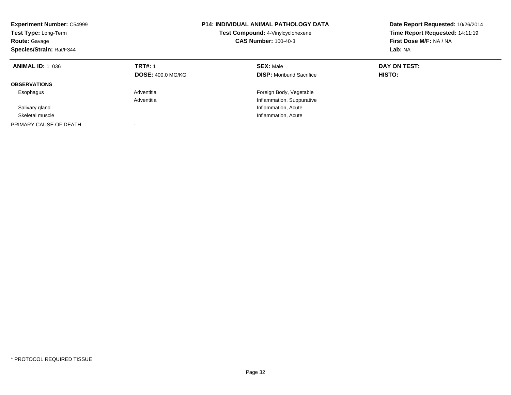| <b>Experiment Number: C54999</b><br>Test Type: Long-Term<br><b>Route: Gavage</b><br>Species/Strain: Rat/F344 |                                            | <b>P14: INDIVIDUAL ANIMAL PATHOLOGY DATA</b><br>Test Compound: 4-Vinylcyclohexene<br><b>CAS Number: 100-40-3</b> | Date Report Requested: 10/26/2014<br>Time Report Requested: 14:11:19<br>First Dose M/F: NA / NA<br>Lab: NA |  |
|--------------------------------------------------------------------------------------------------------------|--------------------------------------------|------------------------------------------------------------------------------------------------------------------|------------------------------------------------------------------------------------------------------------|--|
| <b>ANIMAL ID: 1 036</b>                                                                                      | <b>TRT#: 1</b><br><b>DOSE: 400.0 MG/KG</b> | <b>SEX: Male</b><br><b>DISP:</b> Moribund Sacrifice                                                              | DAY ON TEST:<br>HISTO:                                                                                     |  |
| <b>OBSERVATIONS</b>                                                                                          |                                            |                                                                                                                  |                                                                                                            |  |
| Esophagus                                                                                                    | Adventitia                                 | Foreign Body, Vegetable                                                                                          |                                                                                                            |  |
|                                                                                                              | Adventitia                                 | Inflammation, Suppurative                                                                                        |                                                                                                            |  |
| Salivary gland                                                                                               |                                            | Inflammation, Acute                                                                                              |                                                                                                            |  |
| Skeletal muscle                                                                                              |                                            | Inflammation, Acute                                                                                              |                                                                                                            |  |
| PRIMARY CAUSE OF DEATH                                                                                       | $\overline{\phantom{a}}$                   |                                                                                                                  |                                                                                                            |  |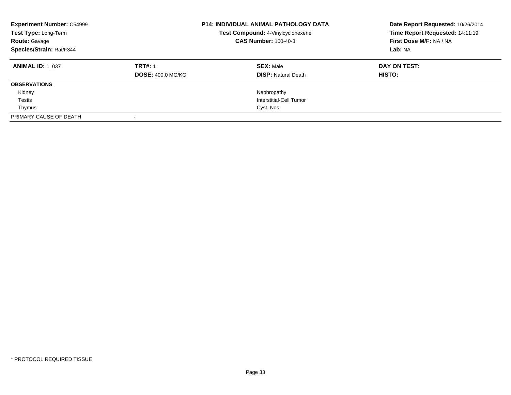| <b>Experiment Number: C54999</b><br>Test Type: Long-Term<br><b>Route: Gavage</b><br>Species/Strain: Rat/F344 |                          | <b>P14: INDIVIDUAL ANIMAL PATHOLOGY DATA</b><br>Test Compound: 4-Vinylcyclohexene<br><b>CAS Number: 100-40-3</b> | Date Report Requested: 10/26/2014<br>Time Report Requested: 14:11:19<br>First Dose M/F: NA / NA<br>Lab: NA |  |
|--------------------------------------------------------------------------------------------------------------|--------------------------|------------------------------------------------------------------------------------------------------------------|------------------------------------------------------------------------------------------------------------|--|
| <b>ANIMAL ID: 1 037</b>                                                                                      | <b>TRT#: 1</b>           | <b>SEX: Male</b>                                                                                                 | DAY ON TEST:                                                                                               |  |
|                                                                                                              | <b>DOSE: 400.0 MG/KG</b> | <b>DISP:</b> Natural Death                                                                                       | HISTO:                                                                                                     |  |
| <b>OBSERVATIONS</b>                                                                                          |                          |                                                                                                                  |                                                                                                            |  |
| Kidney                                                                                                       |                          | Nephropathy                                                                                                      |                                                                                                            |  |
| Testis                                                                                                       |                          | Interstitial-Cell Tumor                                                                                          |                                                                                                            |  |
| Thymus                                                                                                       |                          | Cyst, Nos                                                                                                        |                                                                                                            |  |
| PRIMARY CAUSE OF DEATH                                                                                       |                          |                                                                                                                  |                                                                                                            |  |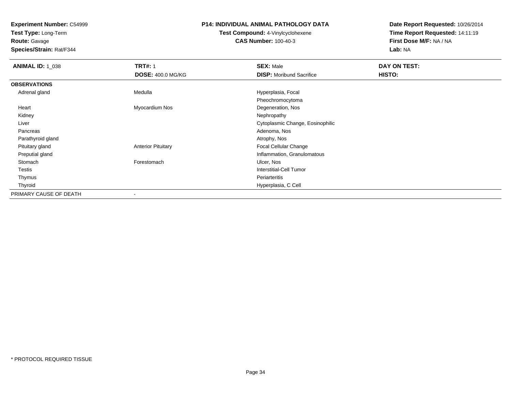**Test Type:** Long-Term

**Route:** Gavage

**Species/Strain:** Rat/F344

### **P14: INDIVIDUAL ANIMAL PATHOLOGY DATA**

# **Test Compound:** 4-Vinylcyclohexene**CAS Number:** 100-40-3

| <b>ANIMAL ID: 1_038</b> | <b>TRT#: 1</b>            | <b>SEX: Male</b>                 | DAY ON TEST:  |  |
|-------------------------|---------------------------|----------------------------------|---------------|--|
|                         | <b>DOSE: 400.0 MG/KG</b>  | <b>DISP:</b> Moribund Sacrifice  | <b>HISTO:</b> |  |
| <b>OBSERVATIONS</b>     |                           |                                  |               |  |
| Adrenal gland           | Medulla                   | Hyperplasia, Focal               |               |  |
|                         |                           | Pheochromocytoma                 |               |  |
| Heart                   | Myocardium Nos            | Degeneration, Nos                |               |  |
| Kidney                  |                           | Nephropathy                      |               |  |
| Liver                   |                           | Cytoplasmic Change, Eosinophilic |               |  |
| Pancreas                |                           | Adenoma, Nos                     |               |  |
| Parathyroid gland       |                           | Atrophy, Nos                     |               |  |
| Pituitary gland         | <b>Anterior Pituitary</b> | Focal Cellular Change            |               |  |
| Preputial gland         |                           | Inflammation, Granulomatous      |               |  |
| Stomach                 | Forestomach               | Ulcer, Nos                       |               |  |
| Testis                  |                           | <b>Interstitial-Cell Tumor</b>   |               |  |
| Thymus                  |                           | Periarteritis                    |               |  |
| Thyroid                 |                           | Hyperplasia, C Cell              |               |  |
| PRIMARY CAUSE OF DEATH  |                           |                                  |               |  |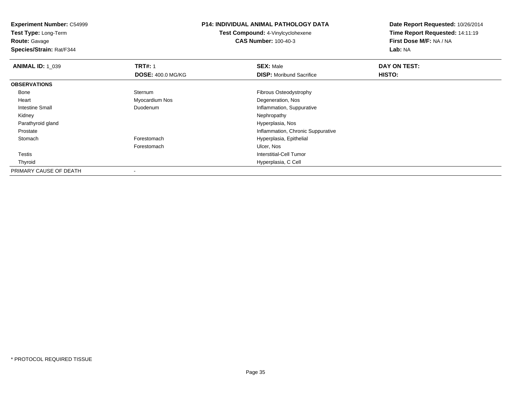**Experiment Number:** C54999**Test Type:** Long-Term**Route:** Gavage **Species/Strain:** Rat/F344**P14: INDIVIDUAL ANIMAL PATHOLOGY DATATest Compound:** 4-Vinylcyclohexene**CAS Number:** 100-40-3**Date Report Requested:** 10/26/2014**Time Report Requested:** 14:11:19**First Dose M/F:** NA / NA**Lab:** NA**ANIMAL ID: 1\_039 9 TRT#:** 1 **SEX:** Male **SEX:** Male **DAY ON TEST: DOSE:** 400.0 MG/KG**DISP:** Moribund Sacrifice **HISTO: OBSERVATIONS** Bonee Sternum Sternum **Exercise Sternum Fibrous Osteodystrophy**  Heart Myocardium Nos Degeneration, Nos Intestine Small DuodenumInflammation, Suppurative<br>Nephropathy Kidneyy the control of the control of the control of the control of the control of the control of the control of the control of the control of the control of the control of the control of the control of the control of the contro Parathyroid gland Hyperplasia, Nos ProstateInflammation, Chronic Suppurative<br>
Forestomach extensive matrix of the Hyperplasia, Epithelial StomachHyperplasia, Epithelial Forestomach Ulcer, Nos Testis Interstitial-Cell Tumor Thyroid Hyperplasia, C Cell PRIMARY CAUSE OF DEATH

-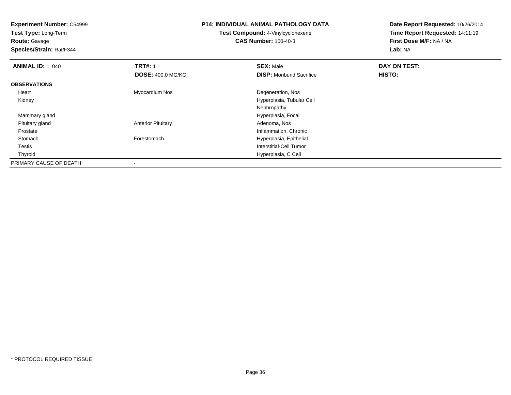**Experiment Number:** C54999**Test Type:** Long-Term**Route:** Gavage **Species/Strain:** Rat/F344**P14: INDIVIDUAL ANIMAL PATHOLOGY DATATest Compound:** 4-Vinylcyclohexene**CAS Number:** 100-40-3**Date Report Requested:** 10/26/2014**Time Report Requested:** 14:11:19**First Dose M/F:** NA / NA**Lab:** NA**ANIMAL ID: 1\_040 C TRT#:** 1 **SEX:** Male **DAY ON TEST: DOSE:** 400.0 MG/KG**DISP:** Moribund Sacrifice **HISTO: OBSERVATIONS** Heart Myocardium Nos Degeneration, Nos Kidney Hyperplasia, Tubular Cell Nephropathyd **Hyperplasia, Focal**  Mammary gland Pituitary glandAnterior Pituitary **Adenoma, Nos** Adenoma, Nos ProstateInflammation, Chronic<br>Forestomach entity and the Hotel Hyperplasia, Epithelial StomachHyperplasia, Epithelial Testis Interstitial-Cell Tumor Thyroid Hyperplasia, C Cell PRIMARY CAUSE OF DEATH-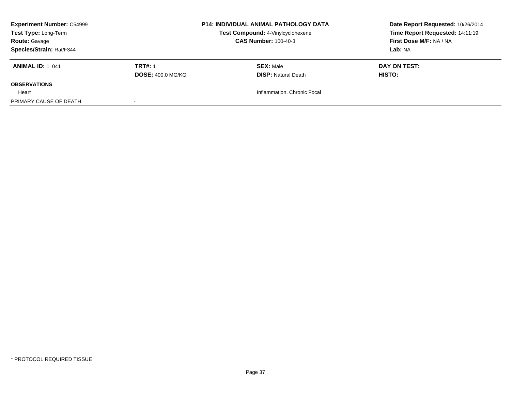| <b>Experiment Number: C54999</b> |                          | <b>P14: INDIVIDUAL ANIMAL PATHOLOGY DATA</b> | Date Report Requested: 10/26/2014 |
|----------------------------------|--------------------------|----------------------------------------------|-----------------------------------|
| Test Type: Long-Term             |                          | Test Compound: 4-Vinylcyclohexene            | Time Report Requested: 14:11:19   |
| <b>Route: Gavage</b>             |                          | <b>CAS Number: 100-40-3</b>                  | First Dose M/F: NA / NA           |
| Species/Strain: Rat/F344         |                          |                                              | Lab: NA                           |
| <b>ANIMAL ID: 1 041</b>          | <b>TRT#: 1</b>           | <b>SEX: Male</b>                             | DAY ON TEST:                      |
|                                  | <b>DOSE: 400.0 MG/KG</b> | <b>DISP: Natural Death</b>                   | <b>HISTO:</b>                     |
| <b>OBSERVATIONS</b>              |                          |                                              |                                   |
| Heart                            |                          | Inflammation, Chronic Focal                  |                                   |
| PRIMARY CAUSE OF DEATH           |                          |                                              |                                   |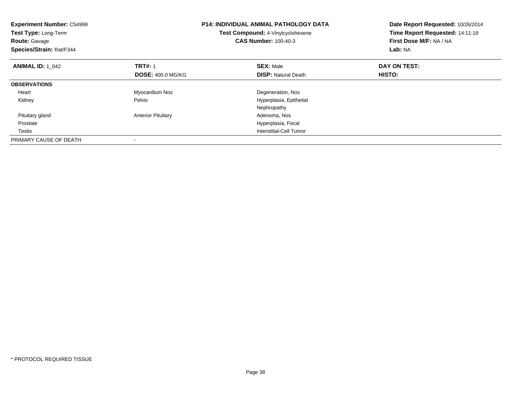| <b>Experiment Number: C54999</b><br>Test Type: Long-Term<br><b>Route: Gavage</b><br>Species/Strain: Rat/F344 |                           | <b>P14: INDIVIDUAL ANIMAL PATHOLOGY DATA</b><br>Test Compound: 4-Vinylcyclohexene<br><b>CAS Number: 100-40-3</b> | Date Report Requested: 10/26/2014<br>Time Report Requested: 14:11:19<br>First Dose M/F: NA / NA<br>Lab: NA |
|--------------------------------------------------------------------------------------------------------------|---------------------------|------------------------------------------------------------------------------------------------------------------|------------------------------------------------------------------------------------------------------------|
| <b>ANIMAL ID: 1 042</b>                                                                                      | <b>TRT#: 1</b>            | <b>SEX: Male</b>                                                                                                 | DAY ON TEST:                                                                                               |
|                                                                                                              | <b>DOSE: 400.0 MG/KG</b>  | <b>DISP:</b> Natural Death                                                                                       | <b>HISTO:</b>                                                                                              |
| <b>OBSERVATIONS</b>                                                                                          |                           |                                                                                                                  |                                                                                                            |
| Heart                                                                                                        | Myocardium Nos            | Degeneration, Nos                                                                                                |                                                                                                            |
| Kidney                                                                                                       | Pelvis                    | Hyperplasia, Epithelial                                                                                          |                                                                                                            |
|                                                                                                              |                           | Nephropathy                                                                                                      |                                                                                                            |
| Pituitary gland                                                                                              | <b>Anterior Pituitary</b> | Adenoma, Nos                                                                                                     |                                                                                                            |
| Prostate                                                                                                     |                           | Hyperplasia, Focal                                                                                               |                                                                                                            |
| Testis                                                                                                       |                           | Interstitial-Cell Tumor                                                                                          |                                                                                                            |
| PRIMARY CAUSE OF DEATH                                                                                       |                           |                                                                                                                  |                                                                                                            |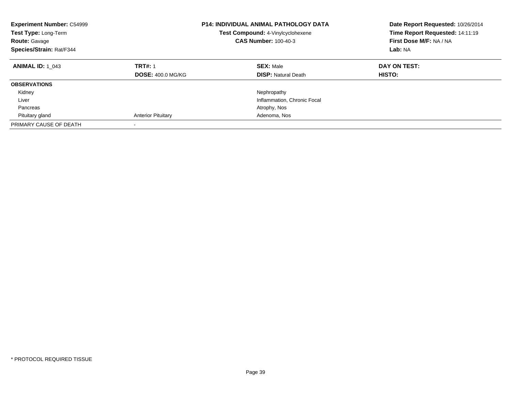| <b>Experiment Number: C54999</b><br><b>Test Type: Long-Term</b><br><b>Route: Gavage</b><br>Species/Strain: Rat/F344 |                                            | <b>P14: INDIVIDUAL ANIMAL PATHOLOGY DATA</b><br>Test Compound: 4-Vinylcyclohexene<br><b>CAS Number: 100-40-3</b> | Date Report Requested: 10/26/2014<br>Time Report Requested: 14:11:19<br>First Dose M/F: NA / NA<br>Lab: NA |
|---------------------------------------------------------------------------------------------------------------------|--------------------------------------------|------------------------------------------------------------------------------------------------------------------|------------------------------------------------------------------------------------------------------------|
| <b>ANIMAL ID: 1 043</b>                                                                                             | <b>TRT#: 1</b><br><b>DOSE: 400.0 MG/KG</b> | <b>SEX: Male</b><br><b>DISP:</b> Natural Death                                                                   | DAY ON TEST:<br><b>HISTO:</b>                                                                              |
| <b>OBSERVATIONS</b>                                                                                                 |                                            |                                                                                                                  |                                                                                                            |
| Kidney                                                                                                              |                                            | Nephropathy                                                                                                      |                                                                                                            |
| Liver                                                                                                               |                                            | Inflammation, Chronic Focal                                                                                      |                                                                                                            |
| Pancreas                                                                                                            |                                            | Atrophy, Nos                                                                                                     |                                                                                                            |
| Pituitary gland                                                                                                     | <b>Anterior Pituitary</b>                  | Adenoma, Nos                                                                                                     |                                                                                                            |
| PRIMARY CAUSE OF DEATH                                                                                              | $\overline{\phantom{a}}$                   |                                                                                                                  |                                                                                                            |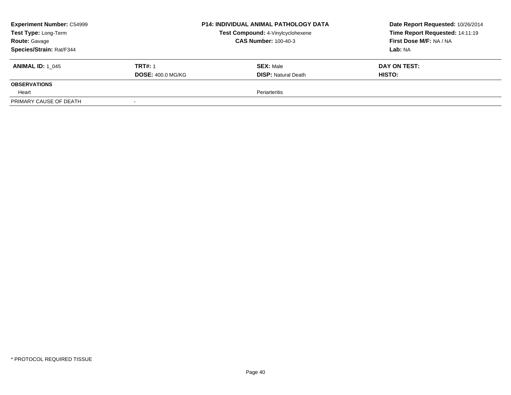| <b>Experiment Number: C54999</b> |                          | <b>P14: INDIVIDUAL ANIMAL PATHOLOGY DATA</b> | Date Report Requested: 10/26/2014 |
|----------------------------------|--------------------------|----------------------------------------------|-----------------------------------|
| Test Type: Long-Term             |                          | Test Compound: 4-Vinylcyclohexene            | Time Report Requested: 14:11:19   |
| <b>Route: Gavage</b>             |                          | <b>CAS Number: 100-40-3</b>                  | First Dose M/F: NA / NA           |
| Species/Strain: Rat/F344         |                          |                                              | Lab: NA                           |
| <b>ANIMAL ID: 1 045</b>          | <b>TRT#: 1</b>           | <b>SEX: Male</b>                             | DAY ON TEST:                      |
|                                  | <b>DOSE: 400.0 MG/KG</b> | <b>DISP: Natural Death</b>                   | <b>HISTO:</b>                     |
| <b>OBSERVATIONS</b>              |                          |                                              |                                   |
| Heart                            |                          | Periarteritis                                |                                   |
| PRIMARY CAUSE OF DEATH           |                          |                                              |                                   |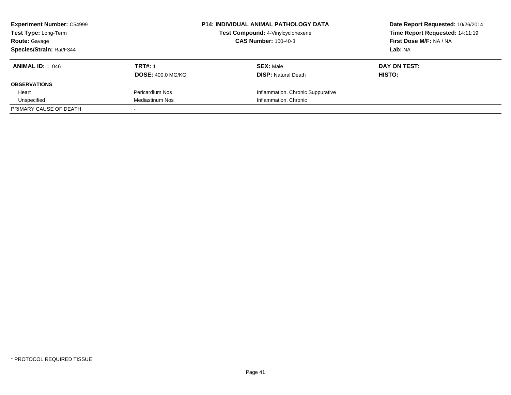| <b>Experiment Number: C54999</b><br>Test Type: Long-Term<br><b>Route: Gavage</b> |                          | <b>P14: INDIVIDUAL ANIMAL PATHOLOGY DATA</b><br>Test Compound: 4-Vinylcyclohexene<br><b>CAS Number: 100-40-3</b> | Date Report Requested: 10/26/2014<br>Time Report Requested: 14:11:19<br>First Dose M/F: NA / NA |
|----------------------------------------------------------------------------------|--------------------------|------------------------------------------------------------------------------------------------------------------|-------------------------------------------------------------------------------------------------|
| <b>Species/Strain: Rat/F344</b>                                                  |                          |                                                                                                                  | Lab: NA                                                                                         |
| <b>ANIMAL ID: 1 046</b>                                                          | <b>TRT#: 1</b>           | <b>SEX: Male</b>                                                                                                 | DAY ON TEST:                                                                                    |
|                                                                                  | <b>DOSE: 400.0 MG/KG</b> | <b>DISP:</b> Natural Death                                                                                       | HISTO:                                                                                          |
| <b>OBSERVATIONS</b>                                                              |                          |                                                                                                                  |                                                                                                 |
| Heart                                                                            | Pericardium Nos          | Inflammation, Chronic Suppurative                                                                                |                                                                                                 |
| Unspecified                                                                      | <b>Mediastinum Nos</b>   | Inflammation, Chronic                                                                                            |                                                                                                 |
| PRIMARY CAUSE OF DEATH                                                           |                          |                                                                                                                  |                                                                                                 |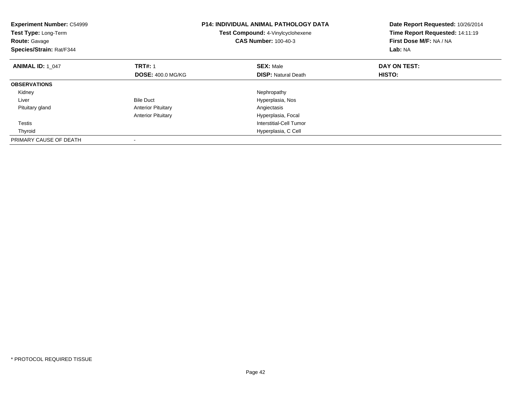| <b>Experiment Number: C54999</b><br>Test Type: Long-Term<br><b>Route: Gavage</b><br>Species/Strain: Rat/F344 |                           | P14: INDIVIDUAL ANIMAL PATHOLOGY DATA<br>Test Compound: 4-Vinylcyclohexene<br><b>CAS Number: 100-40-3</b> | Date Report Requested: 10/26/2014<br>Time Report Requested: 14:11:19<br>First Dose M/F: NA / NA<br>Lab: NA |
|--------------------------------------------------------------------------------------------------------------|---------------------------|-----------------------------------------------------------------------------------------------------------|------------------------------------------------------------------------------------------------------------|
| <b>ANIMAL ID: 1 047</b>                                                                                      | <b>TRT#: 1</b>            | <b>SEX: Male</b>                                                                                          | DAY ON TEST:                                                                                               |
|                                                                                                              | <b>DOSE: 400.0 MG/KG</b>  | <b>DISP: Natural Death</b>                                                                                | HISTO:                                                                                                     |
| <b>OBSERVATIONS</b>                                                                                          |                           |                                                                                                           |                                                                                                            |
| Kidney                                                                                                       |                           | Nephropathy                                                                                               |                                                                                                            |
| Liver                                                                                                        | <b>Bile Duct</b>          | Hyperplasia, Nos                                                                                          |                                                                                                            |
| Pituitary gland                                                                                              | <b>Anterior Pituitary</b> | Angiectasis                                                                                               |                                                                                                            |
|                                                                                                              | <b>Anterior Pituitary</b> | Hyperplasia, Focal                                                                                        |                                                                                                            |
| Testis                                                                                                       |                           | <b>Interstitial-Cell Tumor</b>                                                                            |                                                                                                            |
| Thyroid                                                                                                      |                           | Hyperplasia, C Cell                                                                                       |                                                                                                            |
| PRIMARY CAUSE OF DEATH                                                                                       |                           |                                                                                                           |                                                                                                            |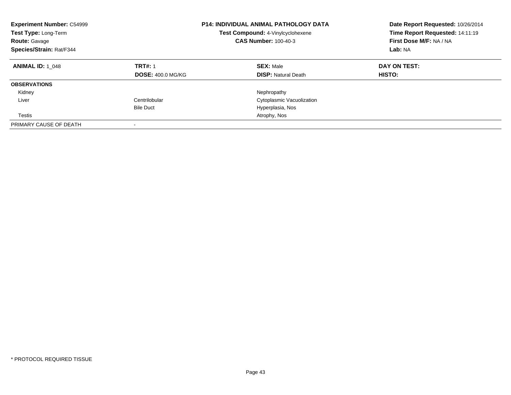| <b>Experiment Number: C54999</b><br>Test Type: Long-Term<br><b>Route: Gavage</b><br>Species/Strain: Rat/F344 |                                            | <b>P14: INDIVIDUAL ANIMAL PATHOLOGY DATA</b><br>Test Compound: 4-Vinylcyclohexene<br><b>CAS Number: 100-40-3</b> | Date Report Requested: 10/26/2014<br>Time Report Requested: 14:11:19<br>First Dose M/F: NA / NA<br>Lab: NA |
|--------------------------------------------------------------------------------------------------------------|--------------------------------------------|------------------------------------------------------------------------------------------------------------------|------------------------------------------------------------------------------------------------------------|
| <b>ANIMAL ID: 1 048</b>                                                                                      | <b>TRT#: 1</b><br><b>DOSE: 400.0 MG/KG</b> | <b>SEX: Male</b><br><b>DISP:</b> Natural Death                                                                   | DAY ON TEST:<br><b>HISTO:</b>                                                                              |
| <b>OBSERVATIONS</b>                                                                                          |                                            |                                                                                                                  |                                                                                                            |
| Kidney                                                                                                       |                                            | Nephropathy                                                                                                      |                                                                                                            |
| Liver                                                                                                        | Centrilobular                              | Cytoplasmic Vacuolization                                                                                        |                                                                                                            |
|                                                                                                              | <b>Bile Duct</b>                           | Hyperplasia, Nos                                                                                                 |                                                                                                            |
| Testis                                                                                                       |                                            | Atrophy, Nos                                                                                                     |                                                                                                            |
| PRIMARY CAUSE OF DEATH                                                                                       |                                            |                                                                                                                  |                                                                                                            |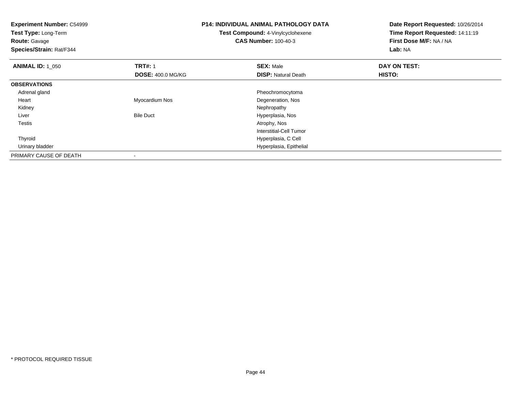| <b>Experiment Number: C54999</b><br>Test Type: Long-Term<br><b>Route: Gavage</b><br>Species/Strain: Rat/F344 |                          | <b>P14: INDIVIDUAL ANIMAL PATHOLOGY DATA</b><br>Test Compound: 4-Vinylcyclohexene<br><b>CAS Number: 100-40-3</b> | Date Report Requested: 10/26/2014<br>Time Report Requested: 14:11:19<br>First Dose M/F: NA / NA<br>Lab: NA |
|--------------------------------------------------------------------------------------------------------------|--------------------------|------------------------------------------------------------------------------------------------------------------|------------------------------------------------------------------------------------------------------------|
| <b>ANIMAL ID: 1 050</b>                                                                                      | <b>TRT#: 1</b>           | <b>SEX: Male</b>                                                                                                 | DAY ON TEST:                                                                                               |
|                                                                                                              | <b>DOSE: 400.0 MG/KG</b> | <b>DISP: Natural Death</b>                                                                                       | HISTO:                                                                                                     |
| <b>OBSERVATIONS</b>                                                                                          |                          |                                                                                                                  |                                                                                                            |
| Adrenal gland                                                                                                |                          | Pheochromocytoma                                                                                                 |                                                                                                            |
| Heart                                                                                                        | Myocardium Nos           | Degeneration, Nos                                                                                                |                                                                                                            |
| Kidney                                                                                                       |                          | Nephropathy                                                                                                      |                                                                                                            |
| Liver                                                                                                        | <b>Bile Duct</b>         | Hyperplasia, Nos                                                                                                 |                                                                                                            |
| Testis                                                                                                       |                          | Atrophy, Nos                                                                                                     |                                                                                                            |
|                                                                                                              |                          | Interstitial-Cell Tumor                                                                                          |                                                                                                            |
| Thyroid                                                                                                      |                          | Hyperplasia, C Cell                                                                                              |                                                                                                            |
| Urinary bladder                                                                                              |                          | Hyperplasia, Epithelial                                                                                          |                                                                                                            |
| PRIMARY CAUSE OF DEATH                                                                                       |                          |                                                                                                                  |                                                                                                            |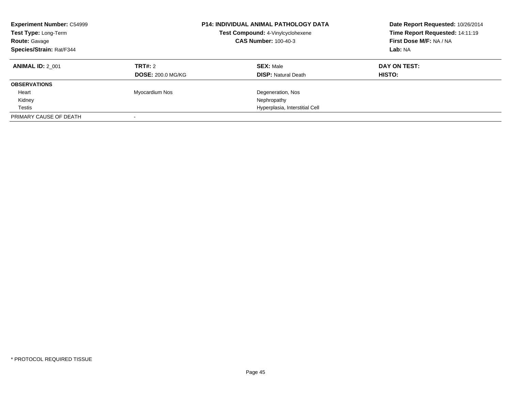| <b>Experiment Number: C54999</b><br>Test Type: Long-Term<br><b>Route: Gavage</b><br>Species/Strain: Rat/F344 |                          | <b>P14: INDIVIDUAL ANIMAL PATHOLOGY DATA</b><br>Test Compound: 4-Vinylcyclohexene<br><b>CAS Number: 100-40-3</b> | Date Report Requested: 10/26/2014<br>Time Report Requested: 14:11:19<br>First Dose M/F: NA / NA<br>Lab: NA |
|--------------------------------------------------------------------------------------------------------------|--------------------------|------------------------------------------------------------------------------------------------------------------|------------------------------------------------------------------------------------------------------------|
| <b>ANIMAL ID: 2 001</b>                                                                                      | TRT#: 2                  | <b>SEX: Male</b>                                                                                                 | DAY ON TEST:                                                                                               |
|                                                                                                              | <b>DOSE: 200.0 MG/KG</b> | <b>DISP:</b> Natural Death                                                                                       | <b>HISTO:</b>                                                                                              |
| <b>OBSERVATIONS</b>                                                                                          |                          |                                                                                                                  |                                                                                                            |
| Heart                                                                                                        | Myocardium Nos           | Degeneration, Nos                                                                                                |                                                                                                            |
| Kidney                                                                                                       |                          | Nephropathy                                                                                                      |                                                                                                            |
| Testis                                                                                                       |                          | Hyperplasia, Interstitial Cell                                                                                   |                                                                                                            |
| PRIMARY CAUSE OF DEATH                                                                                       |                          |                                                                                                                  |                                                                                                            |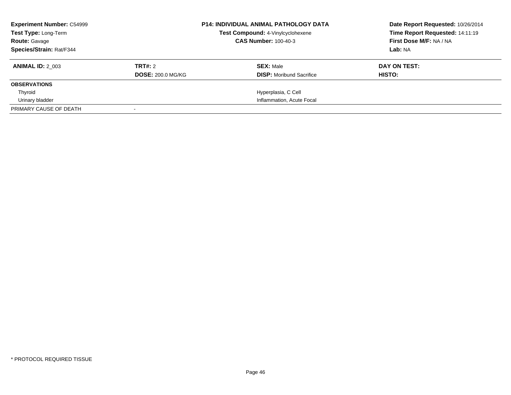| <b>Experiment Number: C54999</b><br><b>Test Type: Long-Term</b><br><b>Route: Gavage</b> |                          | <b>P14: INDIVIDUAL ANIMAL PATHOLOGY DATA</b><br>Test Compound: 4-Vinylcyclohexene<br><b>CAS Number: 100-40-3</b> | Date Report Requested: 10/26/2014<br>Time Report Requested: 14:11:19<br>First Dose M/F: NA / NA |
|-----------------------------------------------------------------------------------------|--------------------------|------------------------------------------------------------------------------------------------------------------|-------------------------------------------------------------------------------------------------|
| Species/Strain: Rat/F344                                                                |                          |                                                                                                                  | Lab: NA                                                                                         |
| <b>ANIMAL ID: 2 003</b>                                                                 | TRT#: 2                  | <b>SEX: Male</b>                                                                                                 | DAY ON TEST:                                                                                    |
|                                                                                         | <b>DOSE: 200.0 MG/KG</b> | <b>DISP:</b> Moribund Sacrifice                                                                                  | HISTO:                                                                                          |
| <b>OBSERVATIONS</b>                                                                     |                          |                                                                                                                  |                                                                                                 |
| Thyroid                                                                                 |                          | Hyperplasia, C Cell                                                                                              |                                                                                                 |
| Urinary bladder                                                                         |                          | Inflammation, Acute Focal                                                                                        |                                                                                                 |
| PRIMARY CAUSE OF DEATH                                                                  |                          |                                                                                                                  |                                                                                                 |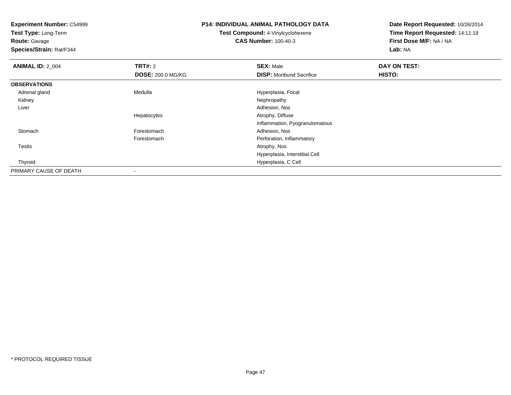**Test Type:** Long-Term

**Route:** Gavage

**Species/Strain:** Rat/F344

## **P14: INDIVIDUAL ANIMAL PATHOLOGY DATA**

**Test Compound:** 4-Vinylcyclohexene**CAS Number:** 100-40-3

| <b>ANIMAL ID: 2_004</b> | <b>TRT#: 2</b>           | <b>SEX: Male</b>                | DAY ON TEST: |  |
|-------------------------|--------------------------|---------------------------------|--------------|--|
|                         | <b>DOSE: 200.0 MG/KG</b> | <b>DISP:</b> Moribund Sacrifice | HISTO:       |  |
| <b>OBSERVATIONS</b>     |                          |                                 |              |  |
| Adrenal gland           | Medulla                  | Hyperplasia, Focal              |              |  |
| Kidney                  |                          | Nephropathy                     |              |  |
| Liver                   |                          | Adhesion, Nos                   |              |  |
|                         | Hepatocytes              | Atrophy, Diffuse                |              |  |
|                         |                          | Inflammation, Pyogranulomatous  |              |  |
| Stomach                 | Forestomach              | Adhesion, Nos                   |              |  |
|                         | Forestomach              | Perforation, Inflammatory       |              |  |
| Testis                  |                          | Atrophy, Nos                    |              |  |
|                         |                          | Hyperplasia, Interstitial Cell  |              |  |
| Thyroid                 |                          | Hyperplasia, C Cell             |              |  |
| PRIMARY CAUSE OF DEATH  |                          |                                 |              |  |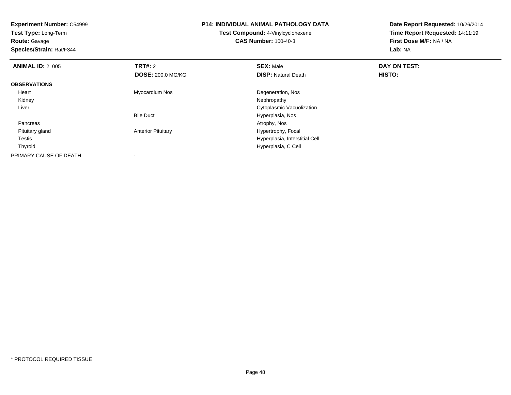**Experiment Number:** C54999**Test Type:** Long-Term**Route:** Gavage **Species/Strain:** Rat/F344**P14: INDIVIDUAL ANIMAL PATHOLOGY DATATest Compound:** 4-Vinylcyclohexene**CAS Number:** 100-40-3**Date Report Requested:** 10/26/2014**Time Report Requested:** 14:11:19**First Dose M/F:** NA / NA**Lab:** NA**ANIMAL ID: 2 005 TRT#:** <sup>2</sup> **SEX:** Male **DAY ON TEST: DOSE:** 200.0 MG/KG**DISP:** Natural Death **HISTO: OBSERVATIONS** Heart Myocardium Nos Degeneration, Nos Kidneyy the control of the control of the control of the control of the control of the control of the control of the control of the control of the control of the control of the control of the control of the control of the contro Liver Cytoplasmic VacuolizationBile Duct Hyperplasia, Nos Pancreass and the contract of the contract of the contract of the contract of the contract of the contract of the contract of  $\mathcal{A}$  Pituitary glandAnterior Pituitary **Hypertrophy, Focal**  Testis Hyperplasia, Interstitial Cell Thyroid Hyperplasia, C Cell PRIMARY CAUSE OF DEATH-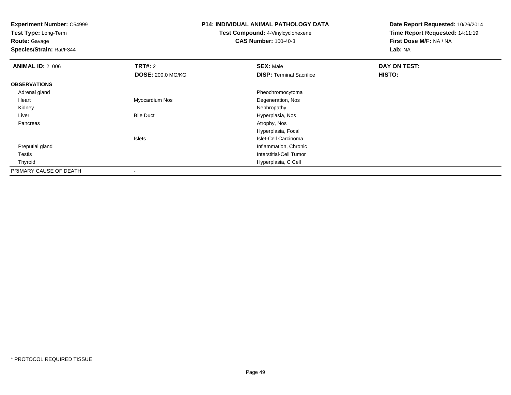**Experiment Number:** C54999**Test Type:** Long-Term**Route:** Gavage **Species/Strain:** Rat/F344**P14: INDIVIDUAL ANIMAL PATHOLOGY DATATest Compound:** 4-Vinylcyclohexene**CAS Number:** 100-40-3**Date Report Requested:** 10/26/2014**Time Report Requested:** 14:11:19**First Dose M/F:** NA / NA**Lab:** NA**ANIMAL ID: 2 006 6 DAY ON TEST: TRT#:** 2 **SEX:** Male **SEX:** Male **DOSE:** 200.0 MG/KG**DISP:** Terminal Sacrifice **HISTO: OBSERVATIONS** Adrenal gland Pheochromocytoma Heart Myocardium NosDegeneration, Nos<br>Nephropathy Kidneyy the control of the control of the control of the control of the control of the control of the control of the control of the control of the control of the control of the control of the control of the control of the contro LiverBile Duct **Hyperplasia**, Nos Pancreass and the contract of the contract of the contract of the contract of the contract of the contract of the contract of  $\mathcal{A}$ Hyperplasia, FocalIslets Islet-Cell Carcinomad
and
the contract of the contract of the contract of the contract of the contract of the contract of the contract of the contract of the contract of the contract of the contract of the contract of the contract of the cont Preputial gland Testis Interstitial-Cell Tumor Thyroid Hyperplasia, C Cell PRIMARY CAUSE OF DEATH-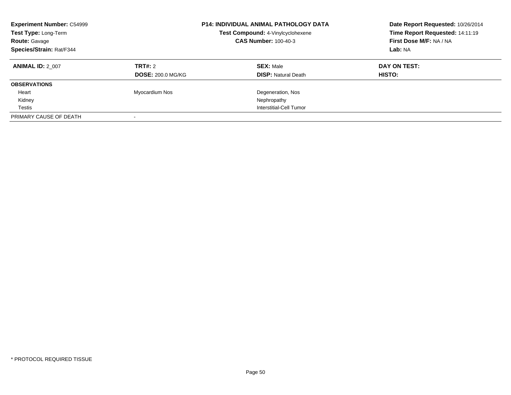| <b>Experiment Number: C54999</b><br>Test Type: Long-Term<br><b>Route: Gavage</b><br>Species/Strain: Rat/F344 |                          | <b>P14: INDIVIDUAL ANIMAL PATHOLOGY DATA</b><br>Test Compound: 4-Vinylcyclohexene<br><b>CAS Number: 100-40-3</b> | Date Report Requested: 10/26/2014<br>Time Report Requested: 14:11:19<br>First Dose M/F: NA / NA<br>Lab: NA |
|--------------------------------------------------------------------------------------------------------------|--------------------------|------------------------------------------------------------------------------------------------------------------|------------------------------------------------------------------------------------------------------------|
| <b>ANIMAL ID: 2 007</b>                                                                                      | TRT#: 2                  | <b>SEX: Male</b>                                                                                                 | DAY ON TEST:                                                                                               |
|                                                                                                              | <b>DOSE: 200.0 MG/KG</b> | <b>DISP:</b> Natural Death                                                                                       | HISTO:                                                                                                     |
| <b>OBSERVATIONS</b>                                                                                          |                          |                                                                                                                  |                                                                                                            |
| Heart                                                                                                        | Myocardium Nos           | Degeneration, Nos                                                                                                |                                                                                                            |
| Kidney                                                                                                       |                          | Nephropathy                                                                                                      |                                                                                                            |
| Testis                                                                                                       |                          | Interstitial-Cell Tumor                                                                                          |                                                                                                            |
| PRIMARY CAUSE OF DEATH                                                                                       |                          |                                                                                                                  |                                                                                                            |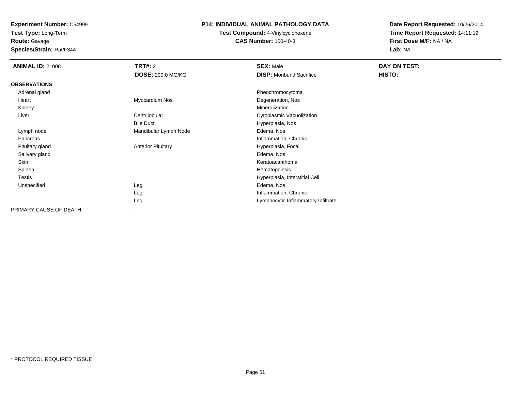**Test Type:** Long-Term

**Route:** Gavage

**Species/Strain:** Rat/F344

#### **P14: INDIVIDUAL ANIMAL PATHOLOGY DATA**

**Test Compound:** 4-Vinylcyclohexene**CAS Number:** 100-40-3

| <b>ANIMAL ID: 2_008</b> | <b>TRT#: 2</b>            | <b>SEX: Male</b>                    | DAY ON TEST: |  |
|-------------------------|---------------------------|-------------------------------------|--------------|--|
|                         | <b>DOSE: 200.0 MG/KG</b>  | <b>DISP:</b> Moribund Sacrifice     | HISTO:       |  |
| <b>OBSERVATIONS</b>     |                           |                                     |              |  |
| Adrenal gland           |                           | Pheochromocytoma                    |              |  |
| Heart                   | Myocardium Nos            | Degeneration, Nos                   |              |  |
| Kidney                  |                           | Mineralization                      |              |  |
| Liver                   | Centrilobular             | Cytoplasmic Vacuolization           |              |  |
|                         | <b>Bile Duct</b>          | Hyperplasia, Nos                    |              |  |
| Lymph node              | Mandibular Lymph Node     | Edema, Nos                          |              |  |
| Pancreas                |                           | Inflammation, Chronic               |              |  |
| Pituitary gland         | <b>Anterior Pituitary</b> | Hyperplasia, Focal                  |              |  |
| Salivary gland          |                           | Edema, Nos                          |              |  |
| Skin                    |                           | Keratoacanthoma                     |              |  |
| Spleen                  |                           | Hematopoiesis                       |              |  |
| <b>Testis</b>           |                           | Hyperplasia, Interstitial Cell      |              |  |
| Unspecified             | Leg                       | Edema, Nos                          |              |  |
|                         | Leg                       | Inflammation, Chronic               |              |  |
|                         | Leg                       | Lymphocytic Inflammatory Infiltrate |              |  |
| PRIMARY CAUSE OF DEATH  | $\overline{\phantom{a}}$  |                                     |              |  |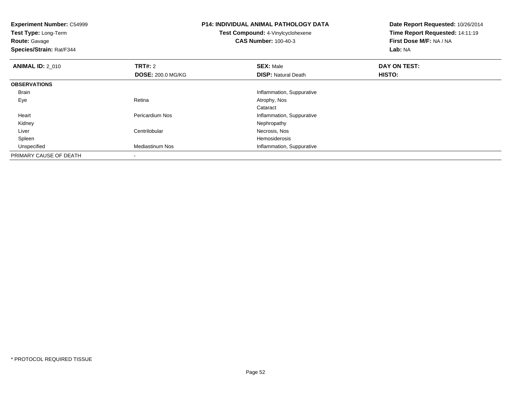**Experiment Number:** C54999**Test Type:** Long-Term**Route:** Gavage **Species/Strain:** Rat/F344**P14: INDIVIDUAL ANIMAL PATHOLOGY DATATest Compound:** 4-Vinylcyclohexene**CAS Number:** 100-40-3**Date Report Requested:** 10/26/2014**Time Report Requested:** 14:11:19**First Dose M/F:** NA / NA**Lab:** NA**ANIMAL ID: 2 010 C TRT#:** 2 **SEX:** Male **DAY ON TEST: DOSE:** 200.0 MG/KG**DISP:** Natural Death **HISTO: OBSERVATIONS** Brain Inflammation, Suppurative Eyee and the contract of the Retina Atrophy, Nos and Atrophy, Nos and Atrophy, Nos and Atrophy, Nos and Atrophy, Nos Cataract Heart Pericardium NosInflammation, Suppurative<br>Nephropathy Kidneyy the control of the control of the control of the control of the control of the control of the control of the control of the control of the control of the control of the control of the control of the control of the contro LiverCentrilobular **Necrosis**, Nos Hemosiderosis Spleenn and the state of the state of the state of the state of the state of the state of the state of the state of the state of the state of the state of the state of the state of the state of the state of the state of the stat UnspecifiedMediastinum Nos **Inflammation**, Suppurative PRIMARY CAUSE OF DEATH

\* PROTOCOL REQUIRED TISSUE

-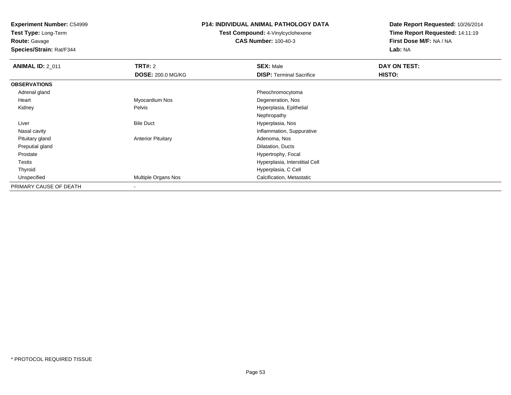**Test Type:** Long-Term

# **Route:** Gavage

**Species/Strain:** Rat/F344

#### **P14: INDIVIDUAL ANIMAL PATHOLOGY DATA**

#### **Test Compound:** 4-Vinylcyclohexene**CAS Number:** 100-40-3

| <b>ANIMAL ID: 2 011</b> | <b>TRT#: 2</b>            | <b>SEX: Male</b>                | DAY ON TEST: |  |
|-------------------------|---------------------------|---------------------------------|--------------|--|
|                         | <b>DOSE: 200.0 MG/KG</b>  | <b>DISP: Terminal Sacrifice</b> | HISTO:       |  |
| <b>OBSERVATIONS</b>     |                           |                                 |              |  |
| Adrenal gland           |                           | Pheochromocytoma                |              |  |
| Heart                   | Myocardium Nos            | Degeneration, Nos               |              |  |
| Kidney                  | Pelvis                    | Hyperplasia, Epithelial         |              |  |
|                         |                           | Nephropathy                     |              |  |
| Liver                   | <b>Bile Duct</b>          | Hyperplasia, Nos                |              |  |
| Nasal cavity            |                           | Inflammation, Suppurative       |              |  |
| Pituitary gland         | <b>Anterior Pituitary</b> | Adenoma, Nos                    |              |  |
| Preputial gland         |                           | Dilatation, Ducts               |              |  |
| Prostate                |                           | Hypertrophy, Focal              |              |  |
| Testis                  |                           | Hyperplasia, Interstitial Cell  |              |  |
| Thyroid                 |                           | Hyperplasia, C Cell             |              |  |
| Unspecified             | Multiple Organs Nos       | Calcification, Metastatic       |              |  |
| PRIMARY CAUSE OF DEATH  |                           |                                 |              |  |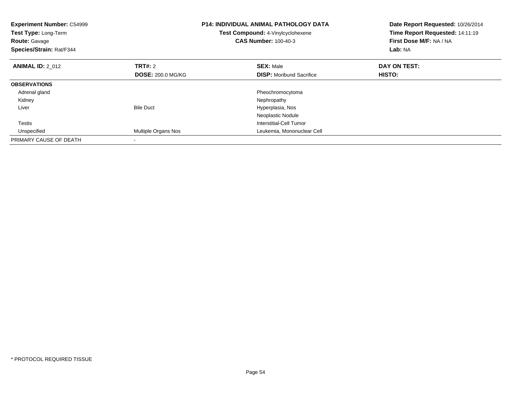| <b>Experiment Number: C54999</b><br>Test Type: Long-Term<br><b>Route: Gavage</b><br>Species/Strain: Rat/F344 |                          | <b>P14: INDIVIDUAL ANIMAL PATHOLOGY DATA</b><br>Test Compound: 4-Vinylcyclohexene<br><b>CAS Number: 100-40-3</b> | Date Report Requested: 10/26/2014<br>Time Report Requested: 14:11:19<br>First Dose M/F: NA / NA<br>Lab: NA |
|--------------------------------------------------------------------------------------------------------------|--------------------------|------------------------------------------------------------------------------------------------------------------|------------------------------------------------------------------------------------------------------------|
| <b>ANIMAL ID: 2 012</b>                                                                                      | <b>TRT#: 2</b>           | <b>SEX: Male</b>                                                                                                 | DAY ON TEST:                                                                                               |
|                                                                                                              | <b>DOSE: 200.0 MG/KG</b> | <b>DISP:</b> Moribund Sacrifice                                                                                  | <b>HISTO:</b>                                                                                              |
| <b>OBSERVATIONS</b>                                                                                          |                          |                                                                                                                  |                                                                                                            |
| Adrenal gland                                                                                                |                          | Pheochromocytoma                                                                                                 |                                                                                                            |
| Kidney                                                                                                       |                          | Nephropathy                                                                                                      |                                                                                                            |
| Liver                                                                                                        | <b>Bile Duct</b>         | Hyperplasia, Nos                                                                                                 |                                                                                                            |
|                                                                                                              |                          | Neoplastic Nodule                                                                                                |                                                                                                            |
| Testis                                                                                                       |                          | Interstitial-Cell Tumor                                                                                          |                                                                                                            |
| Unspecified                                                                                                  | Multiple Organs Nos      | Leukemia, Mononuclear Cell                                                                                       |                                                                                                            |
| PRIMARY CAUSE OF DEATH                                                                                       |                          |                                                                                                                  |                                                                                                            |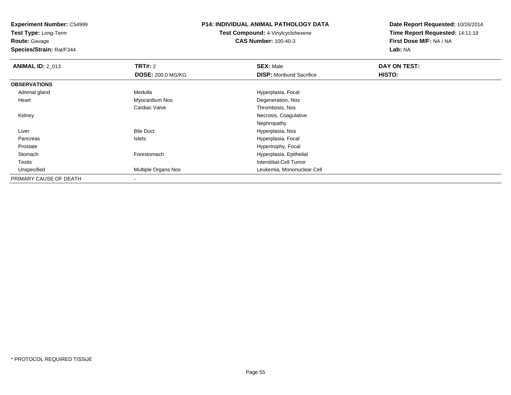**Test Type:** Long-Term

**Route:** Gavage

**Species/Strain:** Rat/F344

#### **P14: INDIVIDUAL ANIMAL PATHOLOGY DATA**

**Test Compound:** 4-Vinylcyclohexene**CAS Number:** 100-40-3

| <b>ANIMAL ID: 2_013</b> | <b>TRT#: 2</b>           | <b>SEX: Male</b>                | <b>DAY ON TEST:</b> |  |
|-------------------------|--------------------------|---------------------------------|---------------------|--|
|                         | <b>DOSE: 200.0 MG/KG</b> | <b>DISP:</b> Moribund Sacrifice | HISTO:              |  |
| <b>OBSERVATIONS</b>     |                          |                                 |                     |  |
| Adrenal gland           | Medulla                  | Hyperplasia, Focal              |                     |  |
| Heart                   | Myocardium Nos           | Degeneration, Nos               |                     |  |
|                         | Cardiac Valve            | Thrombosis, Nos                 |                     |  |
| Kidney                  |                          | Necrosis, Coagulative           |                     |  |
|                         |                          | Nephropathy                     |                     |  |
| Liver                   | <b>Bile Duct</b>         | Hyperplasia, Nos                |                     |  |
| Pancreas                | Islets                   | Hyperplasia, Focal              |                     |  |
| Prostate                |                          | Hypertrophy, Focal              |                     |  |
| Stomach                 | Forestomach              | Hyperplasia, Epithelial         |                     |  |
| <b>Testis</b>           |                          | Interstitial-Cell Tumor         |                     |  |
| Unspecified             | Multiple Organs Nos      | Leukemia, Mononuclear Cell      |                     |  |
| PRIMARY CAUSE OF DEATH  |                          |                                 |                     |  |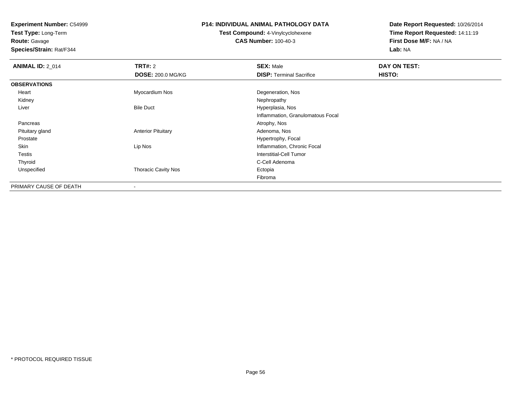**Test Type:** Long-Term**Route:** Gavage

**Species/Strain:** Rat/F344

#### **P14: INDIVIDUAL ANIMAL PATHOLOGY DATA**

#### **Test Compound:** 4-Vinylcyclohexene**CAS Number:** 100-40-3

| <b>ANIMAL ID: 2 014</b> | TRT#: 2                    | <b>SEX: Male</b>                  | DAY ON TEST: |  |
|-------------------------|----------------------------|-----------------------------------|--------------|--|
|                         | <b>DOSE: 200.0 MG/KG</b>   | <b>DISP: Terminal Sacrifice</b>   | HISTO:       |  |
| <b>OBSERVATIONS</b>     |                            |                                   |              |  |
| Heart                   | Myocardium Nos             | Degeneration, Nos                 |              |  |
| Kidney                  |                            | Nephropathy                       |              |  |
| Liver                   | <b>Bile Duct</b>           | Hyperplasia, Nos                  |              |  |
|                         |                            | Inflammation, Granulomatous Focal |              |  |
| Pancreas                |                            | Atrophy, Nos                      |              |  |
| Pituitary gland         | <b>Anterior Pituitary</b>  | Adenoma, Nos                      |              |  |
| Prostate                |                            | Hypertrophy, Focal                |              |  |
| Skin                    | Lip Nos                    | Inflammation, Chronic Focal       |              |  |
| <b>Testis</b>           |                            | <b>Interstitial-Cell Tumor</b>    |              |  |
| Thyroid                 |                            | C-Cell Adenoma                    |              |  |
| Unspecified             | <b>Thoracic Cavity Nos</b> | Ectopia                           |              |  |
|                         |                            | Fibroma                           |              |  |
| PRIMARY CAUSE OF DEATH  | $\overline{\phantom{a}}$   |                                   |              |  |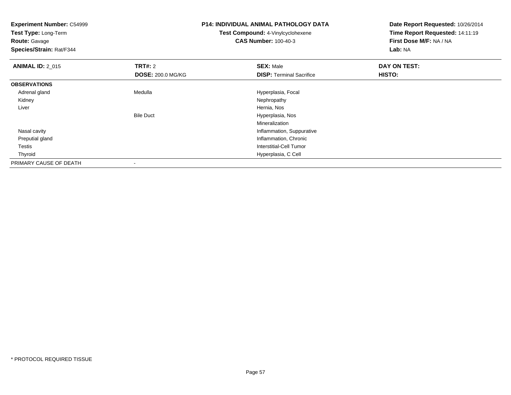| <b>Experiment Number: C54999</b><br>Test Type: Long-Term<br><b>Route: Gavage</b><br>Species/Strain: Rat/F344 |                          | <b>P14: INDIVIDUAL ANIMAL PATHOLOGY DATA</b><br><b>Test Compound: 4-Vinylcyclohexene</b><br><b>CAS Number: 100-40-3</b> | Date Report Requested: 10/26/2014<br>Time Report Requested: 14:11:19<br>First Dose M/F: NA / NA<br>Lab: NA |  |
|--------------------------------------------------------------------------------------------------------------|--------------------------|-------------------------------------------------------------------------------------------------------------------------|------------------------------------------------------------------------------------------------------------|--|
| <b>ANIMAL ID: 2_015</b>                                                                                      | <b>TRT#: 2</b>           | <b>SEX: Male</b>                                                                                                        | DAY ON TEST:                                                                                               |  |
|                                                                                                              | <b>DOSE: 200.0 MG/KG</b> | <b>DISP: Terminal Sacrifice</b>                                                                                         | HISTO:                                                                                                     |  |
| <b>OBSERVATIONS</b>                                                                                          |                          |                                                                                                                         |                                                                                                            |  |
| Adrenal gland                                                                                                | Medulla                  | Hyperplasia, Focal                                                                                                      |                                                                                                            |  |
| Kidney                                                                                                       |                          | Nephropathy                                                                                                             |                                                                                                            |  |
| Liver                                                                                                        |                          | Hernia, Nos                                                                                                             |                                                                                                            |  |
|                                                                                                              | <b>Bile Duct</b>         | Hyperplasia, Nos                                                                                                        |                                                                                                            |  |
|                                                                                                              |                          | <b>Mineralization</b>                                                                                                   |                                                                                                            |  |
| Nasal cavity                                                                                                 |                          | Inflammation, Suppurative                                                                                               |                                                                                                            |  |
| Preputial gland                                                                                              |                          | Inflammation, Chronic                                                                                                   |                                                                                                            |  |
| Testis                                                                                                       |                          | <b>Interstitial-Cell Tumor</b>                                                                                          |                                                                                                            |  |
| Thyroid                                                                                                      |                          | Hyperplasia, C Cell                                                                                                     |                                                                                                            |  |
| PRIMARY CAUSE OF DEATH                                                                                       |                          |                                                                                                                         |                                                                                                            |  |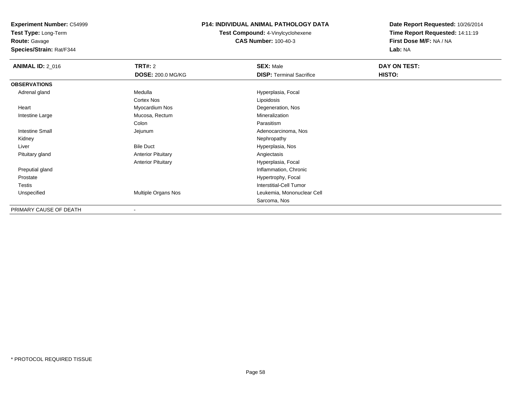**Test Type:** Long-Term

**Route:** Gavage

**Species/Strain:** Rat/F344

#### **P14: INDIVIDUAL ANIMAL PATHOLOGY DATA**

**Test Compound:** 4-Vinylcyclohexene**CAS Number:** 100-40-3

| <b>ANIMAL ID: 2_016</b> | <b>TRT#: 2</b>            | <b>SEX: Male</b>                | DAY ON TEST: |  |
|-------------------------|---------------------------|---------------------------------|--------------|--|
|                         | <b>DOSE: 200.0 MG/KG</b>  | <b>DISP: Terminal Sacrifice</b> | HISTO:       |  |
| <b>OBSERVATIONS</b>     |                           |                                 |              |  |
| Adrenal gland           | Medulla                   | Hyperplasia, Focal              |              |  |
|                         | Cortex Nos                | Lipoidosis                      |              |  |
| Heart                   | Myocardium Nos            | Degeneration, Nos               |              |  |
| Intestine Large         | Mucosa, Rectum            | Mineralization                  |              |  |
|                         | Colon                     | Parasitism                      |              |  |
| Intestine Small         | Jejunum                   | Adenocarcinoma, Nos             |              |  |
| Kidney                  |                           | Nephropathy                     |              |  |
| Liver                   | <b>Bile Duct</b>          | Hyperplasia, Nos                |              |  |
| Pituitary gland         | <b>Anterior Pituitary</b> | Angiectasis                     |              |  |
|                         | <b>Anterior Pituitary</b> | Hyperplasia, Focal              |              |  |
| Preputial gland         |                           | Inflammation, Chronic           |              |  |
| Prostate                |                           | Hypertrophy, Focal              |              |  |
| <b>Testis</b>           |                           | Interstitial-Cell Tumor         |              |  |
| Unspecified             | Multiple Organs Nos       | Leukemia, Mononuclear Cell      |              |  |
|                         |                           | Sarcoma, Nos                    |              |  |
| PRIMARY CAUSE OF DEATH  |                           |                                 |              |  |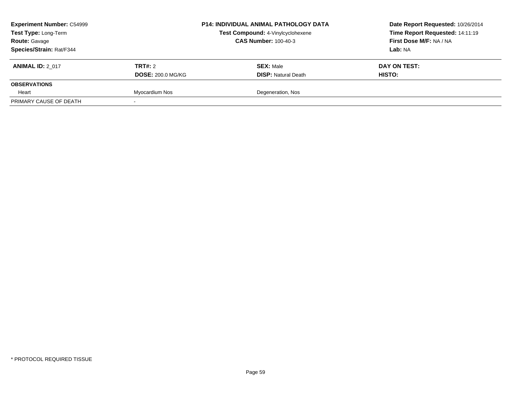| <b>Experiment Number: C54999</b><br>Test Type: Long-Term |                          | <b>P14: INDIVIDUAL ANIMAL PATHOLOGY DATA</b><br>Test Compound: 4-Vinylcyclohexene |                             | Date Report Requested: 10/26/2014 |
|----------------------------------------------------------|--------------------------|-----------------------------------------------------------------------------------|-----------------------------|-----------------------------------|
|                                                          |                          |                                                                                   |                             | Time Report Requested: 14:11:19   |
| <b>Route: Gavage</b>                                     |                          |                                                                                   | <b>CAS Number: 100-40-3</b> | First Dose M/F: NA / NA           |
| <b>Species/Strain: Rat/F344</b>                          |                          |                                                                                   |                             | Lab: NA                           |
| <b>ANIMAL ID: 2 017</b>                                  | <b>TRT#:</b> 2           |                                                                                   | <b>SEX: Male</b>            | DAY ON TEST:                      |
|                                                          | <b>DOSE: 200.0 MG/KG</b> |                                                                                   | <b>DISP: Natural Death</b>  | HISTO:                            |
| <b>OBSERVATIONS</b>                                      |                          |                                                                                   |                             |                                   |
| Heart                                                    | Myocardium Nos           |                                                                                   | Degeneration, Nos           |                                   |
| PRIMARY CAUSE OF DEATH                                   |                          |                                                                                   |                             |                                   |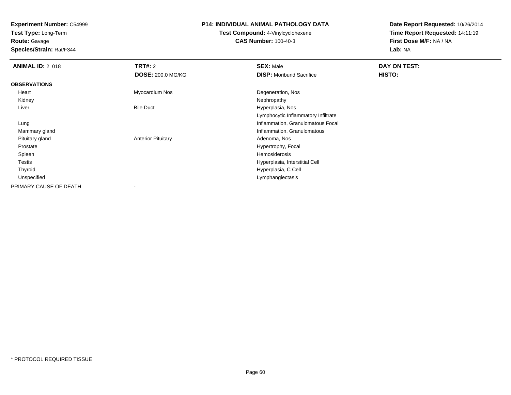**Test Type:** Long-Term

**Route:** Gavage

**Species/Strain:** Rat/F344

#### **P14: INDIVIDUAL ANIMAL PATHOLOGY DATA**

#### **Test Compound:** 4-Vinylcyclohexene**CAS Number:** 100-40-3

| <b>ANIMAL ID: 2_018</b> | <b>TRT#: 2</b>            | <b>SEX: Male</b>                    | DAY ON TEST: |  |
|-------------------------|---------------------------|-------------------------------------|--------------|--|
|                         | <b>DOSE: 200.0 MG/KG</b>  | <b>DISP:</b> Moribund Sacrifice     | HISTO:       |  |
| <b>OBSERVATIONS</b>     |                           |                                     |              |  |
| Heart                   | Myocardium Nos            | Degeneration, Nos                   |              |  |
| Kidney                  |                           | Nephropathy                         |              |  |
| Liver                   | <b>Bile Duct</b>          | Hyperplasia, Nos                    |              |  |
|                         |                           | Lymphocytic Inflammatory Infiltrate |              |  |
| Lung                    |                           | Inflammation, Granulomatous Focal   |              |  |
| Mammary gland           |                           | Inflammation, Granulomatous         |              |  |
| Pituitary gland         | <b>Anterior Pituitary</b> | Adenoma, Nos                        |              |  |
| Prostate                |                           | Hypertrophy, Focal                  |              |  |
| Spleen                  |                           | Hemosiderosis                       |              |  |
| Testis                  |                           | Hyperplasia, Interstitial Cell      |              |  |
| Thyroid                 |                           | Hyperplasia, C Cell                 |              |  |
| Unspecified             |                           | Lymphangiectasis                    |              |  |
| PRIMARY CAUSE OF DEATH  | ٠                         |                                     |              |  |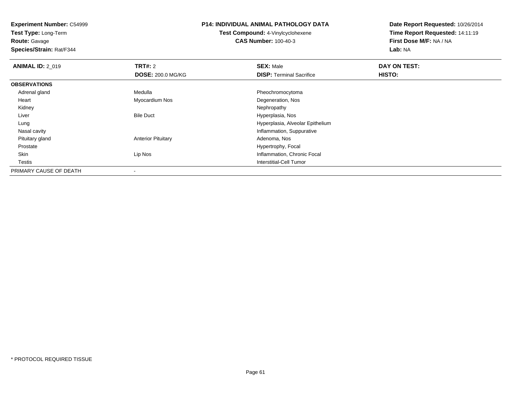**Test Type:** Long-Term

**Route:** Gavage

**Species/Strain:** Rat/F344

## **P14: INDIVIDUAL ANIMAL PATHOLOGY DATA**

**Test Compound:** 4-Vinylcyclohexene**CAS Number:** 100-40-3

| <b>ANIMAL ID: 2_019</b> | <b>TRT#: 2</b>            | <b>SEX: Male</b>                 | DAY ON TEST: |  |
|-------------------------|---------------------------|----------------------------------|--------------|--|
|                         | <b>DOSE: 200.0 MG/KG</b>  | <b>DISP: Terminal Sacrifice</b>  | HISTO:       |  |
| <b>OBSERVATIONS</b>     |                           |                                  |              |  |
| Adrenal gland           | Medulla                   | Pheochromocytoma                 |              |  |
| Heart                   | Myocardium Nos            | Degeneration, Nos                |              |  |
| Kidney                  |                           | Nephropathy                      |              |  |
| Liver                   | <b>Bile Duct</b>          | Hyperplasia, Nos                 |              |  |
| Lung                    |                           | Hyperplasia, Alveolar Epithelium |              |  |
| Nasal cavity            |                           | Inflammation, Suppurative        |              |  |
| Pituitary gland         | <b>Anterior Pituitary</b> | Adenoma, Nos                     |              |  |
| Prostate                |                           | Hypertrophy, Focal               |              |  |
| Skin                    | Lip Nos                   | Inflammation, Chronic Focal      |              |  |
| Testis                  |                           | Interstitial-Cell Tumor          |              |  |
| PRIMARY CAUSE OF DEATH  | $\overline{\phantom{a}}$  |                                  |              |  |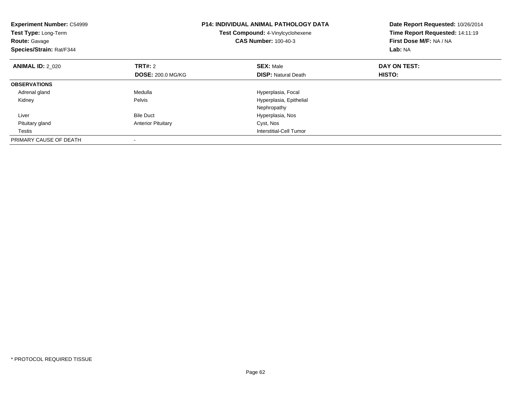| <b>Experiment Number: C54999</b><br><b>Test Type: Long-Term</b><br><b>Route: Gavage</b><br>Species/Strain: Rat/F344 |                           | P14: INDIVIDUAL ANIMAL PATHOLOGY DATA<br>Test Compound: 4-Vinylcyclohexene<br><b>CAS Number: 100-40-3</b> | Date Report Requested: 10/26/2014<br>Time Report Requested: 14:11:19<br>First Dose M/F: NA / NA<br>Lab: NA |
|---------------------------------------------------------------------------------------------------------------------|---------------------------|-----------------------------------------------------------------------------------------------------------|------------------------------------------------------------------------------------------------------------|
| <b>ANIMAL ID: 2 020</b>                                                                                             | <b>TRT#: 2</b>            | <b>SEX: Male</b>                                                                                          | DAY ON TEST:                                                                                               |
|                                                                                                                     | <b>DOSE: 200.0 MG/KG</b>  | <b>DISP:</b> Natural Death                                                                                | <b>HISTO:</b>                                                                                              |
| <b>OBSERVATIONS</b>                                                                                                 |                           |                                                                                                           |                                                                                                            |
| Adrenal gland                                                                                                       | Medulla                   | Hyperplasia, Focal                                                                                        |                                                                                                            |
| Kidney                                                                                                              | Pelvis                    | Hyperplasia, Epithelial                                                                                   |                                                                                                            |
|                                                                                                                     |                           | Nephropathy                                                                                               |                                                                                                            |
| Liver                                                                                                               | <b>Bile Duct</b>          | Hyperplasia, Nos                                                                                          |                                                                                                            |
| Pituitary gland                                                                                                     | <b>Anterior Pituitary</b> | Cyst, Nos                                                                                                 |                                                                                                            |
| Testis                                                                                                              |                           | Interstitial-Cell Tumor                                                                                   |                                                                                                            |
| PRIMARY CAUSE OF DEATH                                                                                              |                           |                                                                                                           |                                                                                                            |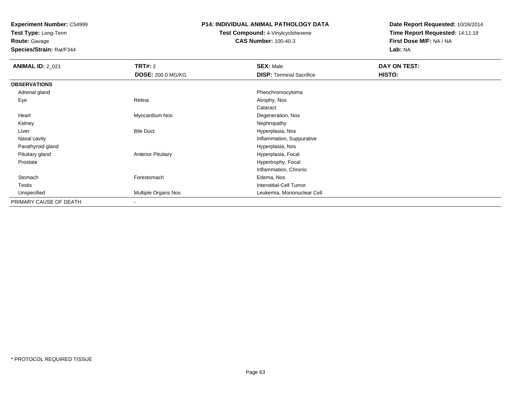**Test Type:** Long-Term

# **Route:** Gavage

**Species/Strain:** Rat/F344

#### **P14: INDIVIDUAL ANIMAL PATHOLOGY DATA**

#### **Test Compound:** 4-Vinylcyclohexene**CAS Number:** 100-40-3

| <b>ANIMAL ID: 2_021</b> | <b>TRT#: 2</b>            | <b>SEX: Male</b>                | DAY ON TEST: |  |
|-------------------------|---------------------------|---------------------------------|--------------|--|
|                         | <b>DOSE: 200.0 MG/KG</b>  | <b>DISP: Terminal Sacrifice</b> | HISTO:       |  |
| <b>OBSERVATIONS</b>     |                           |                                 |              |  |
| Adrenal gland           |                           | Pheochromocytoma                |              |  |
| Eye                     | Retina                    | Atrophy, Nos                    |              |  |
|                         |                           | Cataract                        |              |  |
| Heart                   | Myocardium Nos            | Degeneration, Nos               |              |  |
| Kidney                  |                           | Nephropathy                     |              |  |
| Liver                   | <b>Bile Duct</b>          | Hyperplasia, Nos                |              |  |
| Nasal cavity            |                           | Inflammation, Suppurative       |              |  |
| Parathyroid gland       |                           | Hyperplasia, Nos                |              |  |
| Pituitary gland         | <b>Anterior Pituitary</b> | Hyperplasia, Focal              |              |  |
| Prostate                |                           | Hypertrophy, Focal              |              |  |
|                         |                           | Inflammation, Chronic           |              |  |
| Stomach                 | Forestomach               | Edema, Nos                      |              |  |
| Testis                  |                           | <b>Interstitial-Cell Tumor</b>  |              |  |
| Unspecified             | Multiple Organs Nos       | Leukemia, Mononuclear Cell      |              |  |
| PRIMARY CAUSE OF DEATH  | ۰.                        |                                 |              |  |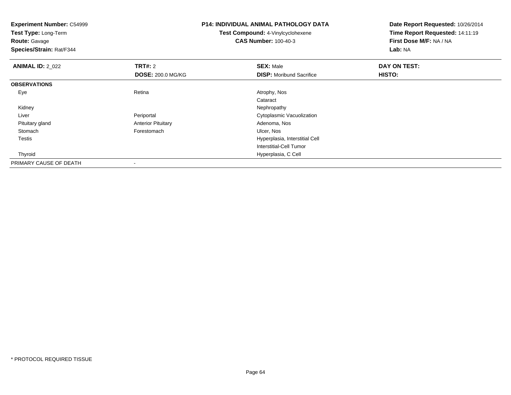**Experiment Number:** C54999**Test Type:** Long-Term**Route:** Gavage **Species/Strain:** Rat/F344**P14: INDIVIDUAL ANIMAL PATHOLOGY DATATest Compound:** 4-Vinylcyclohexene**CAS Number:** 100-40-3**Date Report Requested:** 10/26/2014**Time Report Requested:** 14:11:19**First Dose M/F:** NA / NA**Lab:** NA**ANIMAL ID: 2 022 TRT#:** <sup>2</sup> **SEX:** Male **DAY ON TEST: DOSE:** 200.0 MG/KG**DISP:** Moribund Sacrifice **HISTO: OBSERVATIONS** Eyee and the contract of the Retina Atrophy, Nos and Atrophy, Nos and Atrophy, Nos and Atrophy, Nos and Atrophy, Nos Cataract Kidneyy the control of the control of the control of the control of the control of the control of the control of the control of the control of the control of the control of the control of the control of the control of the contro LiverPeriportal **Cytoplasmic Vacuolization**  Pituitary glandAnterior Pituitary **Adenoma, Nostandiary Executive Control** Adenoma, Nostal Portes Control Adenoma, Nostal Portes Control Adenoma, Nostal Portes Control Adenoma, Nostal Portes Control Adenoma, Nostal Portes Control Adenoma Stomachh is the contract of the contract of the contract of the contract of the contract of the contract of the contra<br>In the contract of the contract of the contract of the contract of the contract of the contract of the contrac Testis Hyperplasia, Interstitial Cell Interstitial-Cell Tumor Thyroid Hyperplasia, C Cell PRIMARY CAUSE OF DEATH-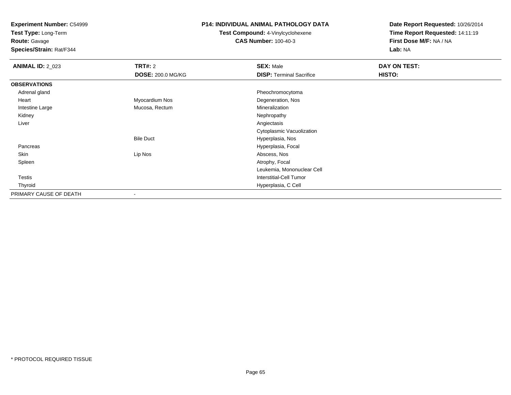**Test Type:** Long-Term

**Route:** Gavage

**Species/Strain:** Rat/F344

#### **P14: INDIVIDUAL ANIMAL PATHOLOGY DATA**

**Test Compound:** 4-Vinylcyclohexene**CAS Number:** 100-40-3

| <b>ANIMAL ID: 2_023</b> | <b>TRT#: 2</b>    | <b>SEX: Male</b>                | DAY ON TEST: |  |
|-------------------------|-------------------|---------------------------------|--------------|--|
|                         | DOSE: 200.0 MG/KG | <b>DISP: Terminal Sacrifice</b> | HISTO:       |  |
| <b>OBSERVATIONS</b>     |                   |                                 |              |  |
| Adrenal gland           |                   | Pheochromocytoma                |              |  |
| Heart                   | Myocardium Nos    | Degeneration, Nos               |              |  |
| Intestine Large         | Mucosa, Rectum    | Mineralization                  |              |  |
| Kidney                  |                   | Nephropathy                     |              |  |
| Liver                   |                   | Angiectasis                     |              |  |
|                         |                   | Cytoplasmic Vacuolization       |              |  |
|                         | <b>Bile Duct</b>  | Hyperplasia, Nos                |              |  |
| Pancreas                |                   | Hyperplasia, Focal              |              |  |
| Skin                    | Lip Nos           | Abscess, Nos                    |              |  |
| Spleen                  |                   | Atrophy, Focal                  |              |  |
|                         |                   | Leukemia, Mononuclear Cell      |              |  |
| Testis                  |                   | Interstitial-Cell Tumor         |              |  |
| Thyroid                 |                   | Hyperplasia, C Cell             |              |  |
| PRIMARY CAUSE OF DEATH  |                   |                                 |              |  |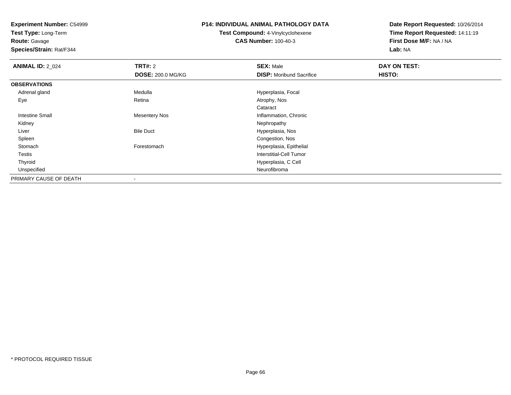**Test Type:** Long-Term

**Route:** Gavage

**Species/Strain:** Rat/F344

### **P14: INDIVIDUAL ANIMAL PATHOLOGY DATA**

**Test Compound:** 4-Vinylcyclohexene**CAS Number:** 100-40-3

| <b>ANIMAL ID: 2_024</b> | <b>TRT#: 2</b>           | <b>SEX: Male</b>                | DAY ON TEST: |  |
|-------------------------|--------------------------|---------------------------------|--------------|--|
|                         | <b>DOSE: 200.0 MG/KG</b> | <b>DISP:</b> Moribund Sacrifice | HISTO:       |  |
| <b>OBSERVATIONS</b>     |                          |                                 |              |  |
| Adrenal gland           | Medulla                  | Hyperplasia, Focal              |              |  |
| Eye                     | Retina                   | Atrophy, Nos                    |              |  |
|                         |                          | Cataract                        |              |  |
| Intestine Small         | <b>Mesentery Nos</b>     | Inflammation, Chronic           |              |  |
| Kidney                  |                          | Nephropathy                     |              |  |
| Liver                   | <b>Bile Duct</b>         | Hyperplasia, Nos                |              |  |
| Spleen                  |                          | Congestion, Nos                 |              |  |
| Stomach                 | Forestomach              | Hyperplasia, Epithelial         |              |  |
| Testis                  |                          | <b>Interstitial-Cell Tumor</b>  |              |  |
| Thyroid                 |                          | Hyperplasia, C Cell             |              |  |
| Unspecified             |                          | Neurofibroma                    |              |  |
| PRIMARY CAUSE OF DEATH  |                          |                                 |              |  |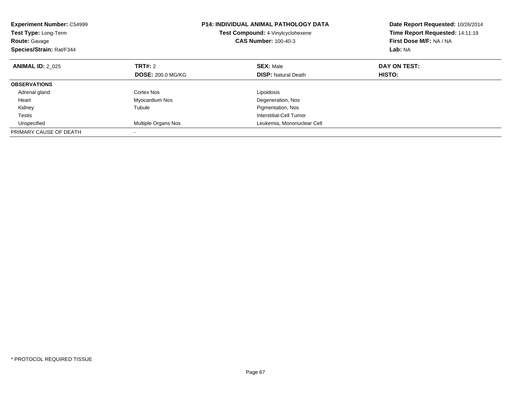| <b>Experiment Number: C54999</b><br>Test Type: Long-Term<br><b>Route: Gavage</b><br>Species/Strain: Rat/F344 |                            | <b>P14: INDIVIDUAL ANIMAL PATHOLOGY DATA</b><br>Test Compound: 4-Vinylcyclohexene<br><b>CAS Number: 100-40-3</b> | Date Report Requested: 10/26/2014<br>Time Report Requested: 14:11:19<br>First Dose M/F: NA / NA<br>Lab: NA |
|--------------------------------------------------------------------------------------------------------------|----------------------------|------------------------------------------------------------------------------------------------------------------|------------------------------------------------------------------------------------------------------------|
| <b>ANIMAL ID: 2 025</b>                                                                                      | TRT#: 2                    | <b>SEX: Male</b>                                                                                                 | DAY ON TEST:                                                                                               |
|                                                                                                              | <b>DOSE: 200.0 MG/KG</b>   | <b>DISP: Natural Death</b>                                                                                       | HISTO:                                                                                                     |
| <b>OBSERVATIONS</b>                                                                                          |                            |                                                                                                                  |                                                                                                            |
| Adrenal gland                                                                                                | Cortex Nos                 | Lipoidosis                                                                                                       |                                                                                                            |
| Heart                                                                                                        | Myocardium Nos             | Degeneration, Nos                                                                                                |                                                                                                            |
| Kidney                                                                                                       | Tubule                     | Pigmentation, Nos                                                                                                |                                                                                                            |
| <b>Testis</b>                                                                                                |                            | Interstitial-Cell Tumor                                                                                          |                                                                                                            |
| Unspecified                                                                                                  | <b>Multiple Organs Nos</b> | Leukemia, Mononuclear Cell                                                                                       |                                                                                                            |
| PRIMARY CAUSE OF DEATH                                                                                       |                            |                                                                                                                  |                                                                                                            |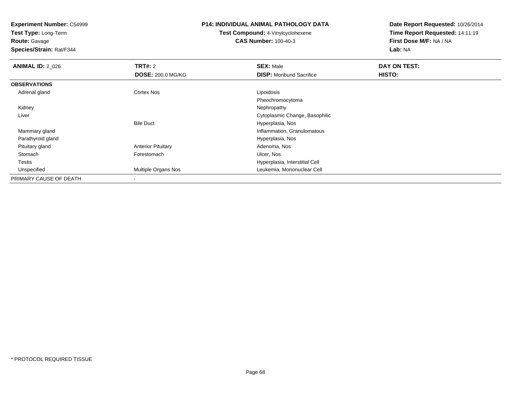**Test Type:** Long-Term

**Route:** Gavage

**Species/Strain:** Rat/F344

#### **P14: INDIVIDUAL ANIMAL PATHOLOGY DATA**

**Test Compound:** 4-Vinylcyclohexene**CAS Number:** 100-40-3

| <b>ANIMAL ID: 2 026</b> | <b>TRT#: 2</b>            | <b>SEX: Male</b>                | DAY ON TEST: |
|-------------------------|---------------------------|---------------------------------|--------------|
|                         | <b>DOSE: 200.0 MG/KG</b>  | <b>DISP:</b> Moribund Sacrifice | HISTO:       |
| <b>OBSERVATIONS</b>     |                           |                                 |              |
| Adrenal gland           | Cortex Nos                | Lipoidosis                      |              |
|                         |                           | Pheochromocytoma                |              |
| Kidney                  |                           | Nephropathy                     |              |
| Liver                   |                           | Cytoplasmic Change, Basophilic  |              |
|                         | <b>Bile Duct</b>          | Hyperplasia, Nos                |              |
| Mammary gland           |                           | Inflammation, Granulomatous     |              |
| Parathyroid gland       |                           | Hyperplasia, Nos                |              |
| Pituitary gland         | <b>Anterior Pituitary</b> | Adenoma, Nos                    |              |
| Stomach                 | Forestomach               | Ulcer, Nos                      |              |
| Testis                  |                           | Hyperplasia, Interstitial Cell  |              |
| Unspecified             | Multiple Organs Nos       | Leukemia, Mononuclear Cell      |              |
| PRIMARY CAUSE OF DEATH  |                           |                                 |              |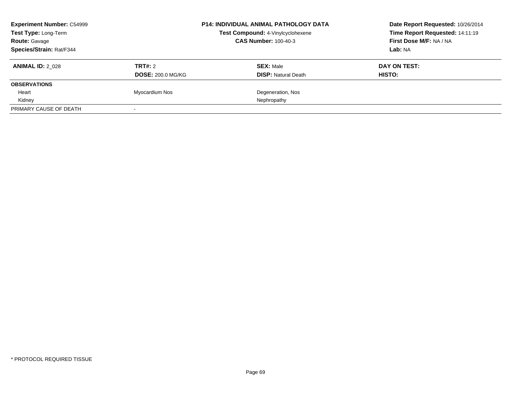| <b>Experiment Number: C54999</b><br>Test Type: Long-Term |                          | <b>P14: INDIVIDUAL ANIMAL PATHOLOGY DATA</b> | Date Report Requested: 10/26/2014<br>Time Report Requested: 14:11:19 |  |
|----------------------------------------------------------|--------------------------|----------------------------------------------|----------------------------------------------------------------------|--|
|                                                          |                          | Test Compound: 4-Vinylcyclohexene            |                                                                      |  |
| <b>Route: Gavage</b>                                     |                          | <b>CAS Number: 100-40-3</b>                  | First Dose M/F: NA / NA                                              |  |
| Species/Strain: Rat/F344                                 |                          |                                              | Lab: NA                                                              |  |
| <b>ANIMAL ID: 2 028</b>                                  | TRT#: 2                  | <b>SEX: Male</b>                             | DAY ON TEST:                                                         |  |
|                                                          | <b>DOSE: 200.0 MG/KG</b> | <b>DISP:</b> Natural Death                   | HISTO:                                                               |  |
| <b>OBSERVATIONS</b>                                      |                          |                                              |                                                                      |  |
| Heart                                                    | Myocardium Nos           | Degeneration, Nos                            |                                                                      |  |
| Kidney                                                   |                          | Nephropathy                                  |                                                                      |  |
| PRIMARY CAUSE OF DEATH                                   | $\sim$                   |                                              |                                                                      |  |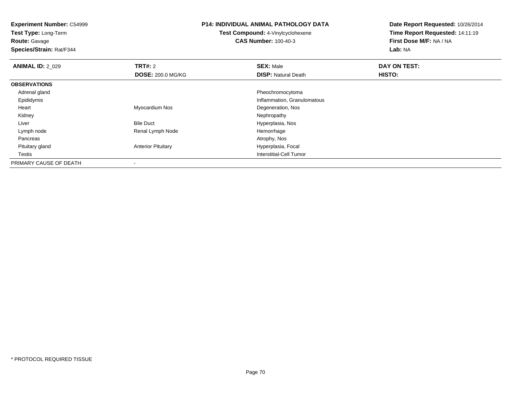**Experiment Number:** C54999**Test Type:** Long-Term**Route:** Gavage **Species/Strain:** Rat/F344**P14: INDIVIDUAL ANIMAL PATHOLOGY DATATest Compound:** 4-Vinylcyclohexene**CAS Number:** 100-40-3**Date Report Requested:** 10/26/2014**Time Report Requested:** 14:11:19**First Dose M/F:** NA / NA**Lab:** NA**ANIMAL ID: 2 029 TRT#:** 2 **SEX:** Male **DAY ON TEST: DOSE:** 200.0 MG/KG**DISP:** Natural Death **HISTO: OBSERVATIONS** Adrenal gland Pheochromocytoma Epididymis Inflammation, Granulomatous Heart Myocardium Nos Degeneration, Nos Kidneyy the control of the control of the control of the control of the control of the control of the control of the control of the control of the control of the control of the control of the control of the control of the contro LiverBile Duct **Hyperplasia**, Nos Lymph nodeRenal Lymph Node Hemorrhage<br>
Hemorrhage<br>
Atrophy, Nos Pancreass and the contract of the contract of the contract of the contract of the contract of the contract of the contract of  $\mathcal{A}$  Pituitary glandAnterior Pituitary **Hyperplasia**, Focal Testis Interstitial-Cell Tumor PRIMARY CAUSE OF DEATH

-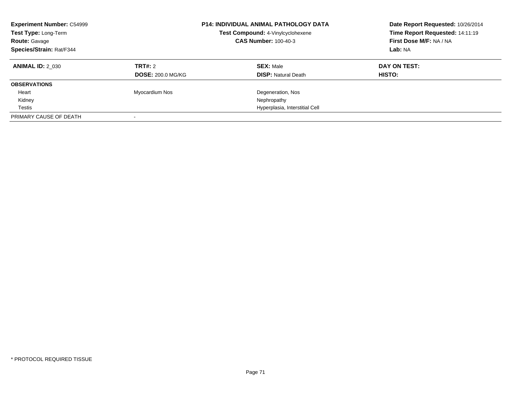| <b>Experiment Number: C54999</b><br>Test Type: Long-Term<br><b>Route: Gavage</b><br>Species/Strain: Rat/F344 |                          | <b>P14: INDIVIDUAL ANIMAL PATHOLOGY DATA</b><br>Test Compound: 4-Vinylcyclohexene<br><b>CAS Number: 100-40-3</b> | Date Report Requested: 10/26/2014<br>Time Report Requested: 14:11:19<br>First Dose M/F: NA / NA<br>Lab: NA |
|--------------------------------------------------------------------------------------------------------------|--------------------------|------------------------------------------------------------------------------------------------------------------|------------------------------------------------------------------------------------------------------------|
| <b>ANIMAL ID: 2 030</b>                                                                                      | TRT#: 2                  | <b>SEX: Male</b>                                                                                                 | DAY ON TEST:                                                                                               |
|                                                                                                              | <b>DOSE: 200.0 MG/KG</b> | <b>DISP:</b> Natural Death                                                                                       | <b>HISTO:</b>                                                                                              |
| <b>OBSERVATIONS</b>                                                                                          |                          |                                                                                                                  |                                                                                                            |
| Heart                                                                                                        | Myocardium Nos           | Degeneration, Nos                                                                                                |                                                                                                            |
| Kidney                                                                                                       |                          | Nephropathy                                                                                                      |                                                                                                            |
| Testis                                                                                                       |                          | Hyperplasia, Interstitial Cell                                                                                   |                                                                                                            |
| PRIMARY CAUSE OF DEATH                                                                                       |                          |                                                                                                                  |                                                                                                            |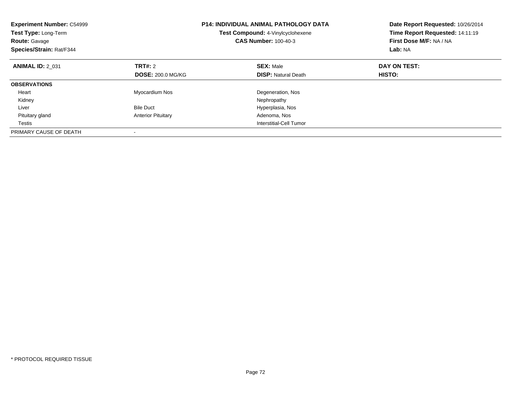| <b>Experiment Number: C54999</b><br>Test Type: Long-Term<br><b>Route: Gavage</b><br>Species/Strain: Rat/F344 |                                     | <b>P14: INDIVIDUAL ANIMAL PATHOLOGY DATA</b><br>Test Compound: 4-Vinylcyclohexene<br><b>CAS Number: 100-40-3</b> | Date Report Requested: 10/26/2014<br>Time Report Requested: 14:11:19<br>First Dose M/F: NA / NA<br>Lab: NA |
|--------------------------------------------------------------------------------------------------------------|-------------------------------------|------------------------------------------------------------------------------------------------------------------|------------------------------------------------------------------------------------------------------------|
| <b>ANIMAL ID: 2 031</b>                                                                                      | TRT#: 2<br><b>DOSE: 200.0 MG/KG</b> | <b>SEX: Male</b><br><b>DISP: Natural Death</b>                                                                   | DAY ON TEST:<br>HISTO:                                                                                     |
| <b>OBSERVATIONS</b>                                                                                          |                                     |                                                                                                                  |                                                                                                            |
| Heart<br>Kidney                                                                                              | Myocardium Nos                      | Degeneration, Nos<br>Nephropathy                                                                                 |                                                                                                            |
| Liver                                                                                                        | <b>Bile Duct</b>                    | Hyperplasia, Nos                                                                                                 |                                                                                                            |
| Pituitary gland                                                                                              | <b>Anterior Pituitary</b>           | Adenoma, Nos                                                                                                     |                                                                                                            |
| Testis                                                                                                       |                                     | Interstitial-Cell Tumor                                                                                          |                                                                                                            |
| PRIMARY CAUSE OF DEATH                                                                                       |                                     |                                                                                                                  |                                                                                                            |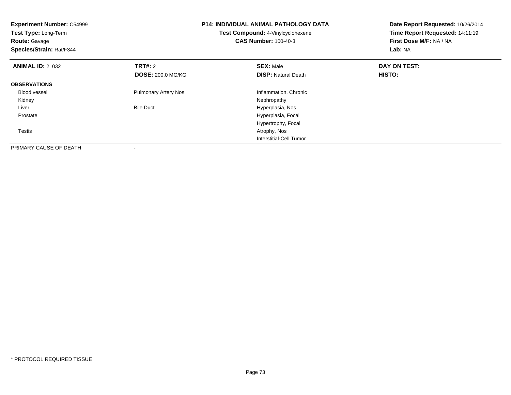| <b>Experiment Number: C54999</b><br>Test Type: Long-Term<br><b>Route:</b> Gavage<br>Species/Strain: Rat/F344 |                             | <b>P14: INDIVIDUAL ANIMAL PATHOLOGY DATA</b><br>Test Compound: 4-Vinylcyclohexene<br><b>CAS Number: 100-40-3</b> | Date Report Requested: 10/26/2014<br>Time Report Requested: 14:11:19<br>First Dose M/F: NA / NA<br>Lab: NA |
|--------------------------------------------------------------------------------------------------------------|-----------------------------|------------------------------------------------------------------------------------------------------------------|------------------------------------------------------------------------------------------------------------|
| <b>ANIMAL ID: 2 032</b>                                                                                      | <b>TRT#: 2</b>              | <b>SEX: Male</b>                                                                                                 | DAY ON TEST:                                                                                               |
|                                                                                                              | <b>DOSE: 200.0 MG/KG</b>    | <b>DISP:</b> Natural Death                                                                                       | HISTO:                                                                                                     |
| <b>OBSERVATIONS</b>                                                                                          |                             |                                                                                                                  |                                                                                                            |
| <b>Blood vessel</b>                                                                                          | <b>Pulmonary Artery Nos</b> | Inflammation, Chronic                                                                                            |                                                                                                            |
| Kidney                                                                                                       |                             | Nephropathy                                                                                                      |                                                                                                            |
| Liver                                                                                                        | <b>Bile Duct</b>            | Hyperplasia, Nos                                                                                                 |                                                                                                            |
| Prostate                                                                                                     |                             | Hyperplasia, Focal                                                                                               |                                                                                                            |
|                                                                                                              |                             | Hypertrophy, Focal                                                                                               |                                                                                                            |
| Testis                                                                                                       |                             | Atrophy, Nos                                                                                                     |                                                                                                            |
|                                                                                                              |                             | Interstitial-Cell Tumor                                                                                          |                                                                                                            |
| PRIMARY CAUSE OF DEATH                                                                                       |                             |                                                                                                                  |                                                                                                            |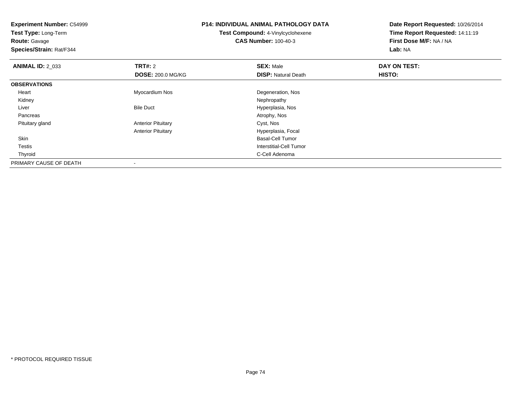**Experiment Number:** C54999**Test Type:** Long-Term**Route:** Gavage **Species/Strain:** Rat/F344**P14: INDIVIDUAL ANIMAL PATHOLOGY DATATest Compound:** 4-Vinylcyclohexene**CAS Number:** 100-40-3**Date Report Requested:** 10/26/2014**Time Report Requested:** 14:11:19**First Dose M/F:** NA / NA**Lab:** NA**ANIMAL ID: 2 033 TRT#:** 2 **SEX:** Male **DAY ON TEST: DOSE:** 200.0 MG/KG**DISP:** Natural Death **HISTO: OBSERVATIONS** Heart Myocardium NosDegeneration, Nos<br>Nephropathy Kidneyy the control of the control of the control of the control of the control of the control of the control of the control of the control of the control of the control of the control of the control of the control of the contro LiverBile Duct **Hyperplasia**, Nos Pancreass and the contract of the contract of the contract of the contract of the contract of the contract of the contract of  $\mathcal{A}$  Pituitary glandAnterior Pituitary **Cyst, Nos** Anterior Pituitary Hyperplasia, Focal Skin Basal-Cell Tumor Testis Interstitial-Cell Tumor Thyroidd **C-Cell Adenoma** and the control of the control of the control of the control of the control of the control of the control of the control of the control of the control of the control of the control of the control of the PRIMARY CAUSE OF DEATH-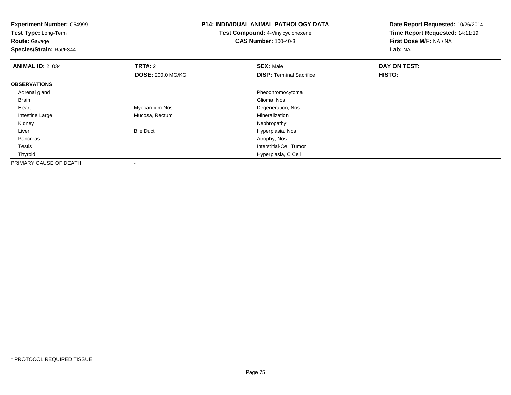| <b>Experiment Number: C54999</b><br>Test Type: Long-Term<br><b>Route: Gavage</b> |                          | <b>P14: INDIVIDUAL ANIMAL PATHOLOGY DATA</b><br>Test Compound: 4-Vinylcyclohexene<br><b>CAS Number: 100-40-3</b> | Date Report Requested: 10/26/2014<br>Time Report Requested: 14:11:19<br>First Dose M/F: NA / NA |
|----------------------------------------------------------------------------------|--------------------------|------------------------------------------------------------------------------------------------------------------|-------------------------------------------------------------------------------------------------|
| Species/Strain: Rat/F344                                                         |                          |                                                                                                                  | Lab: NA                                                                                         |
| <b>ANIMAL ID: 2_034</b>                                                          | <b>TRT#: 2</b>           | <b>SEX: Male</b>                                                                                                 | DAY ON TEST:                                                                                    |
|                                                                                  | <b>DOSE: 200.0 MG/KG</b> | <b>DISP: Terminal Sacrifice</b>                                                                                  | HISTO:                                                                                          |
| <b>OBSERVATIONS</b>                                                              |                          |                                                                                                                  |                                                                                                 |
| Adrenal gland                                                                    |                          | Pheochromocytoma                                                                                                 |                                                                                                 |
| Brain                                                                            |                          | Glioma, Nos                                                                                                      |                                                                                                 |
| Heart                                                                            | Myocardium Nos           | Degeneration, Nos                                                                                                |                                                                                                 |
| Intestine Large                                                                  | Mucosa, Rectum           | Mineralization                                                                                                   |                                                                                                 |
| Kidney                                                                           |                          | Nephropathy                                                                                                      |                                                                                                 |
| Liver                                                                            | <b>Bile Duct</b>         | Hyperplasia, Nos                                                                                                 |                                                                                                 |
| Pancreas                                                                         |                          | Atrophy, Nos                                                                                                     |                                                                                                 |
| Testis                                                                           |                          | <b>Interstitial-Cell Tumor</b>                                                                                   |                                                                                                 |
| Thyroid                                                                          |                          | Hyperplasia, C Cell                                                                                              |                                                                                                 |
| PRIMARY CAUSE OF DEATH                                                           |                          |                                                                                                                  |                                                                                                 |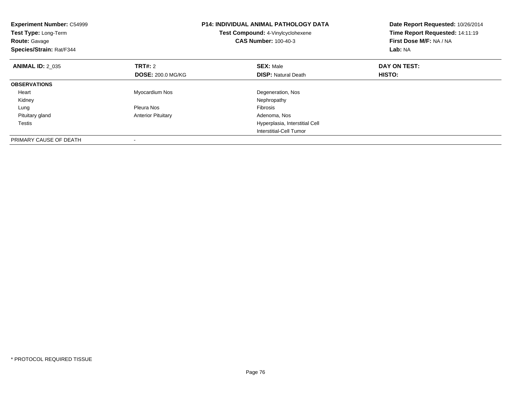| <b>Experiment Number: C54999</b><br>Test Type: Long-Term<br><b>Route: Gavage</b><br>Species/Strain: Rat/F344 |                           | P14: INDIVIDUAL ANIMAL PATHOLOGY DATA<br>Test Compound: 4-Vinylcyclohexene<br><b>CAS Number: 100-40-3</b> | Date Report Requested: 10/26/2014<br>Time Report Requested: 14:11:19<br>First Dose M/F: NA / NA<br>Lab: NA |
|--------------------------------------------------------------------------------------------------------------|---------------------------|-----------------------------------------------------------------------------------------------------------|------------------------------------------------------------------------------------------------------------|
| <b>ANIMAL ID: 2 035</b>                                                                                      | <b>TRT#: 2</b>            | <b>SEX: Male</b>                                                                                          | DAY ON TEST:                                                                                               |
|                                                                                                              | <b>DOSE: 200.0 MG/KG</b>  | <b>DISP:</b> Natural Death                                                                                | <b>HISTO:</b>                                                                                              |
| <b>OBSERVATIONS</b>                                                                                          |                           |                                                                                                           |                                                                                                            |
| Heart                                                                                                        | Myocardium Nos            | Degeneration, Nos                                                                                         |                                                                                                            |
| Kidney                                                                                                       |                           | Nephropathy                                                                                               |                                                                                                            |
| Lung                                                                                                         | Pleura Nos                | Fibrosis                                                                                                  |                                                                                                            |
| Pituitary gland                                                                                              | <b>Anterior Pituitary</b> | Adenoma, Nos                                                                                              |                                                                                                            |
| Testis                                                                                                       |                           | Hyperplasia, Interstitial Cell                                                                            |                                                                                                            |
|                                                                                                              |                           | Interstitial-Cell Tumor                                                                                   |                                                                                                            |
| PRIMARY CAUSE OF DEATH                                                                                       |                           |                                                                                                           |                                                                                                            |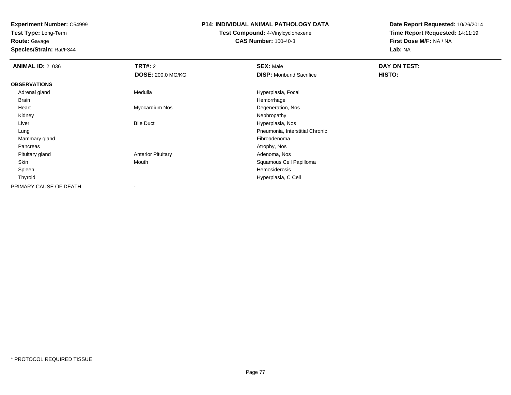**Test Type:** Long-Term

**Route:** Gavage

**Species/Strain:** Rat/F344

#### **P14: INDIVIDUAL ANIMAL PATHOLOGY DATA**

**Test Compound:** 4-Vinylcyclohexene**CAS Number:** 100-40-3

| <b>ANIMAL ID: 2_036</b> | <b>TRT#: 2</b>            | <b>SEX: Male</b>                | DAY ON TEST: |  |
|-------------------------|---------------------------|---------------------------------|--------------|--|
|                         | <b>DOSE: 200.0 MG/KG</b>  | <b>DISP:</b> Moribund Sacrifice | HISTO:       |  |
| <b>OBSERVATIONS</b>     |                           |                                 |              |  |
| Adrenal gland           | Medulla                   | Hyperplasia, Focal              |              |  |
| Brain                   |                           | Hemorrhage                      |              |  |
| Heart                   | Myocardium Nos            | Degeneration, Nos               |              |  |
| Kidney                  |                           | Nephropathy                     |              |  |
| Liver                   | <b>Bile Duct</b>          | Hyperplasia, Nos                |              |  |
| Lung                    |                           | Pneumonia, Interstitial Chronic |              |  |
| Mammary gland           |                           | Fibroadenoma                    |              |  |
| Pancreas                |                           | Atrophy, Nos                    |              |  |
| Pituitary gland         | <b>Anterior Pituitary</b> | Adenoma, Nos                    |              |  |
| Skin                    | Mouth                     | Squamous Cell Papilloma         |              |  |
| Spleen                  |                           | Hemosiderosis                   |              |  |
| Thyroid                 |                           | Hyperplasia, C Cell             |              |  |
| PRIMARY CAUSE OF DEATH  |                           |                                 |              |  |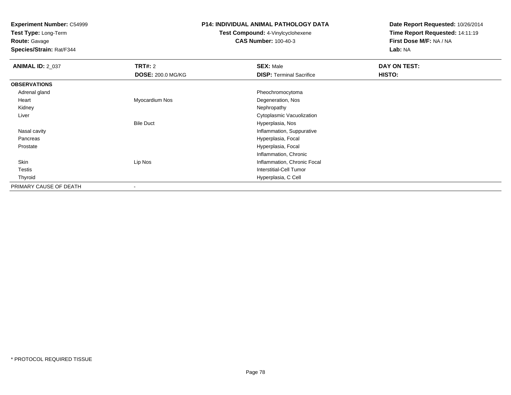**Test Type:** Long-Term

**Route:** Gavage

**Species/Strain:** Rat/F344

#### **P14: INDIVIDUAL ANIMAL PATHOLOGY DATA**

**Test Compound:** 4-Vinylcyclohexene**CAS Number:** 100-40-3

| <b>ANIMAL ID: 2_037</b> | <b>TRT#: 2</b>           | <b>SEX: Male</b>                | DAY ON TEST: |  |
|-------------------------|--------------------------|---------------------------------|--------------|--|
|                         | <b>DOSE: 200.0 MG/KG</b> | <b>DISP: Terminal Sacrifice</b> | HISTO:       |  |
| <b>OBSERVATIONS</b>     |                          |                                 |              |  |
| Adrenal gland           |                          | Pheochromocytoma                |              |  |
| Heart                   | Myocardium Nos           | Degeneration, Nos               |              |  |
| Kidney                  |                          | Nephropathy                     |              |  |
| Liver                   |                          | Cytoplasmic Vacuolization       |              |  |
|                         | <b>Bile Duct</b>         | Hyperplasia, Nos                |              |  |
| Nasal cavity            |                          | Inflammation, Suppurative       |              |  |
| Pancreas                |                          | Hyperplasia, Focal              |              |  |
| Prostate                |                          | Hyperplasia, Focal              |              |  |
|                         |                          | Inflammation, Chronic           |              |  |
| Skin                    | Lip Nos                  | Inflammation, Chronic Focal     |              |  |
| <b>Testis</b>           |                          | Interstitial-Cell Tumor         |              |  |
| Thyroid                 |                          | Hyperplasia, C Cell             |              |  |
| PRIMARY CAUSE OF DEATH  |                          |                                 |              |  |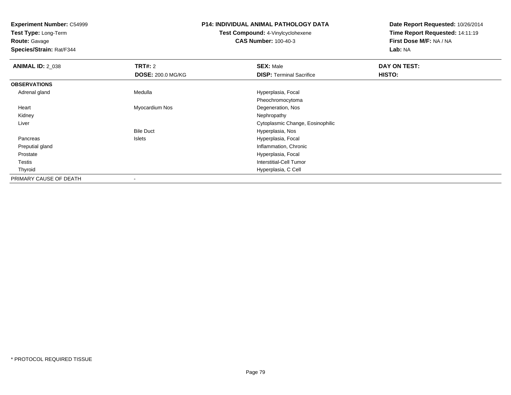**Test Type:** Long-Term

**Route:** Gavage

**Species/Strain:** Rat/F344

#### **P14: INDIVIDUAL ANIMAL PATHOLOGY DATA**

**Test Compound:** 4-Vinylcyclohexene**CAS Number:** 100-40-3

| <b>ANIMAL ID: 2_038</b> | <b>TRT#: 2</b>           | <b>SEX: Male</b>                 | DAY ON TEST: |  |
|-------------------------|--------------------------|----------------------------------|--------------|--|
|                         | <b>DOSE: 200.0 MG/KG</b> | <b>DISP: Terminal Sacrifice</b>  | HISTO:       |  |
| <b>OBSERVATIONS</b>     |                          |                                  |              |  |
| Adrenal gland           | Medulla                  | Hyperplasia, Focal               |              |  |
|                         |                          | Pheochromocytoma                 |              |  |
| Heart                   | Myocardium Nos           | Degeneration, Nos                |              |  |
| Kidney                  |                          | Nephropathy                      |              |  |
| Liver                   |                          | Cytoplasmic Change, Eosinophilic |              |  |
|                         | <b>Bile Duct</b>         | Hyperplasia, Nos                 |              |  |
| Pancreas                | Islets                   | Hyperplasia, Focal               |              |  |
| Preputial gland         |                          | Inflammation, Chronic            |              |  |
| Prostate                |                          | Hyperplasia, Focal               |              |  |
| Testis                  |                          | <b>Interstitial-Cell Tumor</b>   |              |  |
| Thyroid                 |                          | Hyperplasia, C Cell              |              |  |
| PRIMARY CAUSE OF DEATH  |                          |                                  |              |  |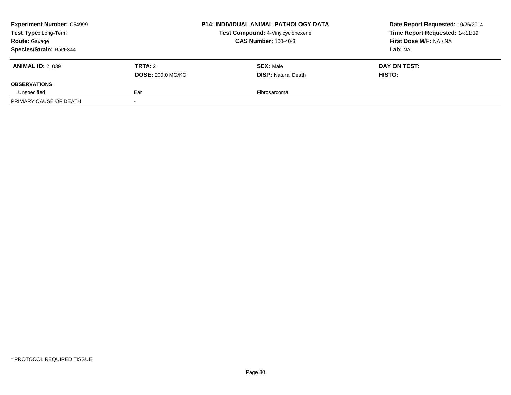| <b>Experiment Number: C54999</b><br>Test Type: Long-Term<br><b>Route: Gavage</b> |                          | <b>P14: INDIVIDUAL ANIMAL PATHOLOGY DATA</b><br>Test Compound: 4-Vinylcyclohexene<br><b>CAS Number: 100-40-3</b> | Date Report Requested: 10/26/2014<br>Time Report Requested: 14:11:19<br>First Dose M/F: NA / NA |
|----------------------------------------------------------------------------------|--------------------------|------------------------------------------------------------------------------------------------------------------|-------------------------------------------------------------------------------------------------|
| Species/Strain: Rat/F344                                                         |                          |                                                                                                                  | Lab: NA                                                                                         |
| <b>ANIMAL ID: 2 039</b>                                                          | TRT#: 2                  | <b>SEX: Male</b>                                                                                                 | DAY ON TEST:                                                                                    |
|                                                                                  | <b>DOSE: 200.0 MG/KG</b> | <b>DISP: Natural Death</b>                                                                                       | <b>HISTO:</b>                                                                                   |
| <b>OBSERVATIONS</b>                                                              |                          |                                                                                                                  |                                                                                                 |
| Unspecified                                                                      | Ear                      | Fibrosarcoma                                                                                                     |                                                                                                 |
| PRIMARY CAUSE OF DEATH                                                           |                          |                                                                                                                  |                                                                                                 |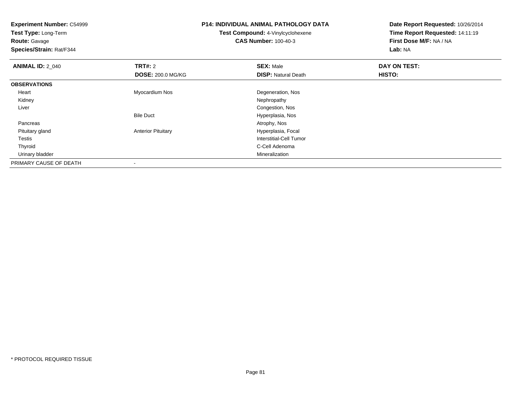**Experiment Number:** C54999**Test Type:** Long-Term**Route:** Gavage **Species/Strain:** Rat/F344**P14: INDIVIDUAL ANIMAL PATHOLOGY DATATest Compound:** 4-Vinylcyclohexene**CAS Number:** 100-40-3**Date Report Requested:** 10/26/2014**Time Report Requested:** 14:11:19**First Dose M/F:** NA / NA**Lab:** NA**ANIMAL ID: 2 040 C TRT#:** 2 **SEX:** Male **DAY ON TEST: DOSE:** 200.0 MG/KG**DISP:** Natural Death **HISTO: OBSERVATIONS** Heart Myocardium NosDegeneration, Nos<br>Nephropathy Kidneyy the control of the control of the control of the control of the control of the control of the control of the control of the control of the control of the control of the control of the control of the control of the contro Liver Congestion, Nos Hyperplasia, NosBile Duct Pancreass and the contract of the contract of the contract of the contract of the contract of the contract of the contract of  $\mathcal{A}$  Pituitary glandAnterior Pituitary **Hyperplasia**, Focal Testis Interstitial-Cell Tumor Thyroid C-Cell Adenoma Urinary bladder MineralizationPRIMARY CAUSE OF DEATH-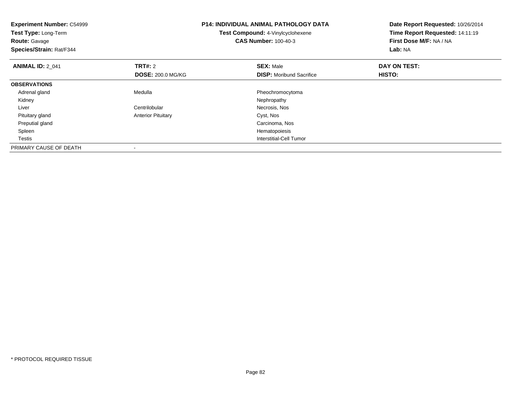| <b>Experiment Number: C54999</b><br>Test Type: Long-Term<br>Route: Gavage<br>Species/Strain: Rat/F344 |                           | <b>P14: INDIVIDUAL ANIMAL PATHOLOGY DATA</b><br>Test Compound: 4-Vinylcyclohexene<br><b>CAS Number: 100-40-3</b> | Date Report Requested: 10/26/2014<br>Time Report Requested: 14:11:19<br>First Dose M/F: NA / NA<br>Lab: NA |
|-------------------------------------------------------------------------------------------------------|---------------------------|------------------------------------------------------------------------------------------------------------------|------------------------------------------------------------------------------------------------------------|
| <b>ANIMAL ID: 2_041</b>                                                                               | <b>TRT#:</b> 2            | <b>SEX: Male</b>                                                                                                 | DAY ON TEST:                                                                                               |
|                                                                                                       | <b>DOSE: 200.0 MG/KG</b>  | <b>DISP:</b> Moribund Sacrifice                                                                                  | HISTO:                                                                                                     |
| <b>OBSERVATIONS</b>                                                                                   |                           |                                                                                                                  |                                                                                                            |
| Adrenal gland                                                                                         | Medulla                   | Pheochromocytoma                                                                                                 |                                                                                                            |
| Kidney                                                                                                |                           | Nephropathy                                                                                                      |                                                                                                            |
| Liver                                                                                                 | Centrilobular             | Necrosis, Nos                                                                                                    |                                                                                                            |
| Pituitary gland                                                                                       | <b>Anterior Pituitary</b> | Cyst, Nos                                                                                                        |                                                                                                            |
| Preputial gland                                                                                       |                           | Carcinoma, Nos                                                                                                   |                                                                                                            |
| Spleen                                                                                                |                           | Hematopoiesis                                                                                                    |                                                                                                            |
| Testis                                                                                                |                           | Interstitial-Cell Tumor                                                                                          |                                                                                                            |
| PRIMARY CAUSE OF DEATH                                                                                |                           |                                                                                                                  |                                                                                                            |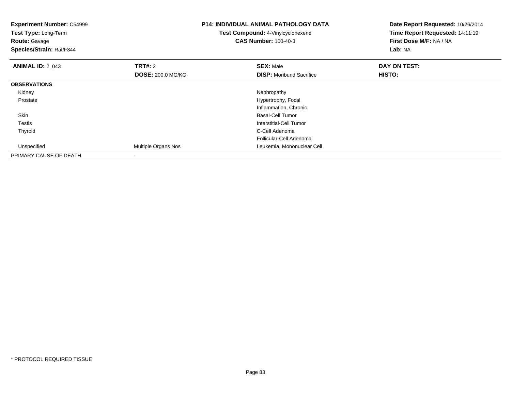| <b>Experiment Number: C54999</b><br>Test Type: Long-Term<br><b>Route: Gavage</b><br>Species/Strain: Rat/F344 |                          | <b>P14: INDIVIDUAL ANIMAL PATHOLOGY DATA</b><br>Test Compound: 4-Vinylcyclohexene<br><b>CAS Number: 100-40-3</b> | Date Report Requested: 10/26/2014<br>Time Report Requested: 14:11:19<br>First Dose M/F: NA / NA<br>Lab: NA |
|--------------------------------------------------------------------------------------------------------------|--------------------------|------------------------------------------------------------------------------------------------------------------|------------------------------------------------------------------------------------------------------------|
| <b>ANIMAL ID: 2_043</b>                                                                                      | <b>TRT#: 2</b>           | <b>SEX: Male</b>                                                                                                 | DAY ON TEST:                                                                                               |
|                                                                                                              | <b>DOSE: 200.0 MG/KG</b> | <b>DISP:</b> Moribund Sacrifice                                                                                  | HISTO:                                                                                                     |
| <b>OBSERVATIONS</b>                                                                                          |                          |                                                                                                                  |                                                                                                            |
| Kidney                                                                                                       |                          | Nephropathy                                                                                                      |                                                                                                            |
| Prostate                                                                                                     |                          | Hypertrophy, Focal                                                                                               |                                                                                                            |
|                                                                                                              |                          | Inflammation, Chronic                                                                                            |                                                                                                            |
| Skin                                                                                                         |                          | <b>Basal-Cell Tumor</b>                                                                                          |                                                                                                            |
| Testis                                                                                                       |                          | Interstitial-Cell Tumor                                                                                          |                                                                                                            |
| Thyroid                                                                                                      |                          | C-Cell Adenoma                                                                                                   |                                                                                                            |
|                                                                                                              |                          | Follicular-Cell Adenoma                                                                                          |                                                                                                            |
| Unspecified                                                                                                  | Multiple Organs Nos      | Leukemia, Mononuclear Cell                                                                                       |                                                                                                            |
| PRIMARY CAUSE OF DEATH                                                                                       | $\overline{\phantom{0}}$ |                                                                                                                  |                                                                                                            |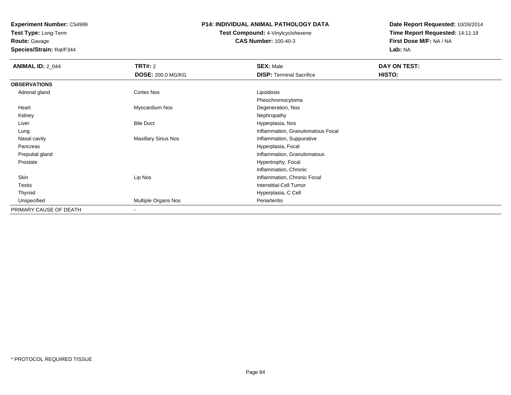**Test Type:** Long-Term

# **Route:** Gavage

**Species/Strain:** Rat/F344

#### **P14: INDIVIDUAL ANIMAL PATHOLOGY DATA**

# **Test Compound:** 4-Vinylcyclohexene**CAS Number:** 100-40-3

| <b>ANIMAL ID: 2_044</b> | <b>TRT#: 2</b>             | <b>SEX: Male</b>                  | DAY ON TEST: |
|-------------------------|----------------------------|-----------------------------------|--------------|
|                         | <b>DOSE: 200.0 MG/KG</b>   | <b>DISP: Terminal Sacrifice</b>   | HISTO:       |
| <b>OBSERVATIONS</b>     |                            |                                   |              |
| Adrenal gland           | Cortex Nos                 | Lipoidosis                        |              |
|                         |                            | Pheochromocytoma                  |              |
| Heart                   | Myocardium Nos             | Degeneration, Nos                 |              |
| Kidney                  |                            | Nephropathy                       |              |
| Liver                   | <b>Bile Duct</b>           | Hyperplasia, Nos                  |              |
| Lung                    |                            | Inflammation, Granulomatous Focal |              |
| Nasal cavity            | <b>Maxillary Sinus Nos</b> | Inflammation, Suppurative         |              |
| Pancreas                |                            | Hyperplasia, Focal                |              |
| Preputial gland         |                            | Inflammation, Granulomatous       |              |
| Prostate                |                            | Hypertrophy, Focal                |              |
|                         |                            | Inflammation, Chronic             |              |
| Skin                    | Lip Nos                    | Inflammation, Chronic Focal       |              |
| Testis                  |                            | <b>Interstitial-Cell Tumor</b>    |              |
| Thyroid                 |                            | Hyperplasia, C Cell               |              |
| Unspecified             | Multiple Organs Nos        | Periarteritis                     |              |
| PRIMARY CAUSE OF DEATH  | ۰                          |                                   |              |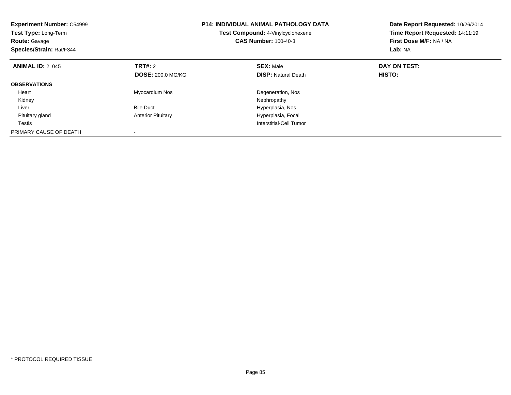| <b>Experiment Number: C54999</b><br>Test Type: Long-Term<br><b>Route: Gavage</b><br>Species/Strain: Rat/F344 |                                     | <b>P14: INDIVIDUAL ANIMAL PATHOLOGY DATA</b><br>Test Compound: 4-Vinylcyclohexene<br><b>CAS Number: 100-40-3</b> | Date Report Requested: 10/26/2014<br>Time Report Requested: 14:11:19<br>First Dose M/F: NA / NA<br>Lab: NA |
|--------------------------------------------------------------------------------------------------------------|-------------------------------------|------------------------------------------------------------------------------------------------------------------|------------------------------------------------------------------------------------------------------------|
| <b>ANIMAL ID: 2 045</b>                                                                                      | TRT#: 2<br><b>DOSE: 200.0 MG/KG</b> | <b>SEX: Male</b><br><b>DISP: Natural Death</b>                                                                   | DAY ON TEST:<br>HISTO:                                                                                     |
| <b>OBSERVATIONS</b>                                                                                          |                                     |                                                                                                                  |                                                                                                            |
| Heart<br>Kidney                                                                                              | <b>Myocardium Nos</b>               | Degeneration, Nos<br>Nephropathy                                                                                 |                                                                                                            |
| Liver                                                                                                        | <b>Bile Duct</b>                    | Hyperplasia, Nos                                                                                                 |                                                                                                            |
| Pituitary gland                                                                                              | <b>Anterior Pituitary</b>           | Hyperplasia, Focal                                                                                               |                                                                                                            |
| Testis                                                                                                       |                                     | Interstitial-Cell Tumor                                                                                          |                                                                                                            |
| PRIMARY CAUSE OF DEATH                                                                                       |                                     |                                                                                                                  |                                                                                                            |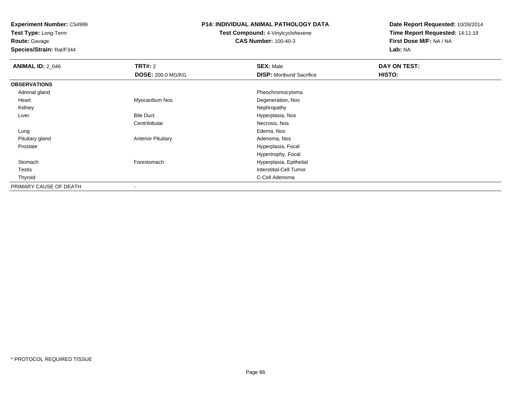**Test Type:** Long-Term

**Route:** Gavage

**Species/Strain:** Rat/F344

#### **P14: INDIVIDUAL ANIMAL PATHOLOGY DATA**

**Test Compound:** 4-Vinylcyclohexene**CAS Number:** 100-40-3

| <b>ANIMAL ID: 2_046</b> | TRT#: 2                   | <b>SEX: Male</b>                | DAY ON TEST: |  |
|-------------------------|---------------------------|---------------------------------|--------------|--|
|                         | <b>DOSE: 200.0 MG/KG</b>  | <b>DISP:</b> Moribund Sacrifice | HISTO:       |  |
| <b>OBSERVATIONS</b>     |                           |                                 |              |  |
| Adrenal gland           |                           | Pheochromocytoma                |              |  |
| Heart                   | Myocardium Nos            | Degeneration, Nos               |              |  |
| Kidney                  |                           | Nephropathy                     |              |  |
| Liver                   | <b>Bile Duct</b>          | Hyperplasia, Nos                |              |  |
|                         | Centrilobular             | Necrosis, Nos                   |              |  |
| Lung                    |                           | Edema, Nos                      |              |  |
| Pituitary gland         | <b>Anterior Pituitary</b> | Adenoma, Nos                    |              |  |
| Prostate                |                           | Hyperplasia, Focal              |              |  |
|                         |                           | Hypertrophy, Focal              |              |  |
| Stomach                 | Forestomach               | Hyperplasia, Epithelial         |              |  |
| Testis                  |                           | Interstitial-Cell Tumor         |              |  |
| Thyroid                 |                           | C-Cell Adenoma                  |              |  |
| PRIMARY CAUSE OF DEATH  | ٠                         |                                 |              |  |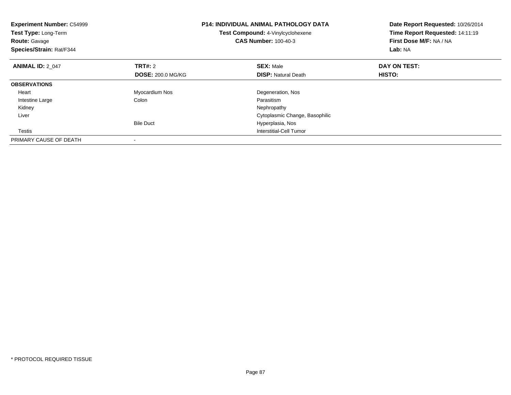| <b>Experiment Number: C54999</b><br>Test Type: Long-Term<br><b>Route: Gavage</b><br>Species/Strain: Rat/F344 |                          | <b>P14: INDIVIDUAL ANIMAL PATHOLOGY DATA</b><br>Test Compound: 4-Vinylcyclohexene<br><b>CAS Number: 100-40-3</b> | Date Report Requested: 10/26/2014<br>Time Report Requested: 14:11:19<br>First Dose M/F: NA / NA<br>Lab: NA |
|--------------------------------------------------------------------------------------------------------------|--------------------------|------------------------------------------------------------------------------------------------------------------|------------------------------------------------------------------------------------------------------------|
| <b>ANIMAL ID: 2 047</b>                                                                                      | TRT#: 2                  | <b>SEX: Male</b>                                                                                                 | DAY ON TEST:                                                                                               |
|                                                                                                              | <b>DOSE: 200.0 MG/KG</b> | <b>DISP:</b> Natural Death                                                                                       | HISTO:                                                                                                     |
| <b>OBSERVATIONS</b>                                                                                          |                          |                                                                                                                  |                                                                                                            |
| Heart                                                                                                        | Myocardium Nos           | Degeneration, Nos                                                                                                |                                                                                                            |
| Intestine Large                                                                                              | Colon                    | Parasitism                                                                                                       |                                                                                                            |
| Kidney                                                                                                       |                          | Nephropathy                                                                                                      |                                                                                                            |
| Liver                                                                                                        |                          | Cytoplasmic Change, Basophilic                                                                                   |                                                                                                            |
|                                                                                                              | <b>Bile Duct</b>         | Hyperplasia, Nos                                                                                                 |                                                                                                            |
| Testis                                                                                                       |                          | Interstitial-Cell Tumor                                                                                          |                                                                                                            |
| PRIMARY CAUSE OF DEATH                                                                                       |                          |                                                                                                                  |                                                                                                            |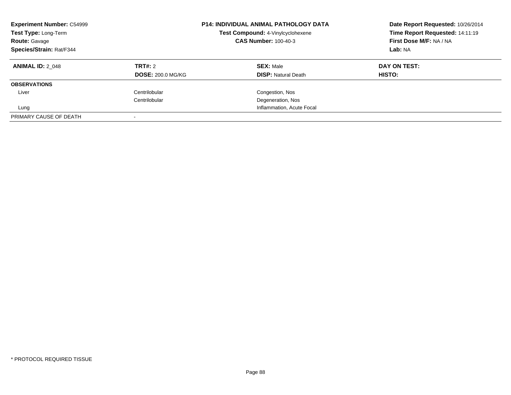| <b>Experiment Number: C54999</b><br>Test Type: Long-Term<br><b>Route: Gavage</b><br>Species/Strain: Rat/F344 |                          | <b>P14: INDIVIDUAL ANIMAL PATHOLOGY DATA</b><br>Test Compound: 4-Vinylcyclohexene<br><b>CAS Number: 100-40-3</b> | Date Report Requested: 10/26/2014<br>Time Report Requested: 14:11:19<br>First Dose M/F: NA / NA<br>Lab: NA |
|--------------------------------------------------------------------------------------------------------------|--------------------------|------------------------------------------------------------------------------------------------------------------|------------------------------------------------------------------------------------------------------------|
| <b>ANIMAL ID: 2 048</b>                                                                                      | TRT#: 2                  | <b>SEX: Male</b>                                                                                                 | DAY ON TEST:                                                                                               |
|                                                                                                              | <b>DOSE: 200.0 MG/KG</b> | <b>DISP:</b> Natural Death                                                                                       | HISTO:                                                                                                     |
| <b>OBSERVATIONS</b>                                                                                          |                          |                                                                                                                  |                                                                                                            |
| Liver                                                                                                        | Centrilobular            | Congestion, Nos                                                                                                  |                                                                                                            |
|                                                                                                              | Centrilobular            | Degeneration, Nos                                                                                                |                                                                                                            |
| Lung                                                                                                         |                          | Inflammation, Acute Focal                                                                                        |                                                                                                            |
| PRIMARY CAUSE OF DEATH                                                                                       |                          |                                                                                                                  |                                                                                                            |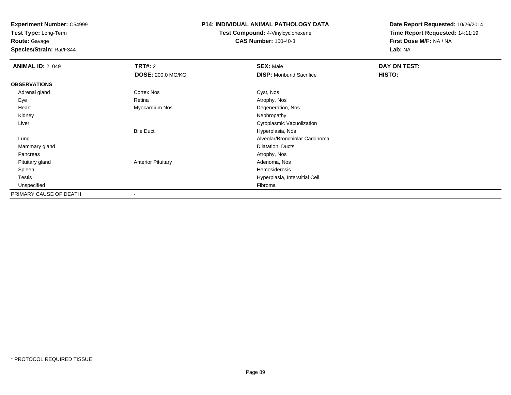**Test Type:** Long-Term

# **Route:** Gavage

**Species/Strain:** Rat/F344

#### **P14: INDIVIDUAL ANIMAL PATHOLOGY DATA**

# **Test Compound:** 4-Vinylcyclohexene**CAS Number:** 100-40-3

| <b>ANIMAL ID: 2_049</b> | <b>TRT#: 2</b>            | <b>SEX: Male</b>                | DAY ON TEST: |
|-------------------------|---------------------------|---------------------------------|--------------|
|                         | <b>DOSE: 200.0 MG/KG</b>  | <b>DISP:</b> Moribund Sacrifice | HISTO:       |
| <b>OBSERVATIONS</b>     |                           |                                 |              |
| Adrenal gland           | Cortex Nos                | Cyst, Nos                       |              |
| Eye                     | Retina                    | Atrophy, Nos                    |              |
| Heart                   | Myocardium Nos            | Degeneration, Nos               |              |
| Kidney                  |                           | Nephropathy                     |              |
| Liver                   |                           | Cytoplasmic Vacuolization       |              |
|                         | <b>Bile Duct</b>          | Hyperplasia, Nos                |              |
| Lung                    |                           | Alveolar/Bronchiolar Carcinoma  |              |
| Mammary gland           |                           | Dilatation, Ducts               |              |
| Pancreas                |                           | Atrophy, Nos                    |              |
| Pituitary gland         | <b>Anterior Pituitary</b> | Adenoma, Nos                    |              |
| Spleen                  |                           | Hemosiderosis                   |              |
| Testis                  |                           | Hyperplasia, Interstitial Cell  |              |
| Unspecified             |                           | Fibroma                         |              |
| PRIMARY CAUSE OF DEATH  |                           |                                 |              |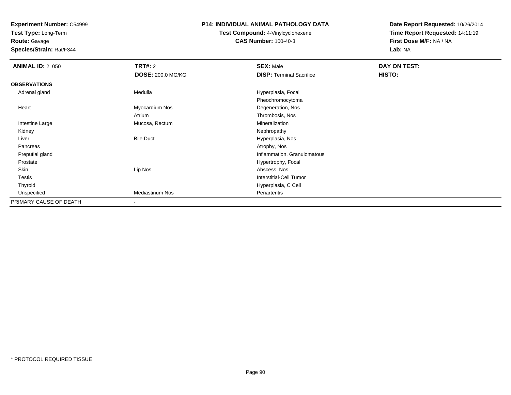**Test Type:** Long-Term

**Route:** Gavage

**Species/Strain:** Rat/F344

#### **P14: INDIVIDUAL ANIMAL PATHOLOGY DATA**

**Test Compound:** 4-Vinylcyclohexene**CAS Number:** 100-40-3

| <b>ANIMAL ID: 2_050</b> | <b>TRT#: 2</b>           | <b>SEX: Male</b>                | DAY ON TEST: |  |
|-------------------------|--------------------------|---------------------------------|--------------|--|
|                         | <b>DOSE: 200.0 MG/KG</b> | <b>DISP: Terminal Sacrifice</b> | HISTO:       |  |
| <b>OBSERVATIONS</b>     |                          |                                 |              |  |
| Adrenal gland           | Medulla                  | Hyperplasia, Focal              |              |  |
|                         |                          | Pheochromocytoma                |              |  |
| Heart                   | Myocardium Nos           | Degeneration, Nos               |              |  |
|                         | Atrium                   | Thrombosis, Nos                 |              |  |
| Intestine Large         | Mucosa, Rectum           | Mineralization                  |              |  |
| Kidney                  |                          | Nephropathy                     |              |  |
| Liver                   | <b>Bile Duct</b>         | Hyperplasia, Nos                |              |  |
| Pancreas                |                          | Atrophy, Nos                    |              |  |
| Preputial gland         |                          | Inflammation, Granulomatous     |              |  |
| Prostate                |                          | Hypertrophy, Focal              |              |  |
| Skin                    | Lip Nos                  | Abscess, Nos                    |              |  |
| Testis                  |                          | <b>Interstitial-Cell Tumor</b>  |              |  |
| Thyroid                 |                          | Hyperplasia, C Cell             |              |  |
| Unspecified             | <b>Mediastinum Nos</b>   | Periarteritis                   |              |  |
| PRIMARY CAUSE OF DEATH  | $\blacksquare$           |                                 |              |  |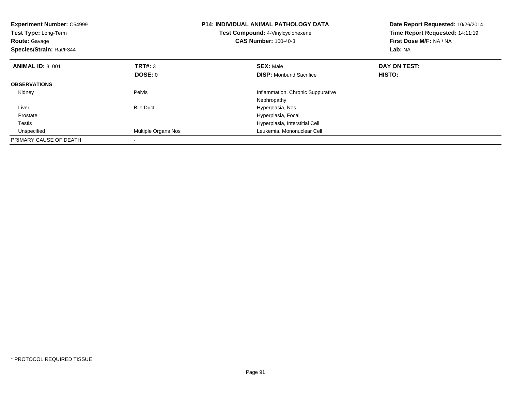| <b>Experiment Number: C54999</b><br>Test Type: Long-Term<br><b>Route: Gavage</b><br>Species/Strain: Rat/F344 |                     | <b>P14: INDIVIDUAL ANIMAL PATHOLOGY DATA</b><br>Test Compound: 4-Vinylcyclohexene<br><b>CAS Number: 100-40-3</b> | Date Report Requested: 10/26/2014<br>Time Report Requested: 14:11:19<br>First Dose M/F: NA / NA<br>Lab: NA |
|--------------------------------------------------------------------------------------------------------------|---------------------|------------------------------------------------------------------------------------------------------------------|------------------------------------------------------------------------------------------------------------|
| <b>ANIMAL ID: 3 001</b>                                                                                      | <b>TRT#: 3</b>      | <b>SEX: Male</b>                                                                                                 | DAY ON TEST:                                                                                               |
|                                                                                                              | DOSE: 0             | <b>DISP:</b> Moribund Sacrifice                                                                                  | HISTO:                                                                                                     |
| <b>OBSERVATIONS</b>                                                                                          |                     |                                                                                                                  |                                                                                                            |
| Kidney                                                                                                       | Pelvis              | Inflammation, Chronic Suppurative                                                                                |                                                                                                            |
|                                                                                                              |                     | Nephropathy                                                                                                      |                                                                                                            |
| Liver                                                                                                        | <b>Bile Duct</b>    | Hyperplasia, Nos                                                                                                 |                                                                                                            |
| Prostate                                                                                                     |                     | Hyperplasia, Focal                                                                                               |                                                                                                            |
| Testis                                                                                                       |                     | Hyperplasia, Interstitial Cell                                                                                   |                                                                                                            |
| Unspecified                                                                                                  | Multiple Organs Nos | Leukemia, Mononuclear Cell                                                                                       |                                                                                                            |
| PRIMARY CAUSE OF DEATH                                                                                       |                     |                                                                                                                  |                                                                                                            |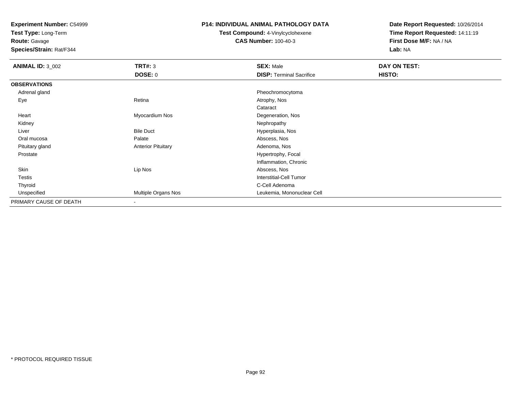**Test Type:** Long-Term

**Route:** Gavage

**Species/Strain:** Rat/F344

#### **P14: INDIVIDUAL ANIMAL PATHOLOGY DATA**

**Test Compound:** 4-Vinylcyclohexene**CAS Number:** 100-40-3

| <b>ANIMAL ID: 3_002</b> | TRT#: 3                   | <b>SEX: Male</b>                | DAY ON TEST: |
|-------------------------|---------------------------|---------------------------------|--------------|
|                         | <b>DOSE: 0</b>            | <b>DISP: Terminal Sacrifice</b> | HISTO:       |
| <b>OBSERVATIONS</b>     |                           |                                 |              |
| Adrenal gland           |                           | Pheochromocytoma                |              |
| Eye                     | Retina                    | Atrophy, Nos                    |              |
|                         |                           | Cataract                        |              |
| Heart                   | Myocardium Nos            | Degeneration, Nos               |              |
| Kidney                  |                           | Nephropathy                     |              |
| Liver                   | <b>Bile Duct</b>          | Hyperplasia, Nos                |              |
| Oral mucosa             | Palate                    | Abscess, Nos                    |              |
| Pituitary gland         | <b>Anterior Pituitary</b> | Adenoma, Nos                    |              |
| Prostate                |                           | Hypertrophy, Focal              |              |
|                         |                           | Inflammation, Chronic           |              |
| Skin                    | Lip Nos                   | Abscess, Nos                    |              |
| <b>Testis</b>           |                           | <b>Interstitial-Cell Tumor</b>  |              |
| Thyroid                 |                           | C-Cell Adenoma                  |              |
| Unspecified             | Multiple Organs Nos       | Leukemia, Mononuclear Cell      |              |
| PRIMARY CAUSE OF DEATH  | $\blacksquare$            |                                 |              |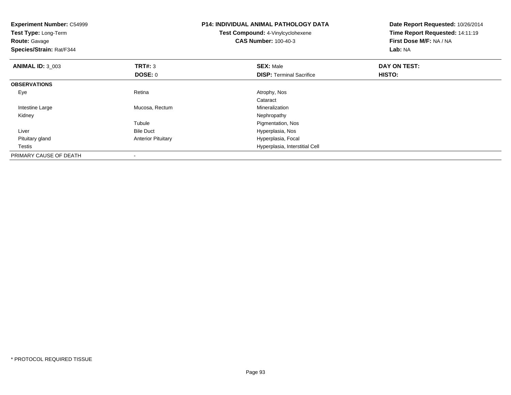| <b>Experiment Number: C54999</b><br>Test Type: Long-Term<br><b>Route: Gavage</b><br>Species/Strain: Rat/F344 |                           | <b>P14: INDIVIDUAL ANIMAL PATHOLOGY DATA</b><br>Test Compound: 4-Vinylcyclohexene<br><b>CAS Number: 100-40-3</b> | Date Report Requested: 10/26/2014<br>Time Report Requested: 14:11:19<br>First Dose M/F: NA / NA<br>Lab: NA |
|--------------------------------------------------------------------------------------------------------------|---------------------------|------------------------------------------------------------------------------------------------------------------|------------------------------------------------------------------------------------------------------------|
| <b>ANIMAL ID: 3 003</b>                                                                                      | TRT#: 3                   | <b>SEX: Male</b>                                                                                                 | DAY ON TEST:                                                                                               |
|                                                                                                              | <b>DOSE: 0</b>            | <b>DISP:</b> Terminal Sacrifice                                                                                  | <b>HISTO:</b>                                                                                              |
| <b>OBSERVATIONS</b>                                                                                          |                           |                                                                                                                  |                                                                                                            |
| Eye                                                                                                          | Retina                    | Atrophy, Nos                                                                                                     |                                                                                                            |
|                                                                                                              |                           | Cataract                                                                                                         |                                                                                                            |
| Intestine Large                                                                                              | Mucosa, Rectum            | Mineralization                                                                                                   |                                                                                                            |
| Kidney                                                                                                       |                           | Nephropathy                                                                                                      |                                                                                                            |
|                                                                                                              | Tubule                    | Pigmentation, Nos                                                                                                |                                                                                                            |
| Liver                                                                                                        | <b>Bile Duct</b>          | Hyperplasia, Nos                                                                                                 |                                                                                                            |
| Pituitary gland                                                                                              | <b>Anterior Pituitary</b> | Hyperplasia, Focal                                                                                               |                                                                                                            |
| Testis                                                                                                       |                           | Hyperplasia, Interstitial Cell                                                                                   |                                                                                                            |
| PRIMARY CAUSE OF DEATH                                                                                       |                           |                                                                                                                  |                                                                                                            |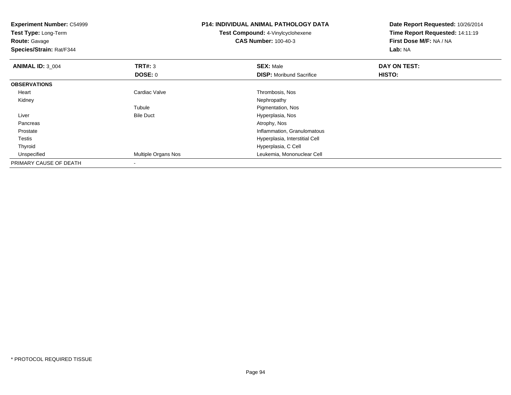| <b>Experiment Number: C54999</b><br>Test Type: Long-Term<br><b>Route: Gavage</b><br>Species/Strain: Rat/F344 |                            | <b>P14: INDIVIDUAL ANIMAL PATHOLOGY DATA</b><br><b>Test Compound: 4-Vinylcyclohexene</b><br><b>CAS Number: 100-40-3</b> | Date Report Requested: 10/26/2014<br>Time Report Requested: 14:11:19<br>First Dose M/F: NA / NA<br>Lab: NA |
|--------------------------------------------------------------------------------------------------------------|----------------------------|-------------------------------------------------------------------------------------------------------------------------|------------------------------------------------------------------------------------------------------------|
| <b>ANIMAL ID: 3_004</b>                                                                                      | TRT#: 3                    | <b>SEX: Male</b>                                                                                                        | DAY ON TEST:                                                                                               |
|                                                                                                              | DOSE: 0                    | <b>DISP:</b> Moribund Sacrifice                                                                                         | HISTO:                                                                                                     |
| <b>OBSERVATIONS</b>                                                                                          |                            |                                                                                                                         |                                                                                                            |
| Heart                                                                                                        | Cardiac Valve              | Thrombosis, Nos                                                                                                         |                                                                                                            |
| Kidney                                                                                                       |                            | Nephropathy                                                                                                             |                                                                                                            |
|                                                                                                              | Tubule                     | Pigmentation, Nos                                                                                                       |                                                                                                            |
| Liver                                                                                                        | <b>Bile Duct</b>           | Hyperplasia, Nos                                                                                                        |                                                                                                            |
| Pancreas                                                                                                     |                            | Atrophy, Nos                                                                                                            |                                                                                                            |
| Prostate                                                                                                     |                            | Inflammation, Granulomatous                                                                                             |                                                                                                            |
| Testis                                                                                                       |                            | Hyperplasia, Interstitial Cell                                                                                          |                                                                                                            |
| Thyroid                                                                                                      |                            | Hyperplasia, C Cell                                                                                                     |                                                                                                            |
| Unspecified                                                                                                  | <b>Multiple Organs Nos</b> | Leukemia, Mononuclear Cell                                                                                              |                                                                                                            |
| PRIMARY CAUSE OF DEATH                                                                                       |                            |                                                                                                                         |                                                                                                            |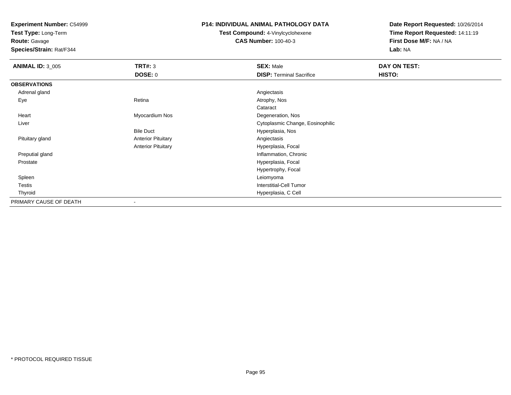**Test Type:** Long-Term

**Route:** Gavage

**Species/Strain:** Rat/F344

#### **P14: INDIVIDUAL ANIMAL PATHOLOGY DATA**

**Test Compound:** 4-Vinylcyclohexene**CAS Number:** 100-40-3

| <b>ANIMAL ID: 3_005</b> | <b>TRT#: 3</b>            | <b>SEX: Male</b>                 | DAY ON TEST: |
|-------------------------|---------------------------|----------------------------------|--------------|
|                         | DOSE: 0                   | <b>DISP: Terminal Sacrifice</b>  | HISTO:       |
| <b>OBSERVATIONS</b>     |                           |                                  |              |
| Adrenal gland           |                           | Angiectasis                      |              |
| Eye                     | Retina                    | Atrophy, Nos                     |              |
|                         |                           | Cataract                         |              |
| Heart                   | Myocardium Nos            | Degeneration, Nos                |              |
| Liver                   |                           | Cytoplasmic Change, Eosinophilic |              |
|                         | <b>Bile Duct</b>          | Hyperplasia, Nos                 |              |
| Pituitary gland         | <b>Anterior Pituitary</b> | Angiectasis                      |              |
|                         | <b>Anterior Pituitary</b> | Hyperplasia, Focal               |              |
| Preputial gland         |                           | Inflammation, Chronic            |              |
| Prostate                |                           | Hyperplasia, Focal               |              |
|                         |                           | Hypertrophy, Focal               |              |
| Spleen                  |                           | Leiomyoma                        |              |
| <b>Testis</b>           |                           | <b>Interstitial-Cell Tumor</b>   |              |
| Thyroid                 |                           | Hyperplasia, C Cell              |              |
| PRIMARY CAUSE OF DEATH  | $\overline{\phantom{a}}$  |                                  |              |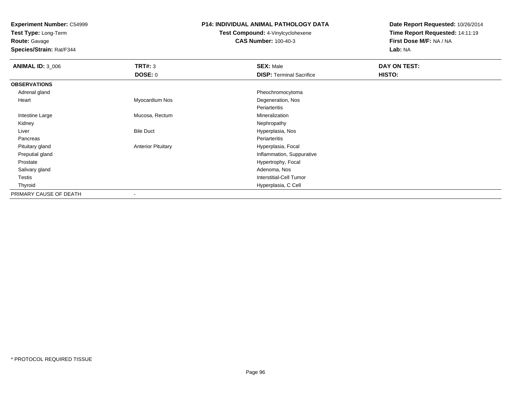**Test Type:** Long-Term

**Route:** Gavage

**Species/Strain:** Rat/F344

#### **P14: INDIVIDUAL ANIMAL PATHOLOGY DATA**

# **Test Compound:** 4-Vinylcyclohexene**CAS Number:** 100-40-3

| <b>ANIMAL ID: 3_006</b> | TRT#: 3                   | <b>SEX: Male</b>                | DAY ON TEST: |  |
|-------------------------|---------------------------|---------------------------------|--------------|--|
|                         | <b>DOSE: 0</b>            | <b>DISP: Terminal Sacrifice</b> | HISTO:       |  |
| <b>OBSERVATIONS</b>     |                           |                                 |              |  |
| Adrenal gland           |                           | Pheochromocytoma                |              |  |
| Heart                   | Myocardium Nos            | Degeneration, Nos               |              |  |
|                         |                           | Periarteritis                   |              |  |
| Intestine Large         | Mucosa, Rectum            | Mineralization                  |              |  |
| Kidney                  |                           | Nephropathy                     |              |  |
| Liver                   | <b>Bile Duct</b>          | Hyperplasia, Nos                |              |  |
| Pancreas                |                           | Periarteritis                   |              |  |
| Pituitary gland         | <b>Anterior Pituitary</b> | Hyperplasia, Focal              |              |  |
| Preputial gland         |                           | Inflammation, Suppurative       |              |  |
| Prostate                |                           | Hypertrophy, Focal              |              |  |
| Salivary gland          |                           | Adenoma, Nos                    |              |  |
| Testis                  |                           | Interstitial-Cell Tumor         |              |  |
| Thyroid                 |                           | Hyperplasia, C Cell             |              |  |
| PRIMARY CAUSE OF DEATH  |                           |                                 |              |  |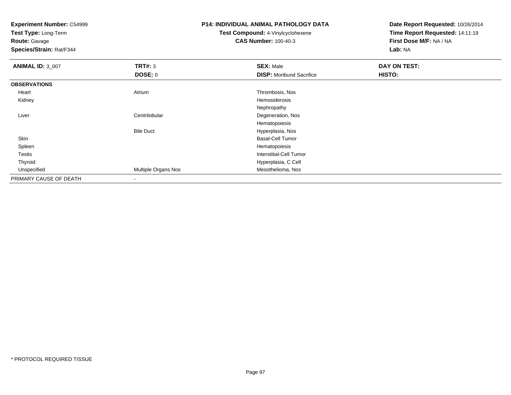**Test Type:** Long-Term

**Route:** Gavage

**Species/Strain:** Rat/F344

#### **P14: INDIVIDUAL ANIMAL PATHOLOGY DATA**

# **Test Compound:** 4-Vinylcyclohexene**CAS Number:** 100-40-3

| <b>ANIMAL ID: 3_007</b> | <b>TRT#: 3</b>      | <b>SEX: Male</b>                | DAY ON TEST: |  |
|-------------------------|---------------------|---------------------------------|--------------|--|
|                         | <b>DOSE: 0</b>      | <b>DISP:</b> Moribund Sacrifice | HISTO:       |  |
| <b>OBSERVATIONS</b>     |                     |                                 |              |  |
| Heart                   | Atrium              | Thrombosis, Nos                 |              |  |
| Kidney                  |                     | Hemosiderosis                   |              |  |
|                         |                     | Nephropathy                     |              |  |
| Liver                   | Centrilobular       | Degeneration, Nos               |              |  |
|                         |                     | Hematopoiesis                   |              |  |
|                         | <b>Bile Duct</b>    | Hyperplasia, Nos                |              |  |
| Skin                    |                     | <b>Basal-Cell Tumor</b>         |              |  |
| Spleen                  |                     | Hematopoiesis                   |              |  |
| Testis                  |                     | Interstitial-Cell Tumor         |              |  |
| Thyroid                 |                     | Hyperplasia, C Cell             |              |  |
| Unspecified             | Multiple Organs Nos | Mesothelioma, Nos               |              |  |
| PRIMARY CAUSE OF DEATH  | $\,$                |                                 |              |  |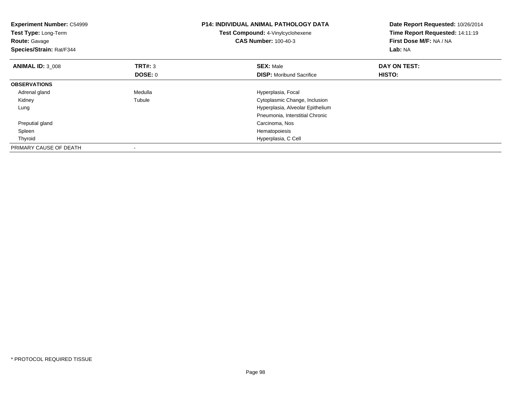| <b>Experiment Number: C54999</b><br>Test Type: Long-Term<br><b>Route: Gavage</b><br>Species/Strain: Rat/F344 |                                  | <b>P14: INDIVIDUAL ANIMAL PATHOLOGY DATA</b><br>Test Compound: 4-Vinylcyclohexene<br><b>CAS Number: 100-40-3</b> | Date Report Requested: 10/26/2014<br>Time Report Requested: 14:11:19<br>First Dose M/F: NA / NA<br>Lab: NA |
|--------------------------------------------------------------------------------------------------------------|----------------------------------|------------------------------------------------------------------------------------------------------------------|------------------------------------------------------------------------------------------------------------|
| <b>ANIMAL ID: 3 008</b>                                                                                      | <b>TRT#: 3</b><br><b>DOSE: 0</b> | <b>SEX: Male</b><br><b>DISP:</b> Moribund Sacrifice                                                              | DAY ON TEST:<br>HISTO:                                                                                     |
| <b>OBSERVATIONS</b>                                                                                          |                                  |                                                                                                                  |                                                                                                            |
| Adrenal gland                                                                                                | Medulla                          | Hyperplasia, Focal                                                                                               |                                                                                                            |
| Kidney                                                                                                       | Tubule                           | Cytoplasmic Change, Inclusion                                                                                    |                                                                                                            |
| Lung                                                                                                         |                                  | Hyperplasia, Alveolar Epithelium                                                                                 |                                                                                                            |
|                                                                                                              |                                  | Pneumonia, Interstitial Chronic                                                                                  |                                                                                                            |
| Preputial gland                                                                                              |                                  | Carcinoma, Nos                                                                                                   |                                                                                                            |
| Spleen                                                                                                       |                                  | Hematopoiesis                                                                                                    |                                                                                                            |
| Thyroid                                                                                                      |                                  | Hyperplasia, C Cell                                                                                              |                                                                                                            |
| PRIMARY CAUSE OF DEATH                                                                                       |                                  |                                                                                                                  |                                                                                                            |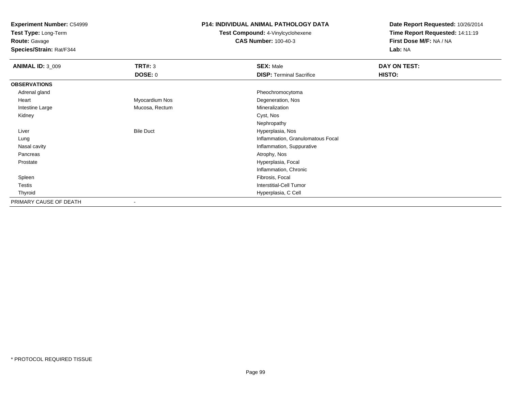**Test Type:** Long-Term

**Route:** Gavage

**Species/Strain:** Rat/F344

#### **P14: INDIVIDUAL ANIMAL PATHOLOGY DATA**

**Test Compound:** 4-Vinylcyclohexene**CAS Number:** 100-40-3

| <b>ANIMAL ID: 3_009</b> | <b>TRT#: 3</b>   | <b>SEX: Male</b>                  | <b>DAY ON TEST:</b> |  |
|-------------------------|------------------|-----------------------------------|---------------------|--|
|                         | <b>DOSE: 0</b>   | <b>DISP: Terminal Sacrifice</b>   | HISTO:              |  |
| <b>OBSERVATIONS</b>     |                  |                                   |                     |  |
| Adrenal gland           |                  | Pheochromocytoma                  |                     |  |
| Heart                   | Myocardium Nos   | Degeneration, Nos                 |                     |  |
| Intestine Large         | Mucosa, Rectum   | Mineralization                    |                     |  |
| Kidney                  |                  | Cyst, Nos                         |                     |  |
|                         |                  | Nephropathy                       |                     |  |
| Liver                   | <b>Bile Duct</b> | Hyperplasia, Nos                  |                     |  |
| Lung                    |                  | Inflammation, Granulomatous Focal |                     |  |
| Nasal cavity            |                  | Inflammation, Suppurative         |                     |  |
| Pancreas                |                  | Atrophy, Nos                      |                     |  |
| Prostate                |                  | Hyperplasia, Focal                |                     |  |
|                         |                  | Inflammation, Chronic             |                     |  |
| Spleen                  |                  | Fibrosis, Focal                   |                     |  |
| <b>Testis</b>           |                  | <b>Interstitial-Cell Tumor</b>    |                     |  |
| Thyroid                 |                  | Hyperplasia, C Cell               |                     |  |
| PRIMARY CAUSE OF DEATH  | $\blacksquare$   |                                   |                     |  |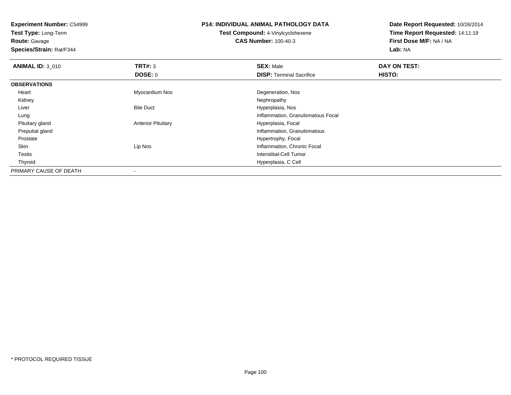**Test Type:** Long-Term

**Route:** Gavage

**Species/Strain:** Rat/F344

# **P14: INDIVIDUAL ANIMAL PATHOLOGY DATA**

**Test Compound:** 4-Vinylcyclohexene**CAS Number:** 100-40-3

| <b>ANIMAL ID: 3_010</b> | TRT#: 3                   | <b>SEX: Male</b>                  | DAY ON TEST: |  |
|-------------------------|---------------------------|-----------------------------------|--------------|--|
|                         | DOSE: 0                   | <b>DISP: Terminal Sacrifice</b>   | HISTO:       |  |
| <b>OBSERVATIONS</b>     |                           |                                   |              |  |
| Heart                   | Myocardium Nos            | Degeneration, Nos                 |              |  |
| Kidney                  |                           | Nephropathy                       |              |  |
| Liver                   | <b>Bile Duct</b>          | Hyperplasia, Nos                  |              |  |
| Lung                    |                           | Inflammation, Granulomatous Focal |              |  |
| Pituitary gland         | <b>Anterior Pituitary</b> | Hyperplasia, Focal                |              |  |
| Preputial gland         |                           | Inflammation, Granulomatous       |              |  |
| Prostate                |                           | Hypertrophy, Focal                |              |  |
| Skin                    | Lip Nos                   | Inflammation, Chronic Focal       |              |  |
| Testis                  |                           | Interstitial-Cell Tumor           |              |  |
| Thyroid                 |                           | Hyperplasia, C Cell               |              |  |
| PRIMARY CAUSE OF DEATH  |                           |                                   |              |  |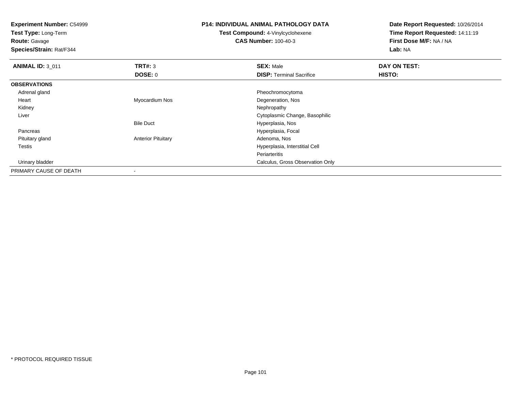**Experiment Number:** C54999**Test Type:** Long-Term**Route:** Gavage **Species/Strain:** Rat/F344**P14: INDIVIDUAL ANIMAL PATHOLOGY DATATest Compound:** 4-Vinylcyclohexene**CAS Number:** 100-40-3**Date Report Requested:** 10/26/2014**Time Report Requested:** 14:11:19**First Dose M/F:** NA / NA**Lab:** NA**ANIMAL ID:** 3\_011**TRT#:** 3 **SEX:** Male **DAY ON TEST: DOSE:** 0**DISP:** Terminal Sacrifice **HISTO: OBSERVATIONS** Adrenal gland Pheochromocytoma Heart Myocardium NosDegeneration, Nos<br>Nephropathy Kidneyy the control of the control of the control of the control of the control of the control of the control of the control of the control of the control of the control of the control of the control of the control of the contro Liver Cytoplasmic Change, BasophilicBile Duct Hyperplasia, Noss and the contract of the contract of the contract of the contract of the Hyperplasia, Focal Pancreas Pituitary glandAnterior Pituitary **Adenoma, Nos** Adenoma, Nos Testis Hyperplasia, Interstitial Cell Periarteritis**Calculus, Gross Observation Only 19 and 2009 Calculus, Gross Observation Only** Urinary bladder

PRIMARY CAUSE OF DEATH-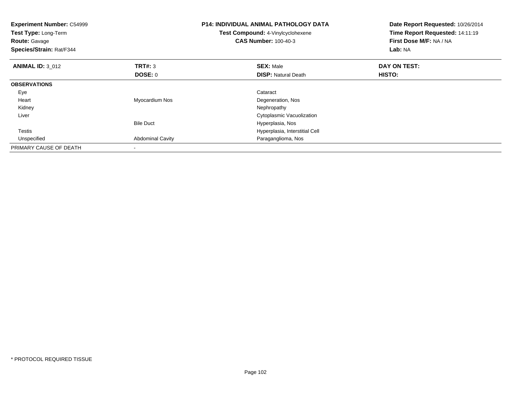| <b>Experiment Number: C54999</b><br>Test Type: Long-Term<br><b>Route: Gavage</b><br>Species/Strain: Rat/F344 |                         | <b>P14: INDIVIDUAL ANIMAL PATHOLOGY DATA</b><br>Test Compound: 4-Vinylcyclohexene<br><b>CAS Number: 100-40-3</b> | Date Report Requested: 10/26/2014<br>Time Report Requested: 14:11:19<br>First Dose M/F: NA / NA<br>Lab: NA |
|--------------------------------------------------------------------------------------------------------------|-------------------------|------------------------------------------------------------------------------------------------------------------|------------------------------------------------------------------------------------------------------------|
| <b>ANIMAL ID: 3 012</b>                                                                                      | <b>TRT#: 3</b>          | <b>SEX: Male</b>                                                                                                 | DAY ON TEST:                                                                                               |
|                                                                                                              | DOSE: 0                 | <b>DISP:</b> Natural Death                                                                                       | HISTO:                                                                                                     |
| <b>OBSERVATIONS</b>                                                                                          |                         |                                                                                                                  |                                                                                                            |
| Eye                                                                                                          |                         | Cataract                                                                                                         |                                                                                                            |
| Heart                                                                                                        | Myocardium Nos          | Degeneration, Nos                                                                                                |                                                                                                            |
| Kidney                                                                                                       |                         | Nephropathy                                                                                                      |                                                                                                            |
| Liver                                                                                                        |                         | Cytoplasmic Vacuolization                                                                                        |                                                                                                            |
|                                                                                                              | <b>Bile Duct</b>        | Hyperplasia, Nos                                                                                                 |                                                                                                            |
| Testis                                                                                                       |                         | Hyperplasia, Interstitial Cell                                                                                   |                                                                                                            |
| Unspecified                                                                                                  | <b>Abdominal Cavity</b> | Paraganglioma, Nos                                                                                               |                                                                                                            |
| PRIMARY CAUSE OF DEATH                                                                                       |                         |                                                                                                                  |                                                                                                            |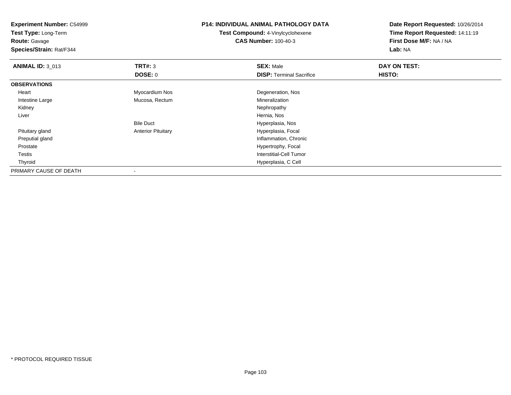| <b>Experiment Number: C54999</b><br>Test Type: Long-Term<br><b>Route: Gavage</b><br>Species/Strain: Rat/F344 |                           | <b>P14: INDIVIDUAL ANIMAL PATHOLOGY DATA</b> | Date Report Requested: 10/26/2014<br>Time Report Requested: 14:11:19<br>First Dose M/F: NA / NA<br>Lab: NA |  |
|--------------------------------------------------------------------------------------------------------------|---------------------------|----------------------------------------------|------------------------------------------------------------------------------------------------------------|--|
|                                                                                                              |                           | Test Compound: 4-Vinylcyclohexene            |                                                                                                            |  |
|                                                                                                              |                           | <b>CAS Number: 100-40-3</b>                  |                                                                                                            |  |
|                                                                                                              |                           |                                              |                                                                                                            |  |
| <b>ANIMAL ID: 3_013</b>                                                                                      | TRT#: 3                   | <b>SEX: Male</b>                             | DAY ON TEST:                                                                                               |  |
|                                                                                                              | <b>DOSE: 0</b>            | <b>DISP: Terminal Sacrifice</b>              | HISTO:                                                                                                     |  |
| <b>OBSERVATIONS</b>                                                                                          |                           |                                              |                                                                                                            |  |
| Heart                                                                                                        | Myocardium Nos            | Degeneration, Nos                            |                                                                                                            |  |
| Intestine Large                                                                                              | Mucosa, Rectum            | Mineralization                               |                                                                                                            |  |
| Kidney                                                                                                       |                           | Nephropathy                                  |                                                                                                            |  |
| Liver                                                                                                        |                           | Hernia, Nos                                  |                                                                                                            |  |
|                                                                                                              | <b>Bile Duct</b>          | Hyperplasia, Nos                             |                                                                                                            |  |
| Pituitary gland                                                                                              | <b>Anterior Pituitary</b> | Hyperplasia, Focal                           |                                                                                                            |  |
| Preputial gland                                                                                              |                           | Inflammation, Chronic                        |                                                                                                            |  |
| Prostate                                                                                                     |                           | Hypertrophy, Focal                           |                                                                                                            |  |
| Testis                                                                                                       |                           | Interstitial-Cell Tumor                      |                                                                                                            |  |
| Thyroid                                                                                                      |                           | Hyperplasia, C Cell                          |                                                                                                            |  |
| PRIMARY CAUSE OF DEATH                                                                                       |                           |                                              |                                                                                                            |  |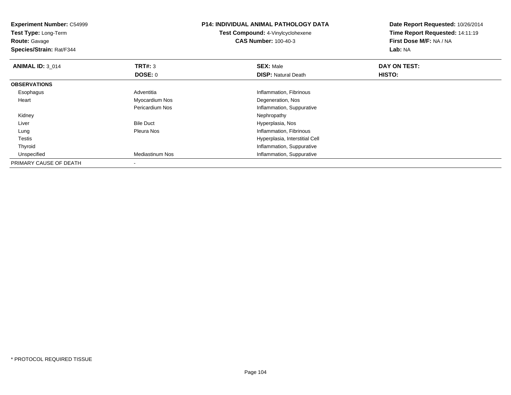| <b>Experiment Number: C54999</b><br>Test Type: Long-Term<br><b>Route: Gavage</b><br><b>Species/Strain: Rat/F344</b> |                  | <b>P14: INDIVIDUAL ANIMAL PATHOLOGY DATA</b> | Date Report Requested: 10/26/2014<br>Time Report Requested: 14:11:19 |  |
|---------------------------------------------------------------------------------------------------------------------|------------------|----------------------------------------------|----------------------------------------------------------------------|--|
|                                                                                                                     |                  | Test Compound: 4-Vinylcyclohexene            |                                                                      |  |
|                                                                                                                     |                  | <b>CAS Number: 100-40-3</b>                  | First Dose M/F: NA / NA                                              |  |
|                                                                                                                     |                  |                                              | Lab: NA                                                              |  |
| <b>ANIMAL ID: 3 014</b>                                                                                             | TRT#: 3          | <b>SEX: Male</b>                             | DAY ON TEST:                                                         |  |
|                                                                                                                     | <b>DOSE: 0</b>   | <b>DISP: Natural Death</b>                   | HISTO:                                                               |  |
| <b>OBSERVATIONS</b>                                                                                                 |                  |                                              |                                                                      |  |
| Esophagus                                                                                                           | Adventitia       | Inflammation, Fibrinous                      |                                                                      |  |
| Heart                                                                                                               | Myocardium Nos   | Degeneration, Nos                            |                                                                      |  |
|                                                                                                                     | Pericardium Nos  | Inflammation, Suppurative                    |                                                                      |  |
| Kidney                                                                                                              |                  | Nephropathy                                  |                                                                      |  |
| Liver                                                                                                               | <b>Bile Duct</b> | Hyperplasia, Nos                             |                                                                      |  |
| Lung                                                                                                                | Pleura Nos       | Inflammation, Fibrinous                      |                                                                      |  |
| Testis                                                                                                              |                  | Hyperplasia, Interstitial Cell               |                                                                      |  |
| Thyroid                                                                                                             |                  | Inflammation, Suppurative                    |                                                                      |  |
| Unspecified                                                                                                         | Mediastinum Nos  | Inflammation, Suppurative                    |                                                                      |  |
| PRIMARY CAUSE OF DEATH                                                                                              |                  |                                              |                                                                      |  |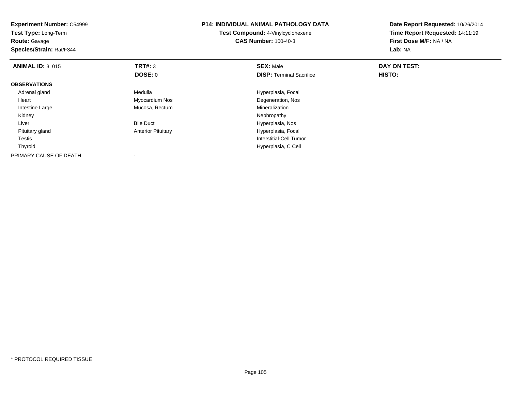| <b>Experiment Number: C54999</b><br>Test Type: Long-Term<br><b>Route: Gavage</b><br>Species/Strain: Rat/F344 |                           | <b>P14: INDIVIDUAL ANIMAL PATHOLOGY DATA</b><br><b>Test Compound: 4-Vinylcyclohexene</b><br><b>CAS Number: 100-40-3</b> | Date Report Requested: 10/26/2014<br>Time Report Requested: 14:11:19<br>First Dose M/F: NA / NA<br>Lab: NA |  |
|--------------------------------------------------------------------------------------------------------------|---------------------------|-------------------------------------------------------------------------------------------------------------------------|------------------------------------------------------------------------------------------------------------|--|
| <b>ANIMAL ID: 3_015</b>                                                                                      | <b>TRT#: 3</b>            | <b>SEX: Male</b>                                                                                                        | DAY ON TEST:                                                                                               |  |
|                                                                                                              | DOSE: 0                   | <b>DISP: Terminal Sacrifice</b>                                                                                         | <b>HISTO:</b>                                                                                              |  |
| <b>OBSERVATIONS</b>                                                                                          |                           |                                                                                                                         |                                                                                                            |  |
| Adrenal gland                                                                                                | Medulla                   | Hyperplasia, Focal                                                                                                      |                                                                                                            |  |
| Heart                                                                                                        | Myocardium Nos            | Degeneration, Nos                                                                                                       |                                                                                                            |  |
| Intestine Large                                                                                              | Mucosa, Rectum            | Mineralization                                                                                                          |                                                                                                            |  |
| Kidney                                                                                                       |                           | Nephropathy                                                                                                             |                                                                                                            |  |
| Liver                                                                                                        | <b>Bile Duct</b>          | Hyperplasia, Nos                                                                                                        |                                                                                                            |  |
| Pituitary gland                                                                                              | <b>Anterior Pituitary</b> | Hyperplasia, Focal                                                                                                      |                                                                                                            |  |
| Testis                                                                                                       |                           | Interstitial-Cell Tumor                                                                                                 |                                                                                                            |  |
| Thyroid                                                                                                      |                           | Hyperplasia, C Cell                                                                                                     |                                                                                                            |  |
| PRIMARY CAUSE OF DEATH                                                                                       |                           |                                                                                                                         |                                                                                                            |  |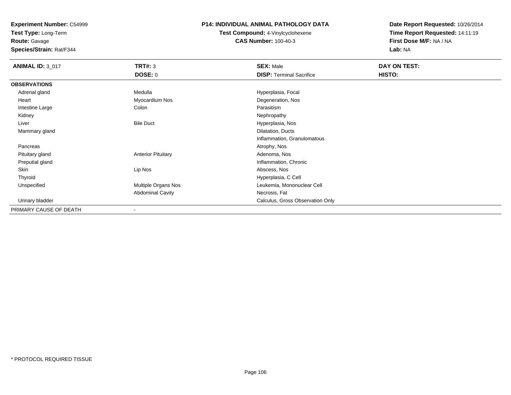**Test Type:** Long-Term

**Route:** Gavage

**Species/Strain:** Rat/F344

#### **P14: INDIVIDUAL ANIMAL PATHOLOGY DATA**

**Test Compound:** 4-Vinylcyclohexene**CAS Number:** 100-40-3

| <b>ANIMAL ID: 3_017</b> | <b>TRT#: 3</b>            | <b>SEX: Male</b>                 | DAY ON TEST: |  |
|-------------------------|---------------------------|----------------------------------|--------------|--|
|                         | <b>DOSE: 0</b>            | <b>DISP: Terminal Sacrifice</b>  | HISTO:       |  |
| <b>OBSERVATIONS</b>     |                           |                                  |              |  |
| Adrenal gland           | Medulla                   | Hyperplasia, Focal               |              |  |
| Heart                   | Myocardium Nos            | Degeneration, Nos                |              |  |
| Intestine Large         | Colon                     | Parasitism                       |              |  |
| Kidney                  |                           | Nephropathy                      |              |  |
| Liver                   | <b>Bile Duct</b>          | Hyperplasia, Nos                 |              |  |
| Mammary gland           |                           | Dilatation, Ducts                |              |  |
|                         |                           | Inflammation, Granulomatous      |              |  |
| Pancreas                |                           | Atrophy, Nos                     |              |  |
| Pituitary gland         | <b>Anterior Pituitary</b> | Adenoma, Nos                     |              |  |
| Preputial gland         |                           | Inflammation, Chronic            |              |  |
| Skin                    | Lip Nos                   | Abscess, Nos                     |              |  |
| Thyroid                 |                           | Hyperplasia, C Cell              |              |  |
| Unspecified             | Multiple Organs Nos       | Leukemia, Mononuclear Cell       |              |  |
|                         | <b>Abdominal Cavity</b>   | Necrosis, Fat                    |              |  |
| Urinary bladder         |                           | Calculus, Gross Observation Only |              |  |
| PRIMARY CAUSE OF DEATH  |                           |                                  |              |  |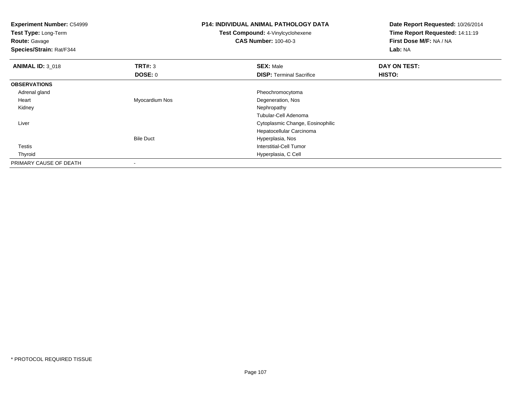| <b>Experiment Number: C54999</b><br>Test Type: Long-Term<br><b>Route: Gavage</b><br>Species/Strain: Rat/F344 |                          | <b>P14: INDIVIDUAL ANIMAL PATHOLOGY DATA</b><br><b>Test Compound: 4-Vinylcyclohexene</b><br><b>CAS Number: 100-40-3</b> | Date Report Requested: 10/26/2014<br>Time Report Requested: 14:11:19<br>First Dose M/F: NA / NA<br>Lab: NA |  |
|--------------------------------------------------------------------------------------------------------------|--------------------------|-------------------------------------------------------------------------------------------------------------------------|------------------------------------------------------------------------------------------------------------|--|
| <b>ANIMAL ID: 3 018</b>                                                                                      | TRT#: 3                  | <b>SEX: Male</b>                                                                                                        | DAY ON TEST:                                                                                               |  |
|                                                                                                              | DOSE: 0                  | <b>DISP:</b> Terminal Sacrifice                                                                                         | HISTO:                                                                                                     |  |
| <b>OBSERVATIONS</b>                                                                                          |                          |                                                                                                                         |                                                                                                            |  |
| Adrenal gland                                                                                                |                          | Pheochromocytoma                                                                                                        |                                                                                                            |  |
| Heart                                                                                                        | Myocardium Nos           | Degeneration, Nos                                                                                                       |                                                                                                            |  |
| Kidney                                                                                                       |                          | Nephropathy                                                                                                             |                                                                                                            |  |
|                                                                                                              |                          | Tubular-Cell Adenoma                                                                                                    |                                                                                                            |  |
| Liver                                                                                                        |                          | Cytoplasmic Change, Eosinophilic                                                                                        |                                                                                                            |  |
|                                                                                                              |                          | Hepatocellular Carcinoma                                                                                                |                                                                                                            |  |
|                                                                                                              | <b>Bile Duct</b>         | Hyperplasia, Nos                                                                                                        |                                                                                                            |  |
| <b>Testis</b>                                                                                                |                          | Interstitial-Cell Tumor                                                                                                 |                                                                                                            |  |
| Thyroid                                                                                                      |                          | Hyperplasia, C Cell                                                                                                     |                                                                                                            |  |
| PRIMARY CAUSE OF DEATH                                                                                       | $\overline{\phantom{a}}$ |                                                                                                                         |                                                                                                            |  |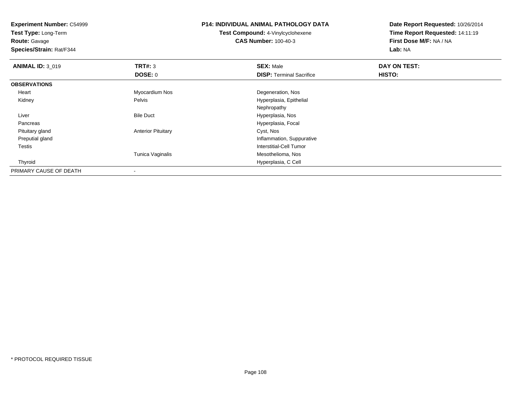**Experiment Number:** C54999**Test Type:** Long-Term**Route:** Gavage **Species/Strain:** Rat/F344**P14: INDIVIDUAL ANIMAL PATHOLOGY DATATest Compound:** 4-Vinylcyclohexene**CAS Number:** 100-40-3**Date Report Requested:** 10/26/2014**Time Report Requested:** 14:11:19**First Dose M/F:** NA / NA**Lab:** NA**ANIMAL ID: 3 019 9 SEX:** Male **DAY ON TEST: DAY ON TEST: DOSE:** 0**DISP:** Terminal Sacrifice **HISTO: OBSERVATIONS** Heart Myocardium Nos Degeneration, Nos KidneyPelvis **Australia** Hyperplasia, Epithelial Nephropathy Bile Duct Hyperplasia, Nos Livers and the contract of the contract of the contract of the contract of the Hyperplasia, Focal **Pancreas**  Pituitary glandAnterior Pituitary **Cyst, Nos**  Preputial gland Inflammation, Suppurative Testis Interstitial-Cell Tumor Tunica Vaginalis Mesothelioma, Nos Thyroid Hyperplasia, C Cell PRIMARY CAUSE OF DEATH

-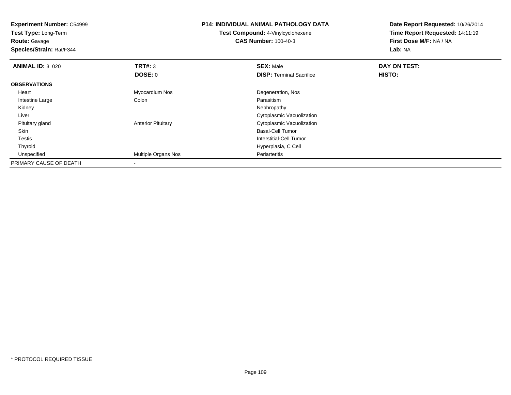**Experiment Number:** C54999**Test Type:** Long-Term**Route:** Gavage **Species/Strain:** Rat/F344**P14: INDIVIDUAL ANIMAL PATHOLOGY DATATest Compound:** 4-Vinylcyclohexene**CAS Number:** 100-40-3**Date Report Requested:** 10/26/2014**Time Report Requested:** 14:11:19**First Dose M/F:** NA / NA**Lab:** NA**ANIMAL ID:** 3\_020**C DAY ON TEST: TRT#:** 3 **SEX:** Male **SEX:** Male **DOSE:** 0**DISP:** Terminal Sacrifice **HISTO: OBSERVATIONS** Heart Myocardium Nos Degeneration, Nos Intestine Largee and the Colon Colon Colon Colon and the Parasitism Nephropathy Kidneyy the control of the control of the control of the control of the control of the control of the control of the control of the control of the control of the control of the control of the control of the control of the contro Liver Cytoplasmic Vacuolizationd Cytoplasmic Vacuolization<br>
anterior Pituitary Cytoplasmic Vacuolization Pituitary gland Skin Basal-Cell Tumor Testis Interstitial-Cell Tumor Thyroid Hyperplasia, C Cell UnspecifiedMultiple Organs Nos **Periarteritis** PRIMARY CAUSE OF DEATH-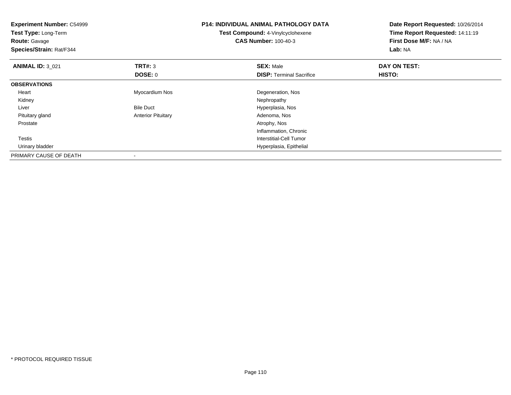| <b>Experiment Number: C54999</b><br>Test Type: Long-Term<br><b>Route: Gavage</b><br>Species/Strain: Rat/F344 |                           | <b>P14: INDIVIDUAL ANIMAL PATHOLOGY DATA</b><br>Test Compound: 4-Vinylcyclohexene<br><b>CAS Number: 100-40-3</b> | Date Report Requested: 10/26/2014<br>Time Report Requested: 14:11:19<br><b>First Dose M/F: NA / NA</b><br>Lab: NA |
|--------------------------------------------------------------------------------------------------------------|---------------------------|------------------------------------------------------------------------------------------------------------------|-------------------------------------------------------------------------------------------------------------------|
| <b>ANIMAL ID: 3_021</b>                                                                                      | TRT#: 3                   | <b>SEX: Male</b>                                                                                                 | DAY ON TEST:                                                                                                      |
|                                                                                                              | DOSE: 0                   | <b>DISP:</b> Terminal Sacrifice                                                                                  | HISTO:                                                                                                            |
| <b>OBSERVATIONS</b>                                                                                          |                           |                                                                                                                  |                                                                                                                   |
| Heart                                                                                                        | Myocardium Nos            | Degeneration, Nos                                                                                                |                                                                                                                   |
| Kidney                                                                                                       |                           | Nephropathy                                                                                                      |                                                                                                                   |
| Liver                                                                                                        | <b>Bile Duct</b>          | Hyperplasia, Nos                                                                                                 |                                                                                                                   |
| Pituitary gland                                                                                              | <b>Anterior Pituitary</b> | Adenoma, Nos                                                                                                     |                                                                                                                   |
| Prostate                                                                                                     |                           | Atrophy, Nos                                                                                                     |                                                                                                                   |
|                                                                                                              |                           | Inflammation, Chronic                                                                                            |                                                                                                                   |
| Testis                                                                                                       |                           | Interstitial-Cell Tumor                                                                                          |                                                                                                                   |
| Urinary bladder                                                                                              |                           | Hyperplasia, Epithelial                                                                                          |                                                                                                                   |
| PRIMARY CAUSE OF DEATH                                                                                       |                           |                                                                                                                  |                                                                                                                   |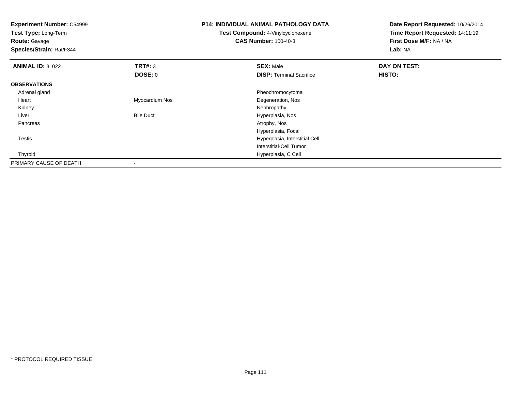| <b>Experiment Number: C54999</b><br>Test Type: Long-Term<br><b>Route: Gavage</b><br>Species/Strain: Rat/F344 |                  | <b>P14: INDIVIDUAL ANIMAL PATHOLOGY DATA</b><br>Test Compound: 4-Vinylcyclohexene<br><b>CAS Number: 100-40-3</b> | Date Report Requested: 10/26/2014<br>Time Report Requested: 14:11:19<br>First Dose M/F: NA / NA<br>Lab: NA |
|--------------------------------------------------------------------------------------------------------------|------------------|------------------------------------------------------------------------------------------------------------------|------------------------------------------------------------------------------------------------------------|
| <b>ANIMAL ID: 3_022</b>                                                                                      | TRT#: 3          | <b>SEX: Male</b>                                                                                                 | DAY ON TEST:                                                                                               |
|                                                                                                              | <b>DOSE: 0</b>   | <b>DISP: Terminal Sacrifice</b>                                                                                  | <b>HISTO:</b>                                                                                              |
| <b>OBSERVATIONS</b>                                                                                          |                  |                                                                                                                  |                                                                                                            |
| Adrenal gland                                                                                                |                  | Pheochromocytoma                                                                                                 |                                                                                                            |
| Heart                                                                                                        | Myocardium Nos   | Degeneration, Nos                                                                                                |                                                                                                            |
| Kidney                                                                                                       |                  | Nephropathy                                                                                                      |                                                                                                            |
| Liver                                                                                                        | <b>Bile Duct</b> | Hyperplasia, Nos                                                                                                 |                                                                                                            |
| Pancreas                                                                                                     |                  | Atrophy, Nos                                                                                                     |                                                                                                            |
|                                                                                                              |                  | Hyperplasia, Focal                                                                                               |                                                                                                            |
| Testis                                                                                                       |                  | Hyperplasia, Interstitial Cell                                                                                   |                                                                                                            |
|                                                                                                              |                  | Interstitial-Cell Tumor                                                                                          |                                                                                                            |
| Thyroid                                                                                                      |                  | Hyperplasia, C Cell                                                                                              |                                                                                                            |
| PRIMARY CAUSE OF DEATH                                                                                       |                  |                                                                                                                  |                                                                                                            |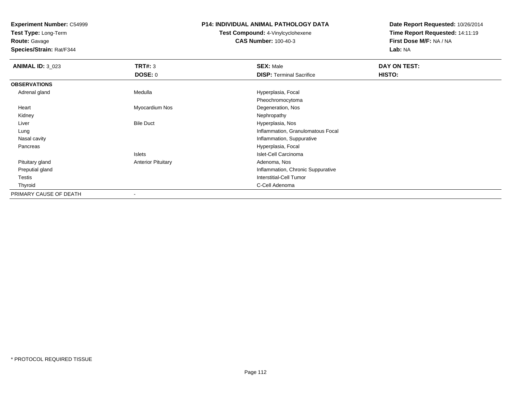**Test Type:** Long-Term

# **Route:** Gavage

**Species/Strain:** Rat/F344

#### **P14: INDIVIDUAL ANIMAL PATHOLOGY DATA**

# **Test Compound:** 4-Vinylcyclohexene**CAS Number:** 100-40-3

| <b>ANIMAL ID: 3_023</b> | TRT#: 3                   | <b>SEX: Male</b>                  | DAY ON TEST: |  |
|-------------------------|---------------------------|-----------------------------------|--------------|--|
|                         | <b>DOSE: 0</b>            | <b>DISP: Terminal Sacrifice</b>   | HISTO:       |  |
| <b>OBSERVATIONS</b>     |                           |                                   |              |  |
| Adrenal gland           | Medulla                   | Hyperplasia, Focal                |              |  |
|                         |                           | Pheochromocytoma                  |              |  |
| Heart                   | Myocardium Nos            | Degeneration, Nos                 |              |  |
| Kidney                  |                           | Nephropathy                       |              |  |
| Liver                   | <b>Bile Duct</b>          | Hyperplasia, Nos                  |              |  |
| Lung                    |                           | Inflammation, Granulomatous Focal |              |  |
| Nasal cavity            |                           | Inflammation, Suppurative         |              |  |
| Pancreas                |                           | Hyperplasia, Focal                |              |  |
|                         | Islets                    | Islet-Cell Carcinoma              |              |  |
| Pituitary gland         | <b>Anterior Pituitary</b> | Adenoma, Nos                      |              |  |
| Preputial gland         |                           | Inflammation, Chronic Suppurative |              |  |
| <b>Testis</b>           |                           | Interstitial-Cell Tumor           |              |  |
| Thyroid                 |                           | C-Cell Adenoma                    |              |  |
| PRIMARY CAUSE OF DEATH  | $\overline{\phantom{a}}$  |                                   |              |  |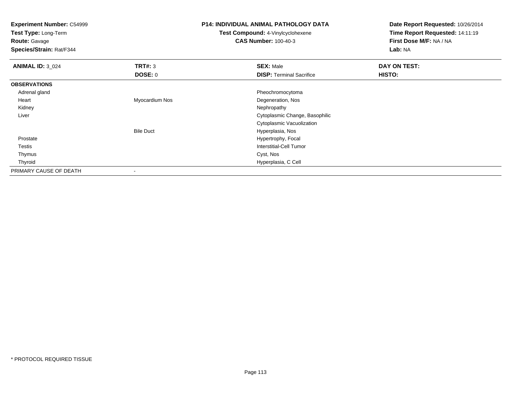| <b>Experiment Number: C54999</b><br>Test Type: Long-Term |                  | <b>P14: INDIVIDUAL ANIMAL PATHOLOGY DATA</b> | Date Report Requested: 10/26/2014 |  |
|----------------------------------------------------------|------------------|----------------------------------------------|-----------------------------------|--|
|                                                          |                  | Test Compound: 4-Vinylcyclohexene            | Time Report Requested: 14:11:19   |  |
| <b>Route: Gavage</b>                                     |                  | <b>CAS Number: 100-40-3</b>                  | First Dose M/F: NA / NA           |  |
| Species/Strain: Rat/F344                                 |                  |                                              | Lab: NA                           |  |
| <b>ANIMAL ID: 3_024</b>                                  | TRT#: 3          | <b>SEX: Male</b>                             | DAY ON TEST:                      |  |
|                                                          | <b>DOSE: 0</b>   | <b>DISP: Terminal Sacrifice</b>              | HISTO:                            |  |
| <b>OBSERVATIONS</b>                                      |                  |                                              |                                   |  |
| Adrenal gland                                            |                  | Pheochromocytoma                             |                                   |  |
| Heart                                                    | Myocardium Nos   | Degeneration, Nos                            |                                   |  |
| Kidney                                                   |                  | Nephropathy                                  |                                   |  |
| Liver                                                    |                  | Cytoplasmic Change, Basophilic               |                                   |  |
|                                                          |                  | Cytoplasmic Vacuolization                    |                                   |  |
|                                                          | <b>Bile Duct</b> | Hyperplasia, Nos                             |                                   |  |
| Prostate                                                 |                  | Hypertrophy, Focal                           |                                   |  |
| Testis                                                   |                  | Interstitial-Cell Tumor                      |                                   |  |
| Thymus                                                   |                  | Cyst, Nos                                    |                                   |  |
| Thyroid                                                  |                  | Hyperplasia, C Cell                          |                                   |  |
| PRIMARY CAUSE OF DEATH                                   |                  |                                              |                                   |  |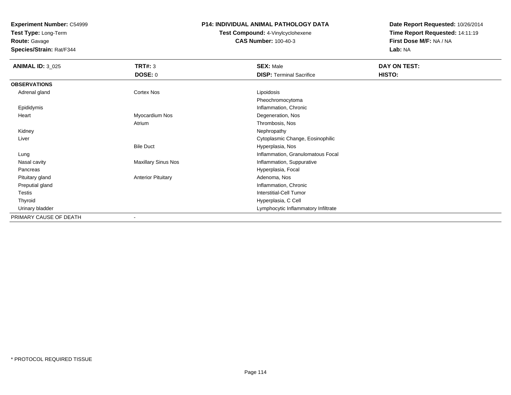**Test Type:** Long-Term

**Route:** Gavage

**Species/Strain:** Rat/F344

## **P14: INDIVIDUAL ANIMAL PATHOLOGY DATA**

**Test Compound:** 4-Vinylcyclohexene**CAS Number:** 100-40-3

| <b>ANIMAL ID: 3_025</b> | <b>TRT#: 3</b>             | <b>SEX: Male</b>                    | DAY ON TEST: |
|-------------------------|----------------------------|-------------------------------------|--------------|
|                         | <b>DOSE: 0</b>             | <b>DISP: Terminal Sacrifice</b>     | HISTO:       |
| <b>OBSERVATIONS</b>     |                            |                                     |              |
| Adrenal gland           | Cortex Nos                 | Lipoidosis                          |              |
|                         |                            | Pheochromocytoma                    |              |
| Epididymis              |                            | Inflammation, Chronic               |              |
| Heart                   | Myocardium Nos             | Degeneration, Nos                   |              |
|                         | Atrium                     | Thrombosis, Nos                     |              |
| Kidney                  |                            | Nephropathy                         |              |
| Liver                   |                            | Cytoplasmic Change, Eosinophilic    |              |
|                         | <b>Bile Duct</b>           | Hyperplasia, Nos                    |              |
| Lung                    |                            | Inflammation, Granulomatous Focal   |              |
| Nasal cavity            | <b>Maxillary Sinus Nos</b> | Inflammation, Suppurative           |              |
| Pancreas                |                            | Hyperplasia, Focal                  |              |
| Pituitary gland         | <b>Anterior Pituitary</b>  | Adenoma, Nos                        |              |
| Preputial gland         |                            | Inflammation, Chronic               |              |
| Testis                  |                            | Interstitial-Cell Tumor             |              |
| Thyroid                 |                            | Hyperplasia, C Cell                 |              |
| Urinary bladder         |                            | Lymphocytic Inflammatory Infiltrate |              |
| PRIMARY CAUSE OF DEATH  | ۰                          |                                     |              |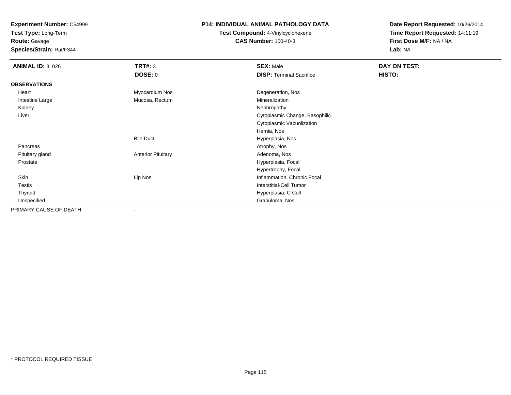**Test Type:** Long-Term

# **Route:** Gavage

**Species/Strain:** Rat/F344

### **P14: INDIVIDUAL ANIMAL PATHOLOGY DATA**

# **Test Compound:** 4-Vinylcyclohexene**CAS Number:** 100-40-3

| <b>ANIMAL ID: 3_026</b> | <b>TRT#: 3</b>            | <b>SEX: Male</b>                | DAY ON TEST: |  |
|-------------------------|---------------------------|---------------------------------|--------------|--|
|                         | <b>DOSE: 0</b>            | <b>DISP: Terminal Sacrifice</b> | HISTO:       |  |
| <b>OBSERVATIONS</b>     |                           |                                 |              |  |
| Heart                   | Myocardium Nos            | Degeneration, Nos               |              |  |
| Intestine Large         | Mucosa, Rectum            | Mineralization                  |              |  |
| Kidney                  |                           | Nephropathy                     |              |  |
| Liver                   |                           | Cytoplasmic Change, Basophilic  |              |  |
|                         |                           | Cytoplasmic Vacuolization       |              |  |
|                         |                           | Hernia, Nos                     |              |  |
|                         | <b>Bile Duct</b>          | Hyperplasia, Nos                |              |  |
| Pancreas                |                           | Atrophy, Nos                    |              |  |
| Pituitary gland         | <b>Anterior Pituitary</b> | Adenoma, Nos                    |              |  |
| Prostate                |                           | Hyperplasia, Focal              |              |  |
|                         |                           | Hypertrophy, Focal              |              |  |
| Skin                    | Lip Nos                   | Inflammation, Chronic Focal     |              |  |
| <b>Testis</b>           |                           | <b>Interstitial-Cell Tumor</b>  |              |  |
| Thyroid                 |                           | Hyperplasia, C Cell             |              |  |
| Unspecified             |                           | Granuloma, Nos                  |              |  |
| PRIMARY CAUSE OF DEATH  |                           |                                 |              |  |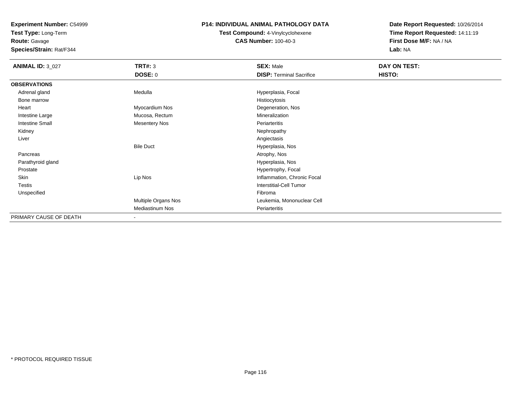**Test Type:** Long-Term

# **Route:** Gavage

**Species/Strain:** Rat/F344

### **P14: INDIVIDUAL ANIMAL PATHOLOGY DATA**

# **Test Compound:** 4-Vinylcyclohexene**CAS Number:** 100-40-3

| <b>ANIMAL ID: 3_027</b> | <b>TRT#: 3</b>           | <b>SEX: Male</b>                | DAY ON TEST: |
|-------------------------|--------------------------|---------------------------------|--------------|
|                         | <b>DOSE: 0</b>           | <b>DISP: Terminal Sacrifice</b> | HISTO:       |
| <b>OBSERVATIONS</b>     |                          |                                 |              |
| Adrenal gland           | Medulla                  | Hyperplasia, Focal              |              |
| Bone marrow             |                          | Histiocytosis                   |              |
| Heart                   | Myocardium Nos           | Degeneration, Nos               |              |
| Intestine Large         | Mucosa, Rectum           | Mineralization                  |              |
| <b>Intestine Small</b>  | <b>Mesentery Nos</b>     | Periarteritis                   |              |
| Kidney                  |                          | Nephropathy                     |              |
| Liver                   |                          | Angiectasis                     |              |
|                         | <b>Bile Duct</b>         | Hyperplasia, Nos                |              |
| Pancreas                |                          | Atrophy, Nos                    |              |
| Parathyroid gland       |                          | Hyperplasia, Nos                |              |
| Prostate                |                          | Hypertrophy, Focal              |              |
| Skin                    | Lip Nos                  | Inflammation, Chronic Focal     |              |
| Testis                  |                          | <b>Interstitial-Cell Tumor</b>  |              |
| Unspecified             |                          | Fibroma                         |              |
|                         | Multiple Organs Nos      | Leukemia, Mononuclear Cell      |              |
|                         | <b>Mediastinum Nos</b>   | Periarteritis                   |              |
| PRIMARY CAUSE OF DEATH  | $\overline{\phantom{a}}$ |                                 |              |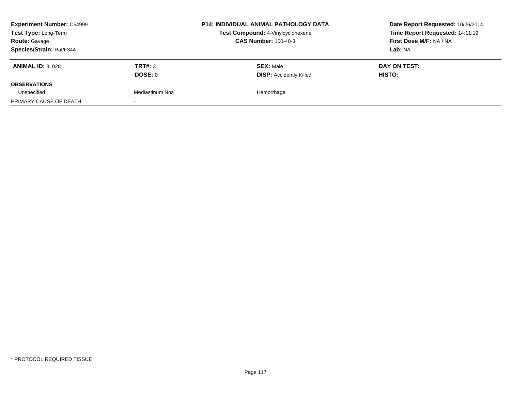| <b>Experiment Number: C54999</b><br>Test Type: Long-Term<br><b>Route: Gavage</b> |                 | <b>P14: INDIVIDUAL ANIMAL PATHOLOGY DATA</b> | Date Report Requested: 10/26/2014 |
|----------------------------------------------------------------------------------|-----------------|----------------------------------------------|-----------------------------------|
|                                                                                  |                 | Test Compound: 4-Vinylcyclohexene            | Time Report Requested: 14:11:19   |
|                                                                                  |                 | <b>CAS Number: 100-40-3</b>                  | First Dose M/F: NA / NA           |
| Species/Strain: Rat/F344                                                         |                 |                                              | Lab: NA                           |
| <b>ANIMAL ID: 3 028</b>                                                          | TRT#: 3         | <b>SEX: Male</b>                             | DAY ON TEST:                      |
|                                                                                  | DOSE: 0         | <b>DISP: Accidently Killed</b>               | HISTO:                            |
| <b>OBSERVATIONS</b>                                                              |                 |                                              |                                   |
| Unspecified                                                                      | Mediastinum Nos | Hemorrhage                                   |                                   |
| PRIMARY CAUSE OF DEATH                                                           |                 |                                              |                                   |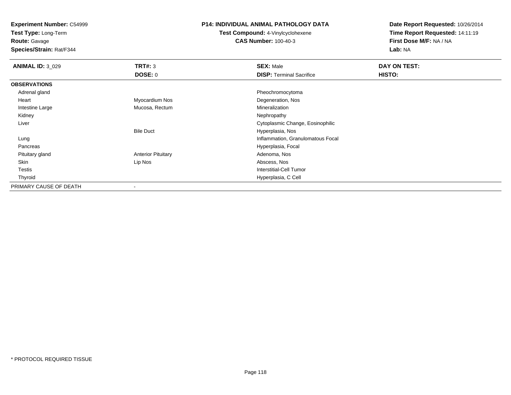**Test Type:** Long-Term

**Route:** Gavage

**Species/Strain:** Rat/F344

#### **P14: INDIVIDUAL ANIMAL PATHOLOGY DATA**

**Test Compound:** 4-Vinylcyclohexene**CAS Number:** 100-40-3

| <b>ANIMAL ID: 3_029</b> | TRT#: 3                   | <b>SEX: Male</b>                  | DAY ON TEST: |  |
|-------------------------|---------------------------|-----------------------------------|--------------|--|
|                         | <b>DOSE: 0</b>            | <b>DISP: Terminal Sacrifice</b>   | HISTO:       |  |
| <b>OBSERVATIONS</b>     |                           |                                   |              |  |
| Adrenal gland           |                           | Pheochromocytoma                  |              |  |
| Heart                   | Myocardium Nos            | Degeneration, Nos                 |              |  |
| Intestine Large         | Mucosa, Rectum            | Mineralization                    |              |  |
| Kidney                  |                           | Nephropathy                       |              |  |
| Liver                   |                           | Cytoplasmic Change, Eosinophilic  |              |  |
|                         | <b>Bile Duct</b>          | Hyperplasia, Nos                  |              |  |
| Lung                    |                           | Inflammation, Granulomatous Focal |              |  |
| Pancreas                |                           | Hyperplasia, Focal                |              |  |
| Pituitary gland         | <b>Anterior Pituitary</b> | Adenoma, Nos                      |              |  |
| Skin                    | Lip Nos                   | Abscess, Nos                      |              |  |
| Testis                  |                           | <b>Interstitial-Cell Tumor</b>    |              |  |
| Thyroid                 |                           | Hyperplasia, C Cell               |              |  |
| PRIMARY CAUSE OF DEATH  | ۰                         |                                   |              |  |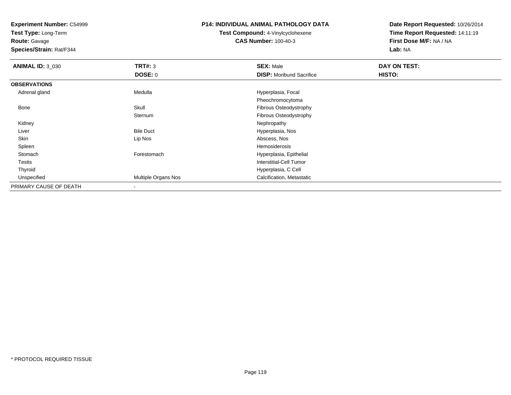**Test Type:** Long-Term

**Route:** Gavage

**Species/Strain:** Rat/F344

### **P14: INDIVIDUAL ANIMAL PATHOLOGY DATA**

**Test Compound:** 4-Vinylcyclohexene**CAS Number:** 100-40-3

| <b>ANIMAL ID: 3_030</b> | TRT#: 3             | <b>SEX: Male</b>                | DAY ON TEST: |  |
|-------------------------|---------------------|---------------------------------|--------------|--|
|                         | DOSE: 0             | <b>DISP:</b> Moribund Sacrifice | HISTO:       |  |
| <b>OBSERVATIONS</b>     |                     |                                 |              |  |
| Adrenal gland           | Medulla             | Hyperplasia, Focal              |              |  |
|                         |                     | Pheochromocytoma                |              |  |
| Bone                    | Skull               | Fibrous Osteodystrophy          |              |  |
|                         | Sternum             | Fibrous Osteodystrophy          |              |  |
| Kidney                  |                     | Nephropathy                     |              |  |
| Liver                   | <b>Bile Duct</b>    | Hyperplasia, Nos                |              |  |
| Skin                    | Lip Nos             | Abscess, Nos                    |              |  |
| Spleen                  |                     | Hemosiderosis                   |              |  |
| Stomach                 | Forestomach         | Hyperplasia, Epithelial         |              |  |
| Testis                  |                     | Interstitial-Cell Tumor         |              |  |
| Thyroid                 |                     | Hyperplasia, C Cell             |              |  |
| Unspecified             | Multiple Organs Nos | Calcification, Metastatic       |              |  |
| PRIMARY CAUSE OF DEATH  |                     |                                 |              |  |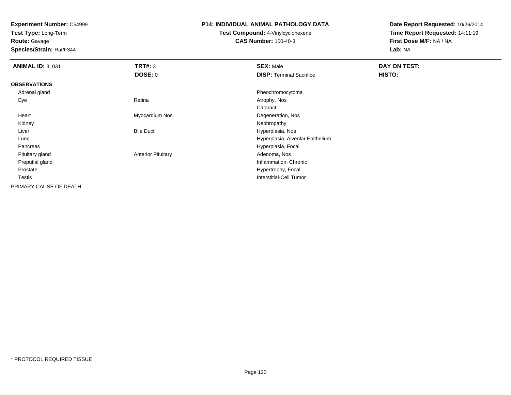**Test Type:** Long-Term

**Route:** Gavage

**Species/Strain:** Rat/F344

## **P14: INDIVIDUAL ANIMAL PATHOLOGY DATA**

**Test Compound:** 4-Vinylcyclohexene**CAS Number:** 100-40-3

| <b>ANIMAL ID: 3_031</b> | TRT#: 3                   | <b>SEX: Male</b>                 | DAY ON TEST: |
|-------------------------|---------------------------|----------------------------------|--------------|
|                         | <b>DOSE: 0</b>            | <b>DISP: Terminal Sacrifice</b>  | HISTO:       |
| <b>OBSERVATIONS</b>     |                           |                                  |              |
| Adrenal gland           |                           | Pheochromocytoma                 |              |
| Eye                     | Retina                    | Atrophy, Nos                     |              |
|                         |                           | Cataract                         |              |
| Heart                   | Myocardium Nos            | Degeneration, Nos                |              |
| Kidney                  |                           | Nephropathy                      |              |
| Liver                   | <b>Bile Duct</b>          | Hyperplasia, Nos                 |              |
| Lung                    |                           | Hyperplasia, Alveolar Epithelium |              |
| Pancreas                |                           | Hyperplasia, Focal               |              |
| Pituitary gland         | <b>Anterior Pituitary</b> | Adenoma, Nos                     |              |
| Preputial gland         |                           | Inflammation, Chronic            |              |
| Prostate                |                           | Hypertrophy, Focal               |              |
| Testis                  |                           | Interstitial-Cell Tumor          |              |
| PRIMARY CAUSE OF DEATH  |                           |                                  |              |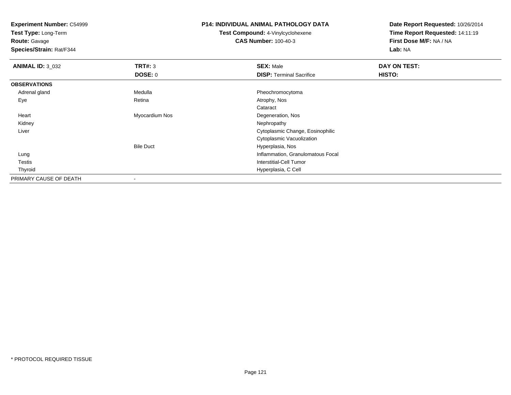**Test Type:** Long-Term

**Route:** Gavage

**Species/Strain:** Rat/F344

## **P14: INDIVIDUAL ANIMAL PATHOLOGY DATA**

**Test Compound:** 4-Vinylcyclohexene**CAS Number:** 100-40-3

| <b>ANIMAL ID: 3_032</b> | TRT#: 3          | <b>SEX: Male</b>                  | DAY ON TEST: |  |
|-------------------------|------------------|-----------------------------------|--------------|--|
|                         | DOSE: 0          | <b>DISP: Terminal Sacrifice</b>   | HISTO:       |  |
| <b>OBSERVATIONS</b>     |                  |                                   |              |  |
| Adrenal gland           | Medulla          | Pheochromocytoma                  |              |  |
| Eye                     | Retina           | Atrophy, Nos                      |              |  |
|                         |                  | Cataract                          |              |  |
| Heart                   | Myocardium Nos   | Degeneration, Nos                 |              |  |
| Kidney                  |                  | Nephropathy                       |              |  |
| Liver                   |                  | Cytoplasmic Change, Eosinophilic  |              |  |
|                         |                  | Cytoplasmic Vacuolization         |              |  |
|                         | <b>Bile Duct</b> | Hyperplasia, Nos                  |              |  |
| Lung                    |                  | Inflammation, Granulomatous Focal |              |  |
| Testis                  |                  | Interstitial-Cell Tumor           |              |  |
| Thyroid                 |                  | Hyperplasia, C Cell               |              |  |
| PRIMARY CAUSE OF DEATH  |                  |                                   |              |  |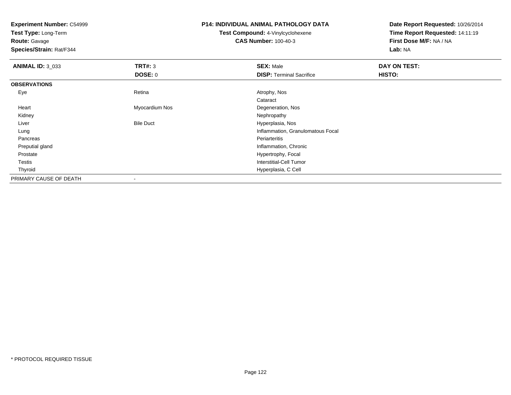**Test Type:** Long-Term

**Route:** Gavage

**Species/Strain:** Rat/F344

#### **P14: INDIVIDUAL ANIMAL PATHOLOGY DATA**

**Test Compound:** 4-Vinylcyclohexene**CAS Number:** 100-40-3

| <b>ANIMAL ID: 3_033</b> | <b>TRT#: 3</b>   | <b>SEX: Male</b>                  | DAY ON TEST: |  |
|-------------------------|------------------|-----------------------------------|--------------|--|
|                         | DOSE: 0          | <b>DISP: Terminal Sacrifice</b>   | HISTO:       |  |
| <b>OBSERVATIONS</b>     |                  |                                   |              |  |
| Eye                     | Retina           | Atrophy, Nos                      |              |  |
|                         |                  | Cataract                          |              |  |
| Heart                   | Myocardium Nos   | Degeneration, Nos                 |              |  |
| Kidney                  |                  | Nephropathy                       |              |  |
| Liver                   | <b>Bile Duct</b> | Hyperplasia, Nos                  |              |  |
| Lung                    |                  | Inflammation, Granulomatous Focal |              |  |
| Pancreas                |                  | Periarteritis                     |              |  |
| Preputial gland         |                  | Inflammation, Chronic             |              |  |
| Prostate                |                  | Hypertrophy, Focal                |              |  |
| Testis                  |                  | <b>Interstitial-Cell Tumor</b>    |              |  |
| Thyroid                 |                  | Hyperplasia, C Cell               |              |  |
| PRIMARY CAUSE OF DEATH  |                  |                                   |              |  |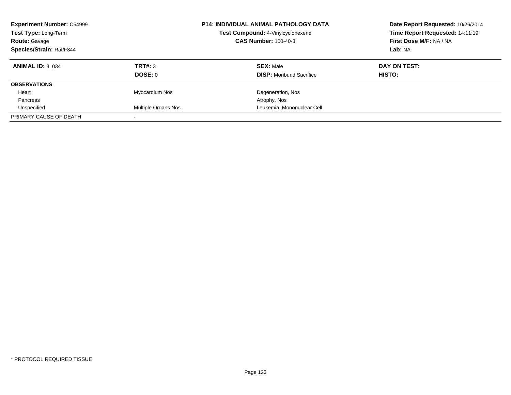| <b>Experiment Number: C54999</b><br>Test Type: Long-Term<br><b>Route: Gavage</b><br>Species/Strain: Rat/F344 |                     | <b>P14: INDIVIDUAL ANIMAL PATHOLOGY DATA</b><br>Test Compound: 4-Vinylcyclohexene<br><b>CAS Number: 100-40-3</b> | Date Report Requested: 10/26/2014<br>Time Report Requested: 14:11:19<br>First Dose M/F: NA / NA<br>Lab: NA |
|--------------------------------------------------------------------------------------------------------------|---------------------|------------------------------------------------------------------------------------------------------------------|------------------------------------------------------------------------------------------------------------|
| <b>ANIMAL ID: 3 034</b>                                                                                      | TRT#: 3             | <b>SEX: Male</b>                                                                                                 | DAY ON TEST:                                                                                               |
|                                                                                                              | DOSE: 0             | <b>DISP:</b> Moribund Sacrifice                                                                                  | HISTO:                                                                                                     |
| <b>OBSERVATIONS</b>                                                                                          |                     |                                                                                                                  |                                                                                                            |
| Heart                                                                                                        | Myocardium Nos      | Degeneration, Nos                                                                                                |                                                                                                            |
| Pancreas                                                                                                     |                     | Atrophy, Nos                                                                                                     |                                                                                                            |
| Unspecified                                                                                                  | Multiple Organs Nos | Leukemia, Mononuclear Cell                                                                                       |                                                                                                            |
| PRIMARY CAUSE OF DEATH                                                                                       |                     |                                                                                                                  |                                                                                                            |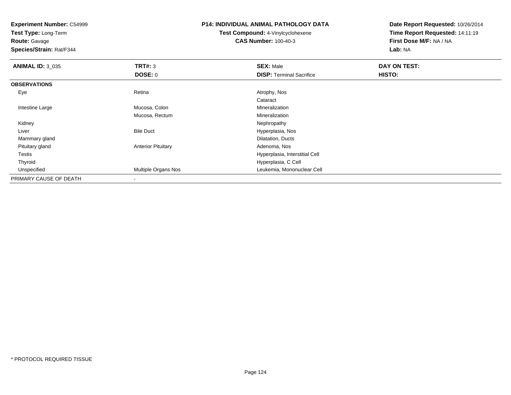**Experiment Number:** C54999**Test Type:** Long-Term**Route:** Gavage **Species/Strain:** Rat/F344**P14: INDIVIDUAL ANIMAL PATHOLOGY DATATest Compound:** 4-Vinylcyclohexene**CAS Number:** 100-40-3**Date Report Requested:** 10/26/2014**Time Report Requested:** 14:11:19**First Dose M/F:** NA / NA**Lab:** NA**ANIMAL ID:** 3\_035 **TRT#:** <sup>3</sup> **SEX:** Male **DAY ON TEST: DOSE:** 0**DISP:** Terminal Sacrifice **HISTO: OBSERVATIONS** Eyee and the contract of the Retina Atrophy, Nos and Atrophy, Nos and Atrophy, Nos and Atrophy, Nos and Atrophy, Nos Cataract Intestine LargeMucosa, Colon **Mineralization** Mucosa, RectumMineralization<br>Nephropathy Kidneyy the control of the control of the control of the control of the control of the control of the control of the control of the control of the control of the control of the control of the control of the control of the contro LiverBile Duct **Hyperplasia**, Nos d<sub>d</sub> Dilatation, Ducts Mammary gland Pituitary glandAnterior Pituitary **Adenoma, Nos** Adenoma, Nos Testis Hyperplasia, Interstitial Cell Thyroid Hyperplasia, C Cell UnspecifiedMultiple Organs Nos **Multiple Organs Nos** Leukemia, Mononuclear Cell PRIMARY CAUSE OF DEATH-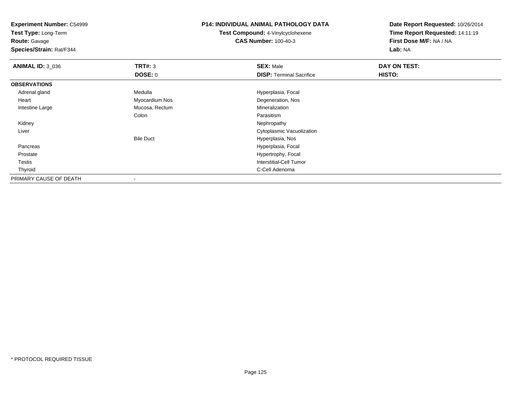**Experiment Number:** C54999**Test Type:** Long-Term**Route:** Gavage **Species/Strain:** Rat/F344**P14: INDIVIDUAL ANIMAL PATHOLOGY DATATest Compound:** 4-Vinylcyclohexene**CAS Number:** 100-40-3**Date Report Requested:** 10/26/2014**Time Report Requested:** 14:11:19**First Dose M/F:** NA / NA**Lab:** NA**ANIMAL ID:** 3\_036 **TRT#:** <sup>3</sup> **SEX:** Male **DAY ON TEST: DOSE:** 0**DISP:** Terminal Sacrifice **HISTO: OBSERVATIONS** Adrenal glandMedulla **Manuel Accord Medulla** Hyperplasia, Focal Heart Myocardium Nos Degeneration, Nos Intestine Large Mucosa, Rectum Mineralization Colon ParasitismNephropathy Kidneyy the control of the control of the control of the control of the control of the control of the control of the control of the control of the control of the control of the control of the control of the control of the contro Liver Cytoplasmic VacuolizationBile Duct Hyperplasia, Noss and the contract of the contract of the contract of the contract of the Hyperplasia, Focal Pancreas ProstateHypertrophy, Focal

d **C-Cell Adenoma** and the control of the control of the control of the control of the control of the control of the control of the control of the control of the control of the control of the control of the control of the

-

Interstitial-Cell Tumor

Testis

Thyroid

PRIMARY CAUSE OF DEATH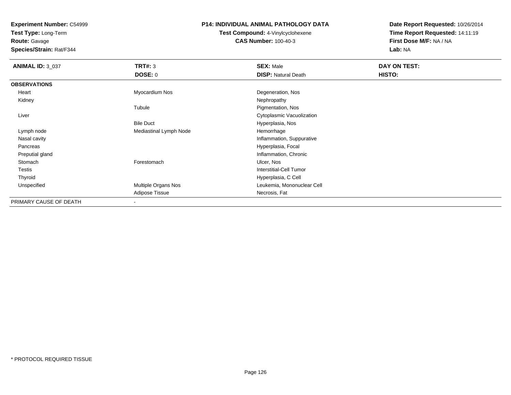**Test Type:** Long-Term

**Route:** Gavage

**Species/Strain:** Rat/F344

## **P14: INDIVIDUAL ANIMAL PATHOLOGY DATA**

**Test Compound:** 4-Vinylcyclohexene**CAS Number:** 100-40-3

| <b>ANIMAL ID: 3_037</b> | <b>TRT#: 3</b>         | <b>SEX: Male</b>               | DAY ON TEST: |  |
|-------------------------|------------------------|--------------------------------|--------------|--|
|                         | DOSE: 0                | <b>DISP: Natural Death</b>     | HISTO:       |  |
| <b>OBSERVATIONS</b>     |                        |                                |              |  |
| Heart                   | Myocardium Nos         | Degeneration, Nos              |              |  |
| Kidney                  |                        | Nephropathy                    |              |  |
|                         | Tubule                 | Pigmentation, Nos              |              |  |
| Liver                   |                        | Cytoplasmic Vacuolization      |              |  |
|                         | <b>Bile Duct</b>       | Hyperplasia, Nos               |              |  |
| Lymph node              | Mediastinal Lymph Node | Hemorrhage                     |              |  |
| Nasal cavity            |                        | Inflammation, Suppurative      |              |  |
| Pancreas                |                        | Hyperplasia, Focal             |              |  |
| Preputial gland         |                        | Inflammation, Chronic          |              |  |
| Stomach                 | Forestomach            | Ulcer, Nos                     |              |  |
| Testis                  |                        | <b>Interstitial-Cell Tumor</b> |              |  |
| Thyroid                 |                        | Hyperplasia, C Cell            |              |  |
| Unspecified             | Multiple Organs Nos    | Leukemia, Mononuclear Cell     |              |  |
|                         | Adipose Tissue         | Necrosis, Fat                  |              |  |
| PRIMARY CAUSE OF DEATH  | $\blacksquare$         |                                |              |  |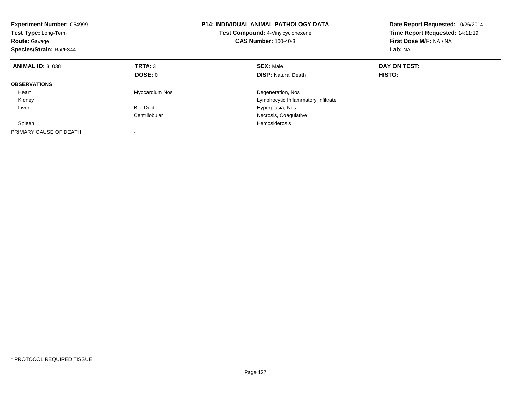| <b>Experiment Number: C54999</b><br>Test Type: Long-Term<br><b>Route: Gavage</b><br>Species/Strain: Rat/F344 |                  | <b>P14: INDIVIDUAL ANIMAL PATHOLOGY DATA</b><br>Test Compound: 4-Vinylcyclohexene<br><b>CAS Number: 100-40-3</b> | Date Report Requested: 10/26/2014<br>Time Report Requested: 14:11:19<br>First Dose M/F: NA / NA<br>Lab: NA |
|--------------------------------------------------------------------------------------------------------------|------------------|------------------------------------------------------------------------------------------------------------------|------------------------------------------------------------------------------------------------------------|
| <b>ANIMAL ID: 3 038</b>                                                                                      | TRT#: 3          | <b>SEX: Male</b>                                                                                                 | DAY ON TEST:                                                                                               |
|                                                                                                              | DOSE: 0          | <b>DISP:</b> Natural Death                                                                                       | HISTO:                                                                                                     |
| <b>OBSERVATIONS</b>                                                                                          |                  |                                                                                                                  |                                                                                                            |
| Heart                                                                                                        | Myocardium Nos   | Degeneration, Nos                                                                                                |                                                                                                            |
| Kidney                                                                                                       |                  | Lymphocytic Inflammatory Infiltrate                                                                              |                                                                                                            |
| Liver                                                                                                        | <b>Bile Duct</b> | Hyperplasia, Nos                                                                                                 |                                                                                                            |
|                                                                                                              | Centrilobular    | Necrosis, Coagulative                                                                                            |                                                                                                            |
| Spleen                                                                                                       |                  | Hemosiderosis                                                                                                    |                                                                                                            |
| PRIMARY CAUSE OF DEATH                                                                                       |                  |                                                                                                                  |                                                                                                            |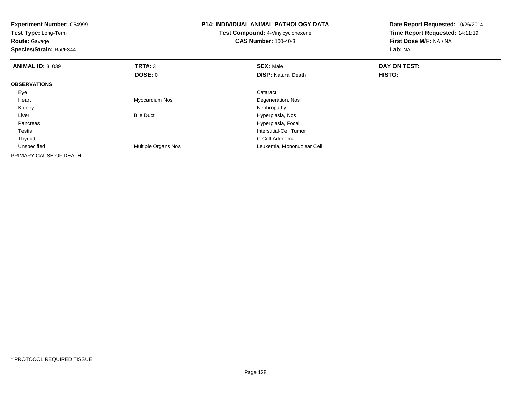| <b>Experiment Number: C54999</b><br>Test Type: Long-Term<br><b>Route: Gavage</b><br>Species/Strain: Rat/F344 |                     | <b>P14: INDIVIDUAL ANIMAL PATHOLOGY DATA</b><br><b>Test Compound: 4-Vinylcyclohexene</b><br><b>CAS Number: 100-40-3</b> | Date Report Requested: 10/26/2014<br>Time Report Requested: 14:11:19<br>First Dose M/F: NA / NA<br>Lab: NA |
|--------------------------------------------------------------------------------------------------------------|---------------------|-------------------------------------------------------------------------------------------------------------------------|------------------------------------------------------------------------------------------------------------|
| <b>ANIMAL ID: 3_039</b>                                                                                      | TRT#: 3             | <b>SEX: Male</b>                                                                                                        | DAY ON TEST:                                                                                               |
|                                                                                                              | DOSE: 0             | <b>DISP:</b> Natural Death                                                                                              | <b>HISTO:</b>                                                                                              |
| <b>OBSERVATIONS</b>                                                                                          |                     |                                                                                                                         |                                                                                                            |
| Eye                                                                                                          |                     | Cataract                                                                                                                |                                                                                                            |
| Heart                                                                                                        | Myocardium Nos      | Degeneration, Nos                                                                                                       |                                                                                                            |
| Kidney                                                                                                       |                     | Nephropathy                                                                                                             |                                                                                                            |
| Liver                                                                                                        | <b>Bile Duct</b>    | Hyperplasia, Nos                                                                                                        |                                                                                                            |
| Pancreas                                                                                                     |                     | Hyperplasia, Focal                                                                                                      |                                                                                                            |
| Testis                                                                                                       |                     | Interstitial-Cell Tumor                                                                                                 |                                                                                                            |
| Thyroid                                                                                                      |                     | C-Cell Adenoma                                                                                                          |                                                                                                            |
| Unspecified                                                                                                  | Multiple Organs Nos | Leukemia, Mononuclear Cell                                                                                              |                                                                                                            |
| PRIMARY CAUSE OF DEATH                                                                                       |                     |                                                                                                                         |                                                                                                            |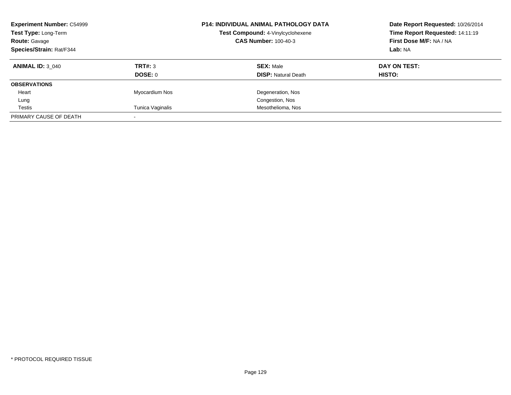| <b>Experiment Number: C54999</b><br>Test Type: Long-Term<br><b>Route: Gavage</b><br>Species/Strain: Rat/F344 |                    | <b>P14: INDIVIDUAL ANIMAL PATHOLOGY DATA</b><br>Test Compound: 4-Vinylcyclohexene<br><b>CAS Number: 100-40-3</b> | Date Report Requested: 10/26/2014<br>Time Report Requested: 14:11:19<br>First Dose M/F: NA / NA<br>Lab: NA |
|--------------------------------------------------------------------------------------------------------------|--------------------|------------------------------------------------------------------------------------------------------------------|------------------------------------------------------------------------------------------------------------|
| <b>ANIMAL ID: 3 040</b>                                                                                      | TRT#: 3<br>DOSE: 0 | <b>SEX: Male</b><br><b>DISP:</b> Natural Death                                                                   | DAY ON TEST:<br>HISTO:                                                                                     |
| <b>OBSERVATIONS</b>                                                                                          |                    |                                                                                                                  |                                                                                                            |
| Heart                                                                                                        | Myocardium Nos     | Degeneration, Nos                                                                                                |                                                                                                            |
| Lung                                                                                                         |                    | Congestion, Nos                                                                                                  |                                                                                                            |
| Testis                                                                                                       | Tunica Vaginalis   | Mesothelioma, Nos                                                                                                |                                                                                                            |
| PRIMARY CAUSE OF DEATH                                                                                       |                    |                                                                                                                  |                                                                                                            |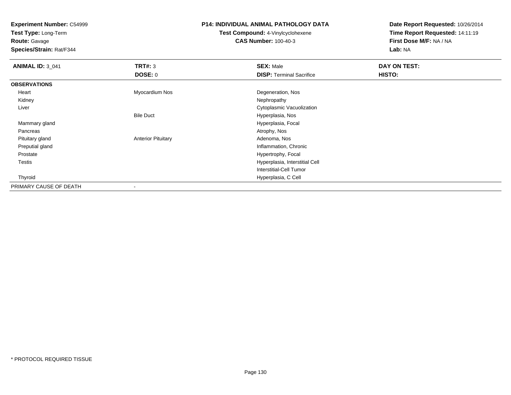**Test Type:** Long-Term

**Route:** Gavage

**Species/Strain:** Rat/F344

## **P14: INDIVIDUAL ANIMAL PATHOLOGY DATA**

**Test Compound:** 4-Vinylcyclohexene**CAS Number:** 100-40-3

| <b>ANIMAL ID: 3_041</b> | TRT#: 3                   | <b>SEX: Male</b>                | DAY ON TEST: |  |
|-------------------------|---------------------------|---------------------------------|--------------|--|
|                         | DOSE: 0                   | <b>DISP: Terminal Sacrifice</b> | HISTO:       |  |
| <b>OBSERVATIONS</b>     |                           |                                 |              |  |
| Heart                   | Myocardium Nos            | Degeneration, Nos               |              |  |
| Kidney                  |                           | Nephropathy                     |              |  |
| Liver                   |                           | Cytoplasmic Vacuolization       |              |  |
|                         | <b>Bile Duct</b>          | Hyperplasia, Nos                |              |  |
| Mammary gland           |                           | Hyperplasia, Focal              |              |  |
| Pancreas                |                           | Atrophy, Nos                    |              |  |
| Pituitary gland         | <b>Anterior Pituitary</b> | Adenoma, Nos                    |              |  |
| Preputial gland         |                           | Inflammation, Chronic           |              |  |
| Prostate                |                           | Hypertrophy, Focal              |              |  |
| <b>Testis</b>           |                           | Hyperplasia, Interstitial Cell  |              |  |
|                         |                           | Interstitial-Cell Tumor         |              |  |
| Thyroid                 |                           | Hyperplasia, C Cell             |              |  |
| PRIMARY CAUSE OF DEATH  | $\overline{\phantom{a}}$  |                                 |              |  |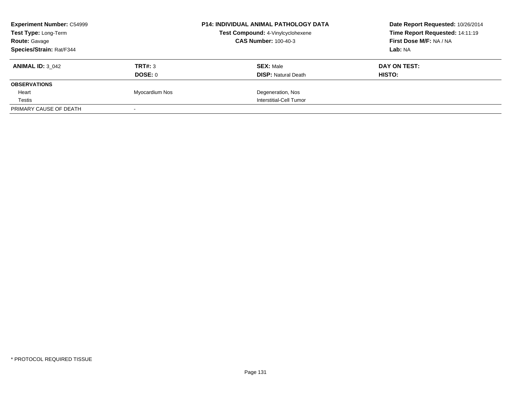| <b>Experiment Number: C54999</b><br>Test Type: Long-Term |                | <b>P14: INDIVIDUAL ANIMAL PATHOLOGY DATA</b> | Date Report Requested: 10/26/2014<br>Time Report Requested: 14:11:19 |  |
|----------------------------------------------------------|----------------|----------------------------------------------|----------------------------------------------------------------------|--|
|                                                          |                | Test Compound: 4-Vinylcyclohexene            |                                                                      |  |
| <b>Route: Gavage</b>                                     |                | <b>CAS Number: 100-40-3</b>                  | First Dose M/F: NA / NA                                              |  |
| Species/Strain: Rat/F344                                 |                |                                              | Lab: NA                                                              |  |
| <b>ANIMAL ID: 3 042</b>                                  | TRT#: 3        | <b>SEX: Male</b>                             | DAY ON TEST:                                                         |  |
|                                                          | DOSE: 0        | <b>DISP: Natural Death</b>                   | HISTO:                                                               |  |
| <b>OBSERVATIONS</b>                                      |                |                                              |                                                                      |  |
| Heart                                                    | Myocardium Nos | Degeneration, Nos                            |                                                                      |  |
| Testis                                                   |                | Interstitial-Cell Tumor                      |                                                                      |  |
| PRIMARY CAUSE OF DEATH                                   |                |                                              |                                                                      |  |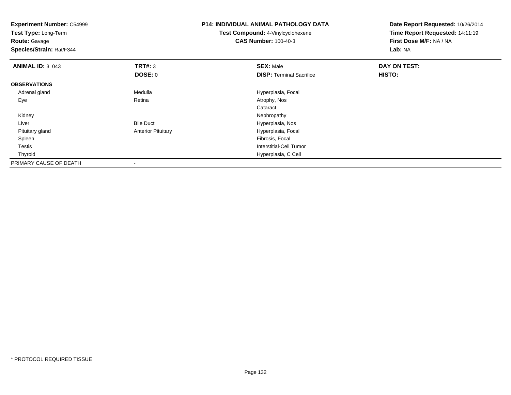| <b>Experiment Number: C54999</b><br>Test Type: Long-Term<br><b>Route: Gavage</b><br>Species/Strain: Rat/F344 |                           | <b>P14: INDIVIDUAL ANIMAL PATHOLOGY DATA</b><br><b>Test Compound: 4-Vinylcyclohexene</b><br><b>CAS Number: 100-40-3</b> | Date Report Requested: 10/26/2014<br>Time Report Requested: 14:11:19<br>First Dose M/F: NA / NA<br>Lab: NA |
|--------------------------------------------------------------------------------------------------------------|---------------------------|-------------------------------------------------------------------------------------------------------------------------|------------------------------------------------------------------------------------------------------------|
| <b>ANIMAL ID: 3 043</b>                                                                                      | TRT#: 3                   | <b>SEX: Male</b>                                                                                                        | DAY ON TEST:                                                                                               |
|                                                                                                              | <b>DOSE: 0</b>            | <b>DISP: Terminal Sacrifice</b>                                                                                         | <b>HISTO:</b>                                                                                              |
| <b>OBSERVATIONS</b>                                                                                          |                           |                                                                                                                         |                                                                                                            |
| Adrenal gland                                                                                                | Medulla                   | Hyperplasia, Focal                                                                                                      |                                                                                                            |
| Eye                                                                                                          | Retina                    | Atrophy, Nos                                                                                                            |                                                                                                            |
|                                                                                                              |                           | Cataract                                                                                                                |                                                                                                            |
| Kidney                                                                                                       |                           | Nephropathy                                                                                                             |                                                                                                            |
| Liver                                                                                                        | <b>Bile Duct</b>          | Hyperplasia, Nos                                                                                                        |                                                                                                            |
| Pituitary gland                                                                                              | <b>Anterior Pituitary</b> | Hyperplasia, Focal                                                                                                      |                                                                                                            |
| Spleen                                                                                                       |                           | Fibrosis, Focal                                                                                                         |                                                                                                            |
| <b>Testis</b>                                                                                                |                           | <b>Interstitial-Cell Tumor</b>                                                                                          |                                                                                                            |
| Thyroid                                                                                                      |                           | Hyperplasia, C Cell                                                                                                     |                                                                                                            |
| PRIMARY CAUSE OF DEATH                                                                                       |                           |                                                                                                                         |                                                                                                            |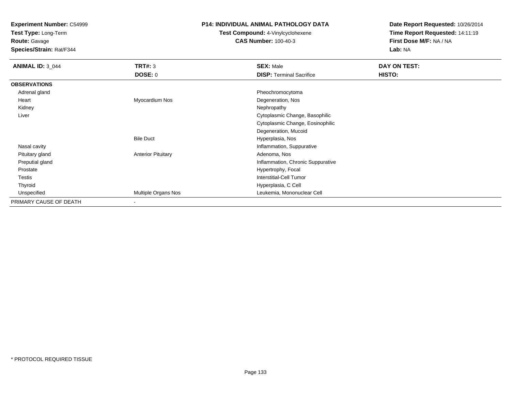**Test Type:** Long-Term

# **Route:** Gavage

**Species/Strain:** Rat/F344

### **P14: INDIVIDUAL ANIMAL PATHOLOGY DATA**

# **Test Compound:** 4-Vinylcyclohexene**CAS Number:** 100-40-3

| <b>ANIMAL ID: 3_044</b> | TRT#: 3                   | <b>SEX: Male</b>                  | <b>DAY ON TEST:</b> |
|-------------------------|---------------------------|-----------------------------------|---------------------|
|                         | <b>DOSE: 0</b>            | <b>DISP: Terminal Sacrifice</b>   | <b>HISTO:</b>       |
| <b>OBSERVATIONS</b>     |                           |                                   |                     |
| Adrenal gland           |                           | Pheochromocytoma                  |                     |
| Heart                   | Myocardium Nos            | Degeneration, Nos                 |                     |
| Kidney                  |                           | Nephropathy                       |                     |
| Liver                   |                           | Cytoplasmic Change, Basophilic    |                     |
|                         |                           | Cytoplasmic Change, Eosinophilic  |                     |
|                         |                           | Degeneration, Mucoid              |                     |
|                         | <b>Bile Duct</b>          | Hyperplasia, Nos                  |                     |
| Nasal cavity            |                           | Inflammation, Suppurative         |                     |
| Pituitary gland         | <b>Anterior Pituitary</b> | Adenoma, Nos                      |                     |
| Preputial gland         |                           | Inflammation, Chronic Suppurative |                     |
| Prostate                |                           | Hypertrophy, Focal                |                     |
| Testis                  |                           | <b>Interstitial-Cell Tumor</b>    |                     |
| Thyroid                 |                           | Hyperplasia, C Cell               |                     |
| Unspecified             | Multiple Organs Nos       | Leukemia, Mononuclear Cell        |                     |
| PRIMARY CAUSE OF DEATH  | $\,$ $\,$                 |                                   |                     |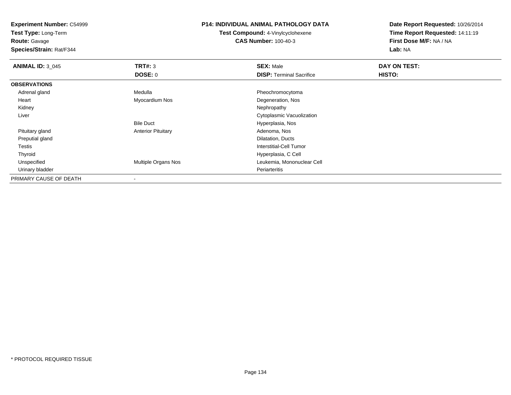**Test Type:** Long-Term

**Route:** Gavage

**Species/Strain:** Rat/F344

#### **P14: INDIVIDUAL ANIMAL PATHOLOGY DATA**

**Test Compound:** 4-Vinylcyclohexene**CAS Number:** 100-40-3

| <b>ANIMAL ID: 3_045</b> | TRT#: 3                   | <b>SEX: Male</b>                | DAY ON TEST: |  |
|-------------------------|---------------------------|---------------------------------|--------------|--|
|                         | DOSE: 0                   | <b>DISP: Terminal Sacrifice</b> | HISTO:       |  |
| <b>OBSERVATIONS</b>     |                           |                                 |              |  |
| Adrenal gland           | Medulla                   | Pheochromocytoma                |              |  |
| Heart                   | Myocardium Nos            | Degeneration, Nos               |              |  |
| Kidney                  |                           | Nephropathy                     |              |  |
| Liver                   |                           | Cytoplasmic Vacuolization       |              |  |
|                         | <b>Bile Duct</b>          | Hyperplasia, Nos                |              |  |
| Pituitary gland         | <b>Anterior Pituitary</b> | Adenoma, Nos                    |              |  |
| Preputial gland         |                           | Dilatation, Ducts               |              |  |
| Testis                  |                           | <b>Interstitial-Cell Tumor</b>  |              |  |
| Thyroid                 |                           | Hyperplasia, C Cell             |              |  |
| Unspecified             | Multiple Organs Nos       | Leukemia, Mononuclear Cell      |              |  |
| Urinary bladder         |                           | Periarteritis                   |              |  |
| PRIMARY CAUSE OF DEATH  |                           |                                 |              |  |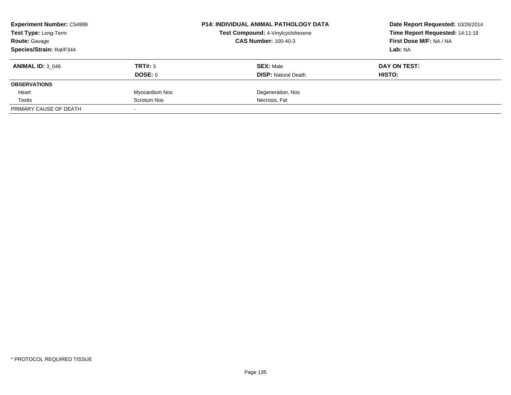| <b>Experiment Number: C54999</b><br>Test Type: Long-Term<br><b>Route: Gavage</b> |                | <b>P14: INDIVIDUAL ANIMAL PATHOLOGY DATA</b> | Date Report Requested: 10/26/2014 |
|----------------------------------------------------------------------------------|----------------|----------------------------------------------|-----------------------------------|
|                                                                                  |                | Test Compound: 4-Vinylcyclohexene            | Time Report Requested: 14:11:19   |
|                                                                                  |                | <b>CAS Number: 100-40-3</b>                  | First Dose M/F: NA / NA           |
| Species/Strain: Rat/F344                                                         |                |                                              | Lab: NA                           |
| <b>ANIMAL ID: 3 046</b>                                                          | TRT#: 3        | <b>SEX: Male</b>                             | DAY ON TEST:                      |
|                                                                                  | DOSE: 0        | <b>DISP:</b> Natural Death                   | <b>HISTO:</b>                     |
| <b>OBSERVATIONS</b>                                                              |                |                                              |                                   |
| Heart                                                                            | Myocardium Nos | Degeneration, Nos                            |                                   |
| Testis                                                                           | Scrotum Nos    | Necrosis, Fat                                |                                   |
| PRIMARY CAUSE OF DEATH                                                           |                |                                              |                                   |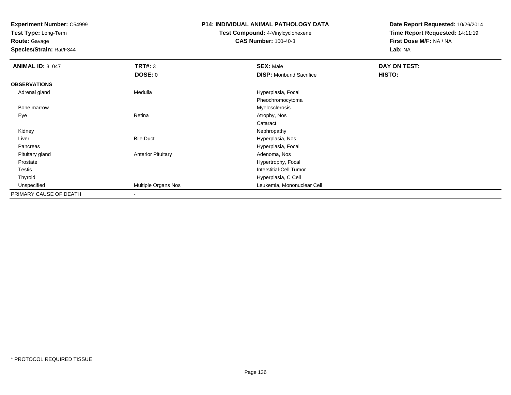**Test Type:** Long-Term

**Route:** Gavage

**Species/Strain:** Rat/F344

## **P14: INDIVIDUAL ANIMAL PATHOLOGY DATA**

# **Test Compound:** 4-Vinylcyclohexene**CAS Number:** 100-40-3

| <b>ANIMAL ID: 3_047</b> | <b>TRT#: 3</b>            | <b>SEX: Male</b>                | DAY ON TEST: |  |
|-------------------------|---------------------------|---------------------------------|--------------|--|
|                         | <b>DOSE: 0</b>            | <b>DISP:</b> Moribund Sacrifice | HISTO:       |  |
| <b>OBSERVATIONS</b>     |                           |                                 |              |  |
| Adrenal gland           | Medulla                   | Hyperplasia, Focal              |              |  |
|                         |                           | Pheochromocytoma                |              |  |
| Bone marrow             |                           | Myelosclerosis                  |              |  |
| Eye                     | Retina                    | Atrophy, Nos                    |              |  |
|                         |                           | Cataract                        |              |  |
| Kidney                  |                           | Nephropathy                     |              |  |
| Liver                   | <b>Bile Duct</b>          | Hyperplasia, Nos                |              |  |
| Pancreas                |                           | Hyperplasia, Focal              |              |  |
| Pituitary gland         | <b>Anterior Pituitary</b> | Adenoma, Nos                    |              |  |
| Prostate                |                           | Hypertrophy, Focal              |              |  |
| Testis                  |                           | Interstitial-Cell Tumor         |              |  |
| Thyroid                 |                           | Hyperplasia, C Cell             |              |  |
| Unspecified             | Multiple Organs Nos       | Leukemia, Mononuclear Cell      |              |  |
| PRIMARY CAUSE OF DEATH  | $\overline{\phantom{a}}$  |                                 |              |  |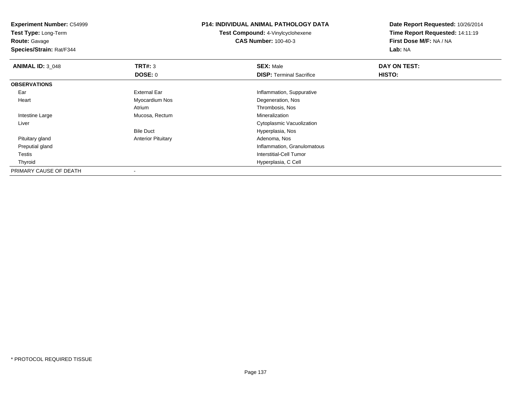**Experiment Number:** C54999**Test Type:** Long-Term**Route:** Gavage **Species/Strain:** Rat/F344**P14: INDIVIDUAL ANIMAL PATHOLOGY DATATest Compound:** 4-Vinylcyclohexene**CAS Number:** 100-40-3**Date Report Requested:** 10/26/2014**Time Report Requested:** 14:11:19**First Dose M/F:** NA / NA**Lab:** NA**ANIMAL ID: 3 048 REX:** Male **DAY ON TEST: SEX:** Male **SEX:** Male **DOSE:** 0**DISP:** Terminal Sacrifice **HISTO: OBSERVATIONS** EarExternal Ear **Inflammation**, Suppurative Heart Myocardium Nos Degeneration, Nos Atrium Thrombosis, Nos Intestine Large Mucosa, Rectum Mineralization Liver Cytoplasmic VacuolizationBile Duct Hyperplasia, Nos Pituitary glandAnterior Pituitary **Adenoma, Nos** Adenoma, Nos Preputial gland Inflammation, Granulomatous Testis Interstitial-Cell Tumor Thyroid Hyperplasia, C Cell PRIMARY CAUSE OF DEATH-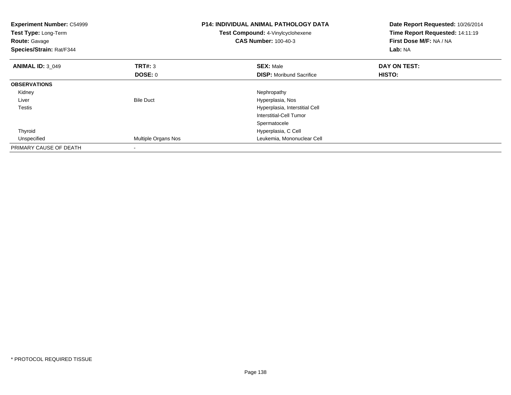| <b>Experiment Number: C54999</b><br>Test Type: Long-Term<br><b>Route: Gavage</b><br>Species/Strain: Rat/F344 |                          | <b>P14: INDIVIDUAL ANIMAL PATHOLOGY DATA</b><br>Test Compound: 4-Vinylcyclohexene<br><b>CAS Number: 100-40-3</b> | Date Report Requested: 10/26/2014<br>Time Report Requested: 14:11:19<br>First Dose M/F: NA / NA<br>Lab: NA |
|--------------------------------------------------------------------------------------------------------------|--------------------------|------------------------------------------------------------------------------------------------------------------|------------------------------------------------------------------------------------------------------------|
| <b>ANIMAL ID: 3 049</b>                                                                                      | TRT#: 3                  | <b>SEX: Male</b>                                                                                                 | DAY ON TEST:                                                                                               |
|                                                                                                              | DOSE: 0                  | <b>DISP:</b> Moribund Sacrifice                                                                                  | <b>HISTO:</b>                                                                                              |
| <b>OBSERVATIONS</b>                                                                                          |                          |                                                                                                                  |                                                                                                            |
| Kidney                                                                                                       |                          | Nephropathy                                                                                                      |                                                                                                            |
| Liver                                                                                                        | <b>Bile Duct</b>         | Hyperplasia, Nos                                                                                                 |                                                                                                            |
| Testis                                                                                                       |                          | Hyperplasia, Interstitial Cell                                                                                   |                                                                                                            |
|                                                                                                              |                          | Interstitial-Cell Tumor                                                                                          |                                                                                                            |
|                                                                                                              |                          | Spermatocele                                                                                                     |                                                                                                            |
| Thyroid                                                                                                      |                          | Hyperplasia, C Cell                                                                                              |                                                                                                            |
| Unspecified                                                                                                  | Multiple Organs Nos      | Leukemia, Mononuclear Cell                                                                                       |                                                                                                            |
| PRIMARY CAUSE OF DEATH                                                                                       | $\overline{\phantom{a}}$ |                                                                                                                  |                                                                                                            |